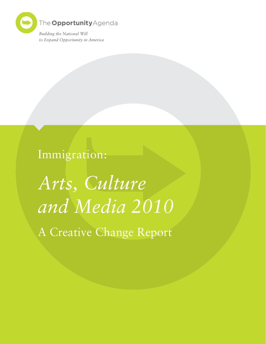

Immigration:

*Arts, Culture and Media 2010*

A Creative Change Report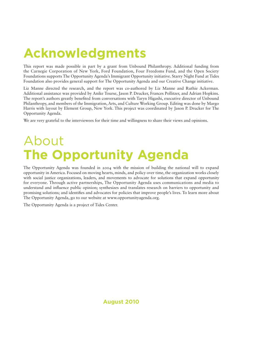## **Acknowledgments**

This report was made possible in part by a grant from Unbound Philanthropy. Additional funding from the Carnegie Corporation of New York, Ford Foundation, Four Freedoms Fund, and the Open Society Foundations supports The Opportunity Agenda's Immigrant Opportunity initiative. Starry Night Fund at Tides Foundation also provides general support for The Opportunity Agenda and our Creative Change initiative.

Liz Manne directed the research, and the report was co-authored by Liz Manne and Ruthie Ackerman. Additional assistance was provided by Anike Tourse, Jason P. Drucker, Frances Pollitzer, and Adrian Hopkins. The report's authors greatly benefited from conversations with Taryn Higashi, executive director of Unbound Philanthropy, and members of the Immigration, Arts, and Culture Working Group. Editing was done by Margo Harris with layout by Element Group, New York. This project was coordinated by Jason P. Drucker for The Opportunity Agenda.

We are very grateful to the interviewees for their time and willingness to share their views and opinions.

## About **The Opportunity Agenda**

The Opportunity Agenda was founded in 2004 with the mission of building the national will to expand opportunity in America. Focused on moving hearts, minds, and policy over time, the organization works closely with social justice organizations, leaders, and movements to advocate for solutions that expand opportunity for everyone. Through active partnerships, The Opportunity Agenda uses communications and media to understand and influence public opinion; synthesizes and translates research on barriers to opportunity and promising solutions; and identifies and advocates for policies that improve people's lives. To learn more about The Opportunity Agenda, go to our website at www.opportunityagenda.org.

The Opportunity Agenda is a project of Tides Center.

**August 2010**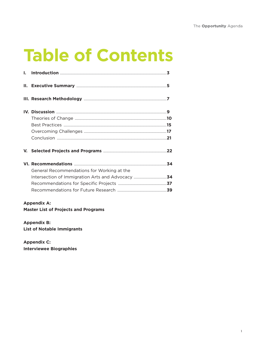## **Table of Contents**

| General Recommendations for Working at the |  |
|--------------------------------------------|--|
|                                            |  |
|                                            |  |
|                                            |  |

## **Appendix A:**

**Master List of Projects and Programs** 

Appendix B: **List of Notable Immigrants** 

Appendix C: **Interviewee Biographies**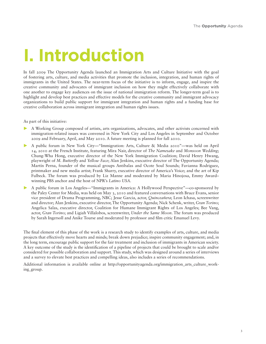# **1. Introduction**

In fall 2009 The Opportunity Agenda launched an Immigration Arts and Culture Initiative with the goal of fostering arts, culture, and media activities that promote the inclusion, integration, and human rights of immigrants in the United States. The near-term focus of the initiative is to inform, engage, and inspire the creative community and advocates of immigrant inclusion on how they might effectively collaborate with one another to engage key audiences on the issue of national immigration reform. The longer-term goal is to highlight and develop best practices and effective models for the creative community and immigrant advocacy organizations to build public support for immigrant integration and human rights and a funding base for creative collaboration across immigrant integration and human rights issues.

#### As part of this initiative:

- A Working Group composed of artists, arts organizations, advocates, and other activists concerned with immigration-related issues was convened in New York City and Los Angeles in September and October 2009 and February, April, and May 2010. A future meeting is planned for fall 2010.
- A public forum in New York City—"Immigration: Arts, Culture & Media 2010"—was held on April 14, 2010 at the French Institute, featuring Mira Nair, director of *The Namesake* and *Monsoon Wedding*; Chung-Wha Hong, executive director of the New York Immigration Coalition; David Henry Hwang, playwright of *M. Butterfly* and *Yellow Face*; Alan Jenkins, executive director of The Opportunity Agenda; Martín Perna, founder of the musical groups Antibalas and Ocote Soul Sounds; Favianna Rodriguez, printmaker and new media artist; Frank Sharry, executive director of America's Voice; and the art of Kip Fulbeck. The forum was produced by Liz Manne and moderated by Maria Hinojosa, Emmy Award– winning PBS anchor and the host of NPR's *Latino USA*.
- A public forum in Los Angeles—"Immigrants in America: A Hollywood Perspective"—co-sponsored by the Paley Center for Media, was held on May 3, 2010 and featured conversations with Bruce Evans, senior vice president of Drama Programming, NBC; Jesse Garcia, actor, *Quinceañera*; Leon Ichasa, screenwriter and director; Alan Jenkins, executive director, The Opportunity Agenda; Nick Schenk, writer, *Gran Torino*; Angelica Salas, executive director, Coalition for Humane Immigrant Rights of Los Angeles; Bee Vang, actor, *Gran Torino*; and Ligiah Villalobos, screenwriter, *Under the Same Moon*. The forum was produced by Sarah Ingersoll and Anike Tourse and moderated by professor and film critic Emanuel Levy.

The final element of this phase of the work is a research study to identify examples of arts, culture, and media projects that effectively move hearts and minds; break down prejudice; inspire community engagement; and, in the long term, encourage public support for the fair treatment and inclusion of immigrants in American society. A key outcome of the study is the identification of a pipeline of projects that could be brought to scale and/or considered for possible collaboration and support. This study, which was designed around a series of interviews and a survey to elevate best practices and compelling ideas, also includes a series of recommendations.

Additional information is available online at http://opportunityagenda.org/immigration\_arts\_culture\_working\_group.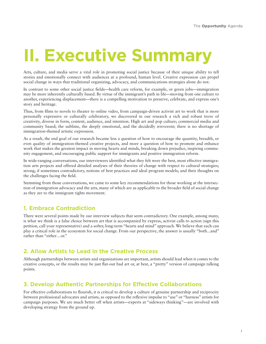## **11. Executive Summary**

Arts, culture, and media serve a vital role in promoting social justice because of their unique ability to tell stories and emotionally connect with audiences at a profound, human level. Creative expression can propel social change in ways that traditional organizing, advocacy, and communications strategies alone do not.

In contrast to some other social justice fields—health care reform, for example, or green jobs—immigration may be more inherently culturally based. By virtue of the immigrant's path in life—moving from one culture to another, experiencing displacement—there is a compelling motivation to preserve, celebrate, and express one's story and heritage.

Thus, from films to novels to theater to online video, from campaign-driven activist art to work that is more personally expressive or culturally celebratory, we discovered in our research a rich and robust trove of creativity, diverse in form, content, audience, and intention. High art and pop culture; commercial media and community based; the sublime, the deeply emotional, and the decidedly irreverent; there is no shortage of immigration-themed artistic expression.

As a result, the end goal of our research became less a question of how to encourage the quantity, breadth, or even quality of immigration-themed creative projects, and more a question of how to promote and enhance work that makes the greatest impact in moving hearts and minds, breaking down prejudice, inspiring community engagement, and encouraging public support for immigrants and positive immigration reform.

In wide-ranging conversations, our interviewees identified what they felt were the best, most effective immigration arts projects and offered detailed analyses of their theories of change with respect to cultural strategies; strong, if sometimes contradictory, notions of best practices and ideal program models; and their thoughts on the challenges facing the field.

Stemming from those conversations, we came to some key recommendations for those working at the intersection of immigration advocacy and the arts, many of which are as applicable to the broader field of social change as they are to the immigrant rights movement.

## **1. Embrace Contradiction**

There were several points made by our interview subjects that seem contradictory. One example, among many, is what we think is a false choice between art that is accompanied by express, activist calls to action (sign this petition, call your representative) and a softer, long-term "hearts and mind" approach. We believe that each can play a critical role in the ecosystem for social change. From our perspective, the answer is usually "both...and" rather than "either…or."

## **2. Allow Artists to Lead in the Creative Process**

Although partnerships between artists and organizations are important, artists should lead when it comes to the creative concepts, or the results may be just flat-out bad art or, at best, a "pretty" version of campaign talking points.

## **3. Develop Authentic Partnerships for Effective Collaborations**

For effective collaborations to flourish, it is critical to develop a culture of genuine partnership and reciprocity between professional advocates and artists, as opposed to the reflexive impulse to "use" or "harness" artists for campaign purposes. We are much better off when artists—experts at "sideways thinking"—are involved with developing strategy from the ground up.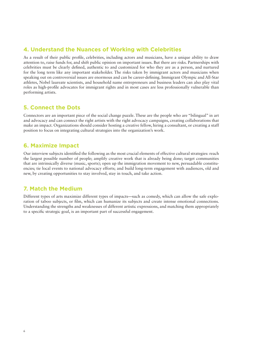## **4. Understand the Nuances of Working with Celebrities**

As a result of their public profile, celebrities, including actors and musicians, have a unique ability to draw attention to, raise funds for, and shift public opinion on important issues. But there are risks. Partnerships with celebrities must be clearly defined, authentic to and customized for who they are as a person, and nurtured for the long term like any important stakeholder. The risks taken by immigrant actors and musicians when speaking out on controversial issues are enormous and can be career-defining. Immigrant Olympic and All-Star athletes, Nobel laureate scientists, and household name entrepreneurs and business leaders can also play vital roles as high-profile advocates for immigrant rights and in most cases are less professionally vulnerable than performing artists.

## **5. Connect the Dots**

Connectors are an important piece of the social change puzzle. These are the people who are "bilingual" in art and advocacy and can connect the right artists with the right advocacy campaigns, creating collaborations that make an impact. Organizations should consider hosting a creative fellow, hiring a consultant, or creating a staff position to focus on integrating cultural strategies into the organization's work.

## **6. Maximize Impact**

Our interview subjects identified the following as the most crucial elements of effective cultural strategies: reach the largest possible number of people; amplify creative work that is already being done; target communities that are intrinsically diverse (music, sports); open up the immigration movement to new, persuadable constituencies; tie local events to national advocacy efforts; and build long-term engagement with audiences, old and new, by creating opportunities to stay involved, stay in touch, and take action.

## **7. Match the Medium**

Different types of arts maximize different types of impacts—such as comedy, which can allow the safe exploration of taboo subjects, or film, which can humanize its subjects and create intense emotional connections. Understanding the strengths and weaknesses of different artistic expressions, and matching them appropriately to a specific strategic goal, is an important part of successful engagement.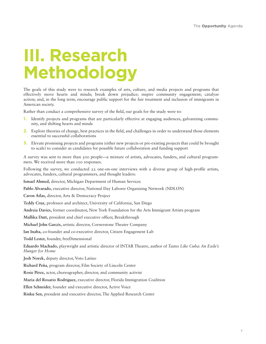## *III. Research* **Methodology**

The goals of this study were to research examples of arts, culture, and media projects and programs that effectively move hearts and minds; break down prejudice; inspire community engagement; catalyze action; and, in the long term, encourage public support for the fair treatment and inclusion of immigrants in American society.

Rather than conduct a comprehensive survey of the field, our goals for the study were to:

- **1.** Identify projects and programs that are particularly effective at engaging audiences, galvanizing community, and shifting hearts and minds
- **2.** Explore theories of change, best practices in the field, and challenges in order to understand those elements essential to successful collaborations
- **3.** Elevate promising projects and programs (either new projects or pre-existing projects that could be brought to scale) to consider as candidates for possible future collaboration and funding support

A survey was sent to more than 500 people—a mixture of artists, advocates, funders, and cultural programmers. We received more than 100 responses.

Following the survey, we conducted 22 one-on-one interviews with a diverse group of high-profile artists, advocates, funders, cultural programmers, and thought leaders:

**Ismael Ahmed,** director, Michigan Department of Human Services

**Pablo Alvarado,** executive director, National Day Laborer Organizing Network (NDLON)

**Caron Atlas,** director, Arts & Democracy Project

**Teddy Cruz,** professor and architect, University of California, San Diego

**Andreia Davies,** former coordinator, New York Foundation for the Arts Immigrant Artists program

**Mallika Dutt,** president and chief executive officer, Breakthrough

**Michael John Garcés,** artistic director, Cornerstone Theater Company

**Ian Inaba,** co-founder and co-executive director, Citizen Engagement Lab

**Todd Lester,** founder, freeDimensional

**Eduardo Machado,** playwright and artistic director of INTAR Theatre, author of *Tastes Like Cuba: An Exile's Hunger for Home*

**Josh Norek,** deputy director, Voto Latino

**Richard Peña**, program director, Film Society of Lincoln Center

**Rosie Pérez,** actor, choreographer, director, and community activist

**Maria del Rosario Rodriguez,** executive director, Florida Immigration Coalition

**Ellen Schneider,** founder and executive director, Active Voice

**Rinku Sen,** president and executive director, The Applied Research Center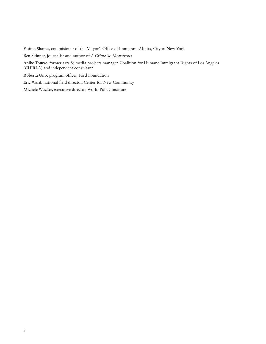**Fatima Shama,** commisioner of the Mayor's Office of Immigrant Affairs, City of New York

**Ben Skinner,** journalist and author of *A Crime So Monstrous*

**Anike Tourse,** former arts & media projects manager, Coalition for Humane Immigrant Rights of Los Angeles (CHIRLA) and independent consultant

**Roberta Uno,** program officer, Ford Foundation

**Eric Ward,** national field director, Center for New Community

**Michele Wucker,** executive director, World Policy Institute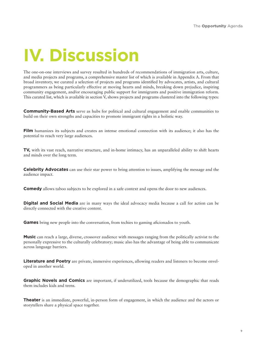# *<u>IV. Discussion</u>*

The one-on-one interviews and survey resulted in hundreds of recommendations of immigration arts, culture, and media projects and programs, a comprehensive master list of which is available in Appendix A. From that broad inventory, we curated a selection of projects and programs identified by advocates, artists, and cultural programmers as being particularly effective at moving hearts and minds, breaking down prejudice, inspiring community engagement, and/or encouraging public support for immigrants and positive immigration reform. This curated list, which is available in section V, shows projects and programs clustered into the following types:

**Community-Based Arts** serve as hubs for political and cultural engagement and enable communities to build on their own strengths and capacities to promote immigrant rights in a holistic way.

**Film** humanizes its subjects and creates an intense emotional connection with its audience; it also has the potential to reach very large audiences.

**TV**, with its vast reach, narrative structure, and in-home intimacy, has an unparalleled ability to shift hearts and minds over the long term.

**Celebrity Advocates** can use their star power to bring attention to issues, amplifying the message and the audience impact.

**Comedy** allows taboo subjects to be explored in a safe context and opens the door to new audiences.

**Digital and Social Media** are in many ways the ideal advocacy media because a call for action can be directly connected with the creative content.

**Games** bring new people into the conversation, from techies to gaming aficionados to youth.

**Music** can reach a large, diverse, crossover audience with messages ranging from the politically activist to the personally expressive to the culturally celebratory; music also has the advantage of being able to communicate across language barriers.

**Literature and Poetry** are private, immersive experiences, allowing readers and listeners to become enveloped in another world.

**Graphic Novels and Comics** are important, if underutilized, tools because the demographic that reads them includes kids and teens.

**Theater** is an immediate, powerful, in-person form of engagement, in which the audience and the actors or storytellers share a physical space together.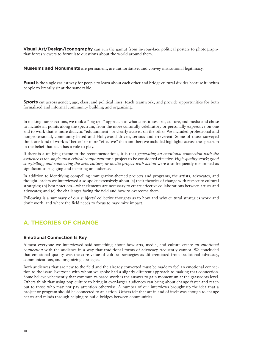**Visual Art/Design/Iconography** can run the gamut from in-your-face political posters to photography that forces viewers to formulate questions about the world around them.

**Museums and Monuments** are permanent, are authoritative, and convey institutional legitimacy.

Food is the single easiest way for people to learn about each other and bridge cultural divides because it invites people to literally sit at the same table.

**Sports** cut across gender, age, class, and political lines; teach teamwork; and provide opportunities for both formalized and informal community building and organizing.

In making our selections, we took a "big tent" approach to what constitutes arts, culture, and media and chose to include all points along the spectrum, from the more culturally celebratory or personally expressive on one end to work that is more didactic "edutainment" or clearly activist on the other. We included professional and nonprofessional, community-based and Hollywood driven, serious and irreverent. Some of those surveyed think one kind of work is "better" or more "effective" than another; we included highlights across the spectrum in the belief that each has a role to play.

If there is a unifying theme to the recommendations, it is that *generating an emotional connection with the audience is the single most critical component* for a project to be considered effective. *High-quality work; good storytelling; and connecting the arts, culture, or media project with action* were also frequently mentioned as significant to engaging and inspiring an audience.

In addition to identifying compelling immigration-themed projects and programs, the artists, advocates, and thought leaders we interviewed also spoke extensively about (a) their theories of change with respect to cultural strategies; (b) best practices—what elements are necessary to create effective collaborations between artists and advocates; and (c) the challenges facing the field and how to overcome them.

Following is a summary of our subjects' collective thoughts as to how and why cultural strategies work and don't work, and where the field needs to focus to maximize impact.

## **A. THEORIES OF CHANGE**

#### **Emotional Connection Is Key**

Almost everyone we interviewed said something about how arts, media, and culture create *an emotional connection* with the audience in a way that traditional forms of advocacy frequently cannot. We concluded that emotional quality was the core value of cultural strategies as differentiated from traditional advocacy, communications, and organizing strategies.

Both audiences that are new to the field and the already converted must be made to feel an emotional connection to the issue. Everyone with whom we spoke had a slightly different approach to making that connection. Some believe vehemently that community-based work is the answer to gain momentum at the grassroots level. Others think that using pop culture to bring in ever-larger audiences can bring about change faster and reach out to those who may not pay attention otherwise. A number of our interviews brought up the idea that a project or program should be connected to an action. Others felt that art in and of itself was enough to change hearts and minds through helping to build bridges between communities.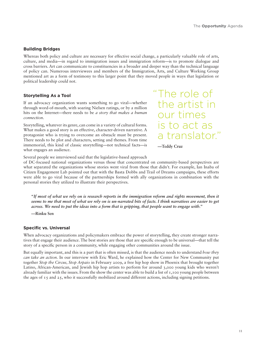#### **Building Bridges**

Whereas both policy and culture are necessary for effective social change, a particularly valuable role of arts, culture, and media—in regard to immigration issues and immigration reform—is to promote dialogue and cross barriers. Art can communicate to constituencies in a broader and deeper way than the technical language of policy can. Numerous interviewees and members of the Immigration, Arts, and Culture Working Group mentioned art as a form of testimony to this larger point that they moved people in ways that legislation or political leadership could not.

#### **Storytelling As a Tool**

If an advocacy organization wants something to go viral—whether through word-of-mouth, with soaring Nielsen ratings, or by a million hits on the Internet—there needs to be *a story that makes a human connection.*

Storytelling, whatever its genre, can come in a variety of cultural forms. What makes a good story is an effective, character-driven narrative. A protagonist who is trying to overcome an obstacle must be present. There needs to be plot and characters, setting and themes. From time immemorial, this kind of classic storytelling—not technical facts—is what engages an audience.

"The role of the artist in our times is to act as a translator."

 **—Teddy Cruz**

Several people we interviewed said that the legislative-based approach

of DC-focused national organizations versus those that concentrated on community-based perspectives are what separated the organizations whose stories went viral from those that didn't. For example, Ian Inaba of Citizen Engagement Lab pointed out that with the Basta Dobbs and Trail of Dreams campaigns, these efforts were able to go viral because of the partnerships formed with ally organizations in combination with the personal stories they utilized to illustrate their perspectives.

**"***If most of what we rely on is research reports in the immigration reform and rights movement, then it seems to me that most of what we rely on is un-narrated bits of facts. I think narratives are easier to get across. We need to put the ideas into a form that is gripping, that people want to engage with."* 

**—Rinku Sen**

#### **Specific vs. Universal**

When advocacy organizations and policymakers embrace the power of storytelling, they create stronger narratives that engage their audience. The best stories are those that are specific enough to be universal—that tell the story of a specific person in a community, while engaging other communities around the issue.

But equally important, and this is a part that is often missed, is that the audience needs to understand *how they can take an action.* In our interview with Eric Ward, he explained how the Center for New Community put together *Stop the Circus, Stop Arpaio* in February 2009, a free hip hop show in Phoenix that brought together Latino, African-American, and Jewish hip hop artists to perform for around 3,000 young kids who weren't already familiar with the issues. From the show the center was able to build a list of 1,100 young people between the ages of 15 and 25, who it successfully mobilized around different actions, including signing petitions.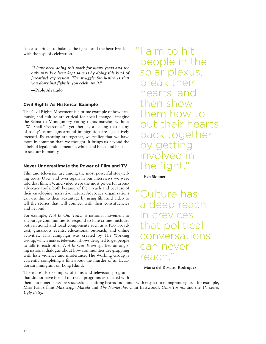It is also critical to balance the fight—and the heartbreak with the joys of celebration.

*"I have been doing this work for many years and the only way I've been kept sane is by doing this kind of [creative] expression. The struggle for justice is that you don't just fight it, you celebrate it."* 

**—Pablo Alvarado**

#### **Civil Rights As Historical Example**

The Civil Rights Movement is a prime example of how arts, music, and culture are critical for social change—imagine the Selma to Montgomery voting rights marches without "We Shall Overcome"—yet there is a feeling that many of today's campaigns around immigration are legislatively focused. By creating art together, we realize that we have more in common than we thought. It brings us beyond the labels of legal, undocumented, white, and black and helps us to see our humanity.

#### **Never Underestimate the Power of Film and TV**

Film and television are among the most powerful storytelling tools. Over and over again in our interviews we were told that film, TV, and video were the most powerful art-asadvocacy tools, both because of their reach and because of their enveloping, narrative nature. Advocacy organizations can use this to their advantage by using film and video to tell the stories that will connect with their constituencies and beyond.

For example, *Not In Our Town,* a national movement to encourage communities to respond to hate crimes, includes both national and local components such as a PBS broadcast, grassroots events, educational outreach, and online activities. This campaign was created by The Working Group, which makes television shows designed to get people to talk to each other. *Not In Our Town* sparked an ongoing national dialogue about how communities are grappling with hate violence and intolerance. The Working Group is currently completing a film about the murder of an Ecuadorian immigrant on Long Island.

There are also examples of films and television programs that do not have formal outreach programs associated with

"I aim to hit people in the solar plexus, break their hearts, and then show them how to put their hearts back together v aettir  $INV\cap IV\cap\Omega$ the fight.

 **—Ben Skinner**

Culture has a deep reach in crevices that political conversations can never reach."

 **—Maria del Rosario Rodriquez**

them but nonetheless are successful at shifting hearts and minds with respect to immigrant rights—for example, Mira Nair's films *Mississippi Masala* and *The Namesake,* Clint Eastwood's *Gran Torino,* and the TV series *Ugly Betty.*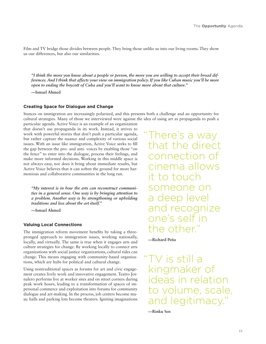Film and TV bridge those divides between people. They bring those unlike us into our living rooms. They show us our differences, but also our similarities.

*"I think the more you know about a people or person, the more you are willing to accept their broad differences. And I think that affects your view on immigration policy. If you like Cuban music you'll be more open to ending the boycott of Cuba and you'll want to know more about that culture."*

**—Ismael Ahmed**

#### **Creating Space for Dialogue and Change**

Stances on immigration are increasingly polarized, and this presents both a challenge and an opportunity for cultural strategies. Many of those we interviewed were against the idea of using art as propaganda to push a

particular agenda. Active Voice is an example of an organization that doesn't use propaganda in its work. Instead, it strives to work with powerful stories that don't push a particular agenda, but rather capture the nuance and complexity of various social issues. With an issue like immigration, Active Voice seeks to fill the gap between the pro- and anti- voices by enabling those "on the fence" to enter into the dialogue, process their feelings, and make more informed decisions. Working in this middle space is not always easy, nor does it bring about immediate results, but Active Voice believes that it can soften the ground for more harmonious and collaborative communities in the long run.

*"My interest is in how the arts can reconstruct communities in a general sense. One way is by bringing attention to a problem. Another way is by strengthening or upholding traditions and less about the art itself."*

**—Ismael Ahmed**

#### **Valuing Local Connections**

The immigration reform movement benefits by taking a threepronged approach to immigration issues, working nationally, locally, and virtually. The same is true when it engages arts and culture strategies for change. By working locally to connect arts organizations with social justice organizations, cultural tides can change. This means engaging with community-based organizations, which are hubs for political and cultural change.

Using nontraditional spaces as forums for art and civic engagement creates lively work and innovative engagement. Teatro Jornalero performs live at worker sites and on street corners during peak work hours, leading to a transformation of spaces of impersonal commerce and exploitation into forums for community dialogue and art-making. In the process, job centers become music halls and parking lots become theaters. Igniting imaginations "There's a way that the direct connection of cinema allows it to touch someone on a deep level and recognize one's self in the other."

 **—Richard Peña**

TV is still a kingmaker of ideas in relation to volume, scale, and legitimacy."

 **—Rinku Sen**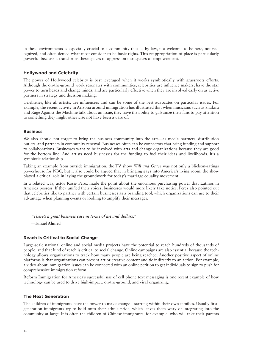in these environments is especially crucial to a community that is, by law, not welcome to be here, not recognized, and often denied what most consider to be basic rights. This reappropriation of place is particularly powerful because it transforms these spaces of oppression into spaces of empowerment.

#### **Hollywood and Celebrity**

The power of Hollywood celebrity is best leveraged when it works symbiotically with grassroots efforts. Although the on-the-ground work resonates with communities, celebrities are influence makers, have the star power to turn heads and change minds, and are particularly effective when they are involved early on as active partners in strategy and decision making.

Celebrities, like all artists, are influencers and can be some of the best advocates on particular issues. For example, the recent activity in Arizona around immigration has illustrated that when musicians such as Shakira and Rage Against the Machine talk about an issue, they have the ability to galvanize their fans to pay attention to something they might otherwise not have been aware of.

#### **Business**

We also should not forget to bring the business community into the arts—as media partners, distribution outlets, and partners in community renewal. Businesses often can be connectors that bring funding and support to collaborations. Businesses want to be involved with arts and change organizations because they are good for the bottom line. And artists need businesses for the funding to fuel their ideas and livelihoods. It's a symbiotic relationship.

Taking an example from outside immigration, the TV show *Will and Grace* was not only a Nielson-ratings powerhouse for NBC, but it also could be argued that in bringing gays into America's living room, the show played a critical role in laying the groundwork for today's marriage equality movement.

In a related way, actor Rosie Perez made the point about the enormous purchasing power that Latinos in America possess. If they unified their voices, businesses would more likely take notice. Perez also pointed out that celebrities like to partner with certain businesses as a branding tool, which organizations can use to their advantage when planning events or looking to amplify their messages.

 *"There's a great business case in terms of art and dollars."*

**—Ismael Ahmed**

#### **Reach Is Critical to Social Change**

Large-scale national online and social media projects have the potential to reach hundreds of thousands of people, and that kind of reach is critical to social change. Online campaigns are also essential because the technology allows organizations to track how many people are being reached. Another positive aspect of online platforms is that organizations can present art or creative content and tie it directly to an action. For example, a video about immigration issues can be connected with an online petition to get individuals to sign to push for comprehensive immigration reform.

Reform Immigration for America's successful use of cell phone text messaging is one recent example of how technology can be used to drive high-impact, on-the-ground, and viral organizing.

#### **The Next Generation**

The children of immigrants have the power to make change—starting within their own families. Usually firstgeneration immigrants try to hold onto their ethnic pride, which leaves them wary of integrating into the community at large. It is often the children of Chinese immigrants, for example, who will take their parents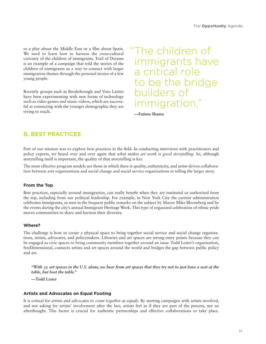to a play about the Middle East or a film about Spain. We need to learn how to harness the cross-cultural curiosity of the children of immigrants. Trail of Dreams is an example of a campaign that told the stories of the children of immigrants as a way to connect with larger immigration themes through the personal stories of a few young people.

Recently groups such as Breakthrough and Voto Latino have been experimenting with new forms of technology such as video games and music videos, which are successful at connecting with the younger demographic they are trying to reach.

"The children of immigrants have a critical role to be the bridge builders of immigration."

 **—Fatima Shama**

## **B. BEST PRACTICES**

Part of our mission was to explore best practices in the field. In conducting interviews with practitioners and policy experts, we heard over and over again that *what makes art work is good storytelling.* So, although storytelling itself is important, the quality of that storytelling is key.

The most effective program models are those in which there is quality, authenticity, and artist-driven collaboration between arts organizations and social change and social service organizations in telling the larger story.

#### **From the Top**

Best practices, especially around immigration, can really benefit when they are instituted or authorized from the top, including from our political leadership. For example, in New York City the current administration celebrates immigrants, as seen in the frequent public remarks on the subject by Mayor Mike Bloomberg and by the events during the city's annual Immigrant Heritage Week. This type of organized celebration of ethnic pride moves communities to share and harness their diversity.

#### **Where?**

The challenge is how to create a physical space to bring together social service and social change organizations, artists, advocates, and policymakers. Libraries and art spaces are strong entry points because they can be engaged as civic spaces to bring community members together around an issue. Todd Lester's organization, freeDimensional, connects artists and art spaces around the world and bridges the gap between public policy and art.

*"With 35 art spaces in the U.S. alone, we hear from art spaces that they try not to just have a seat at the table, but host the table."* 

**—Todd Lester**

#### **Artists and Advocates on Equal Footing**

It is critical for *artists and advocates to come together as equals.* By starting campaigns with artists involved, and not asking for artists' involvement after the fact, artists feel as if they are part of the process, not an afterthought. This factor is crucial for authentic partnerships and effective collaborations to take place.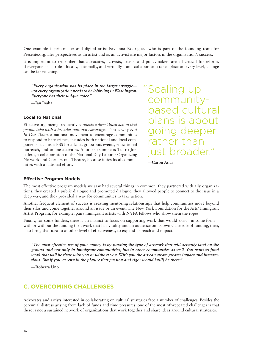One example is printmaker and digital artist Favianna Rodriguez, who is part of the founding team for Presente.org. Her perspectives as an artist and as an activist are major factors in the organization's success.

It is important to remember that advocates, activists, artists, and policymakers are all critical for reform. If everyone has a role—locally, nationally, and virtually—and collaboration takes place on every level, change can be far reaching.

*"Every organization has its place in the larger struggle not every organization needs to be lobbying in Washington. Everyone has their unique voice."*

**—Ian Inaba**

#### **Local to National**

Effective organizing frequently *connects a direct local action that people take with a broader national campaign.* That is why *Not In Our Town,* a national movement to encourage communities to respond to hate crimes, includes both national and local components such as a PBS broadcast, grassroots events, educational outreach, and online activities. Another example is Teatro Jornalero, a collaboration of the National Day Laborer Organizing Network and Cornerstone Theatre, because it ties local communities with a national effort.

"Scaling up communitybased cultural plans is about going deeper rather than just broader."

 **—Caron Atlas**

#### **Effective Program Models**

The most effective program models we saw had several things in common: they partnered with ally organizations, they created a public dialogue and promoted dialogue, they allowed people to connect to the issue in a deep way, and they provided a way for communities to take action.

Another frequent element of success is creating mentoring relationships that help communities move beyond their silos and come together around an issue or an event. The New York Foundation for the Arts' Immigrant Artist Program, for example, pairs immigrant artists with NYFA fellows who show them the ropes.

Finally, for some funders, there is an instinct to focus on supporting work that would exist—in some form with or without the funding (i.e., work that has vitality and an audience on its own). The role of funding, then, is to bring that idea to another level of effectiveness, to expand its reach and impact.

*"The most effective use of your money is by funding the type of artwork that will actually land on the ground and not only in immigrant communities, but in other communities as well. You want to fund work that will be there with you or without you. With you the art can create greater impact and intersections. But if you weren't in the picture that passion and rigor would [still] be there."* 

**—Roberta Uno**

### **C. OVERCOMING CHALLENGES**

Advocates and artists interested in collaborating on cultural strategies face a number of challenges. Besides the perennial distress arising from lack of funds and time pressures, one of the most oft-repeated challenges is that there is not a sustained network of organizations that work together and share ideas around cultural strategies.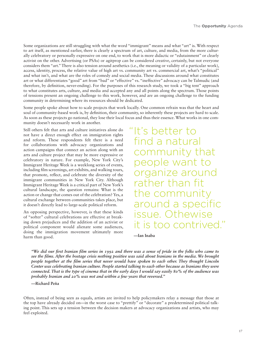Some organizations are still struggling with what the word "immigrant" means and what "art" is. With respect to art itself, as mentioned earlier, there is clearly a spectrum of art, culture, and media, from the more culturally celebratory or personally expressive on one end, to work that is more didactic or "edutainment" or clearly activist on the other. Advertising (or PSAs) or agitprop can be considered creative, certainly, but not everyone considers them "art." There is also tension around aesthetics (i.e., the meaning or validity of a particular work), access, identity, process, the relative value of high art vs. community art vs. commercial art, what's "political" and what isn't, and what are the roles of comedy and social media. These discussions around what constitutes art or what differentiates "good" art from "bad" or "effective" vs. "ineffective" advocacy can be Talmudic (and therefore, by definition, never-ending). For the purposes of this research study, we took a "big tent" approach to what constitutes arts, culture, and media and accepted any and all points along the spectrum. Those points of tensions present an ongoing challenge to this work, however, and are an ongoing challenge to the funding community in determining where its resources should be dedicated.

Some people spoke about how to scale projects that work locally. One common refrain was that the heart and soul of community-based work is, by definition, their community, so inherently these projects are hard to scale. As soon as these projects go national, they lose their local focus and thus their essence. What works in one community doesn't necessarily work in another.

Still others felt that arts and culture initiatives alone do not have a direct enough effect on immigration rights and reform. These respondents felt there is a need for collaborations with advocacy organizations and action campaigns that connect an action along with an arts and culture project that may be more expressive or celebratory in nature. For example, New York City's Immigrant Heritage Week is a weeklong series of events, including film screenings, art exhibits, and walking tours, that promote, reflect, and celebrate the diversity of the immigrant communities in New York City. Although Immigrant Heritage Week is a critical part of New York's cultural landscape, the question remains: What is the action or change that comes out of the celebration? Yes, a cultural exchange between communities takes place, but it doesn't directly lead to large-scale political reform.

An opposing perspective, however, is that these kinds of "softer" cultural celebrations are effective at breaking down prejudices and the addition of an activist or political component would alienate some audiences, doing the immigration movement ultimately more harm than good.

"It's better to find a natural community that people want to organize around rather than fit the community around a specific issue. Othewise it is too contrived."

 **—Ian Inaba**

*"We did our first Iranian film series in 1992 and there was a sense of pride in the folks who came to see the films. After the hostage crisis nothing positive was said about Iranians in the media. We brought people together at the film series that never would have spoken to each other. They thought Lincoln Center was celebrating Iranian culture. People started talking to each other because as Iranians they were connected. That is the type of cinema that in the early days I would say easily 80% of the audience was probably Iranian and 20% was not and within a few years that reversed."*

**—Richard Peña**

Often, instead of being seen as equals, artists are invited to help policymakers relay a message that those at the top have already decided on—in the worst case to "prettify" or "decorate" a predetermined political talking point. This sets up a tension between the decision makers at advocacy organizations and artists, who may feel exploited.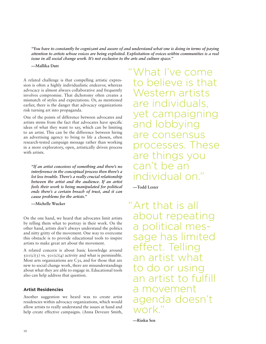*"You have to constantly be cognizant and aware of and understand what one is doing in terms of paying attention to artists whose voices are being exploited. Exploitation of voices within communities is a real issue in all social change work. It's not exclusive to the arts and culture space."* 

**—Mallika Dutt**

A related challenge is that compelling artistic expression is often a highly individualistic endeavor, whereas advocacy is almost always collaborative and frequently involves compromise. That dichotomy often creates a mismatch of styles and expectations. Or, as mentioned earlier, there is the danger that advocacy organizations risk turning art into propaganda.

One of the points of difference between advocates and artists stems from the fact that advocates have specific ideas of what they want to say, which can be limiting to an artist. This can be the difference between hiring an advertising agency to bring to life a chosen, often research-tested campaign message rather than working in a more exploratory, open, artistically driven process with artists.

*"If an artist conceives of something and there's no interference in the conceptual process then there's a lot less trouble. There's a really crucial relationship between the artist and the audience. If an artist feels their work is being manipulated for political ends there's a certain breach of trust, and it can cause problems for the artists."*

**—Michelle Wucker**

On the one hand, we heard that advocates limit artists by telling them what to portray in their work. On the other hand, artists don't always understand the politics and nitty gritty of the movement. One way to overcome this obstacle is to provide educational tools to inspire artists to make great art about the movement.

A related concern is about basic knowledge around  $50I(c)(3)$  vs.  $50I(c)(4)$  activity and what is permissible. Most arts organizations are C3s, and for those that are new to social change work, there are misunderstandings about what they are able to engage in. Educational tools also can help address that question.

#### **Artist Residencies**

Another suggestion we heard was to create artist residencies within advocacy organizations, which would allow artists to really understand the issues at hand and help create effective campaigns. (Anna Deveare Smith, "What I've come to believe is that Western artists are individuals, yet campaigning and lobbying are consensus processes. These are things you can't be an individual on."

 **—Todd Lester**

"Art that is all about repeating a political message has limited effect. Telling an artist what to do or using an artist to fulfill a movement agenda doesn't work"

 **—Rinku Sen**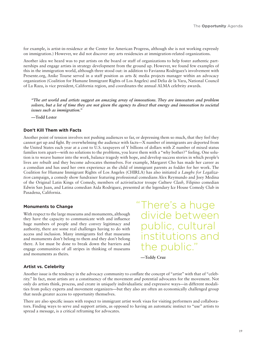for example, is artist-in-residence at the Center for American Progress, although she is not working expressly on immigration.) However, we did not discover any arts residencies at immigration-related organizations.

Another idea we heard was to put artists on the board or staff of organizations to help foster authentic partnerships and engage artists in strategy development from the ground up. However, we found few examples of this in the immigration world, although three stood out: in addition to Favianna Rodriguez's involvement with Presente.org, Anike Tourse served in a staff position as arts & media projects manager within an advocacy organization (Coalition for Humane Immigrant Rights of Los Angeles) and Delia de la Vara, National Council of La Raza, is vice president, California region, and coordinates the annual ALMA celebrity awards.

*"The art world and artists suggest an amazing array of innovations. They are innovators and problem solvers, but a lot of time they are not given the agency to direct that energy and innovation to societal issues such as immigration."* 

**—Todd Lester**

#### Don't Kill Them with Facts

Another point of tension involves not pushing audiences so far, or depressing them so much, that they feel they cannot get up and fight. By overwhelming the audience with facts—X number of immigrants are deported from the United States each year at a cost to U.S. taxpayers of Y billions of dollars with Z number of mixed status families torn apart—with no solutions to the problems, you leave them with a "why bother?" feeling. One solution is to weave humor into the work, balance tragedy with hope, and develop success stories in which people's lives are rebuilt and they become advocates themselves. For example, Margaret Cho has made her career as a comedian and has used her own experience as the child of immigrant parents as fodder for her work. The Coalition for Humane Immigrant Rights of Los Angeles (CHIRLA) has also initiated a *Laughs for Legalization* campaign, a comedy show fundraiser featuring professional comedians Alex Reymundo and Joey Medina of the Original Latin Kings of Comedy, members of activist/actor troupe *Culture Clash,* Filipino comedian Edwin San Juan, and Latina comedian Aida Rodriguez, presented at the legendary Ice House Comedy Club in Pasadena, California.

#### **Monuments to Change**

With respect to the large museums and monuments, although they have the capacity to communicate with and influence huge numbers of people and they convey legitimacy and authority, there are some real challenges having to do with access and inclusion. Many immigrants feel that museums and monuments don't belong to them and they don't belong there. A lot must be done to break down the barriers and engage communities of all stripes in thinking of museums and monuments as theirs.

"There's a huge divide between public, cultural institutions and the public."

 **—Teddy Cruz**

#### **Artist vs. Celebrity**

Another issue is the tendency in the advocacy community to conflate the concept of "artist" with that of "celebrity." In fact, most artists are a constituency of the movement *and* potential advocates for the movement. Not only do artists think, process, and create in uniquely individualistic and expressive ways—in different modalities from policy experts and movement organizers—but they also are often an economically challenged group that needs greater access to opportunity themselves.

There are also specific issues with respect to immigrant artist work visas for visiting performers and collaborators. Finding ways to serve and support artists, as opposed to having an automatic instinct to "use" artists to spread a message, is a critical reframing for advocates.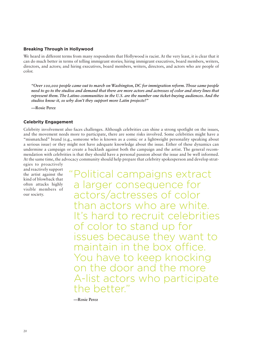#### **Breaking Through in Hollywood**

We heard in different terms from many respondents that Hollywood is racist. At the very least, it is clear that it can do much better in terms of telling immigrant stories; hiring immigrant executives, board members, writers, directors, and actors; and hiring executives, board members, writers, directors, and actors who are people of color.

*"Over 100,000 people came out to march on Washington, DC for immigration reform. Those same people need to go to the studios and demand that there are more actors and actresses of color and story lines that represent them. The Latino communities in the U.S. are the number one ticket-buying audiences. And the studios know it, so why don't they support more Latin projects?"*

**—Rosie Perez**

#### **Celebrity Engagement**

Celebrity involvement also faces challenges. Although celebrities can shine a strong spotlight on the issues, and the movement needs more to participate, there are some risks involved. Some celebrities might have a "mismatched" brand (e.g., someone who is known as a comic or a lightweight personality speaking about a serious issue) or they might not have adequate knowledge about the issue. Either of these dynamics can undermine a campaign or create a backlash against both the campaign and the artist. The general recommendation with celebrities is that they should have a personal passion about the issue and be well informed. At the same time, the advocacy community should help prepare that celebrity spokesperson and develop strat-

egies to proactively and reactively support the artist against the kind of blowback that often attacks highly visible members of our society.

"Political campaigns extract a larger consequence for actors/actresses of color than actors who are white. It's hard to recruit celebrities of color to stand up for issues because they want to maintain in the box office. You have to keep knocking on the door and the more A-list actors who participate the better."

 **—Rosie Perez**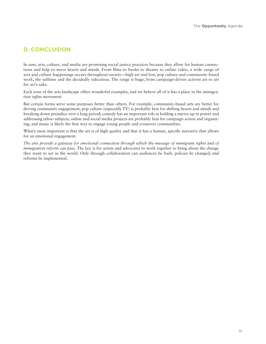## **D. CONCLUSION**

In sum, arts, culture, and media are promising social justice practices because they allow for human connections and help to move hearts and minds. From films to books to theater to online video, a wide range of arts and culture happenings occurs throughout society—high art and low, pop culture and community-based work, the sublime and the decidedly ridiculous. The range is huge, from campaign-driven activist art to art for art's sake.

Each zone of the arts landscape offers wonderful examples, and we believe all of it has a place in the immigration rights movement.

But certain forms serve some purposes better than others. For example, community-based arts are better for driving community engagement; pop culture (especially TV) is probably best for shifting hearts and minds and breaking down prejudice over a long period; comedy has an important role in holding a mirror up to power and addressing taboo subjects; online and social media projects are probably best for campaign action and organizing; and music is likely the best way to engage young people and crossover communities.

What's most important is that the art is of high quality and that it has a human, specific narrative that allows for an emotional engagement.

*The arts provide a gateway for emotional connection through which the message of immigrant rights and of immigration reform can pass*. The key is for artists and advocates to work together to bring about the change they want to see in the world. Only through collaboration can audiences be built, policies be changed, and reforms be implemented.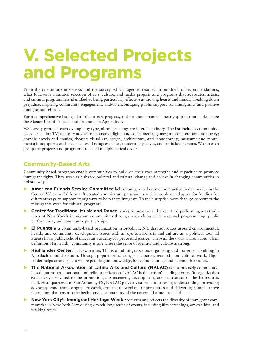## **V. Selected Projects** and Programs

From the one-on-one interviews and the survey, which together resulted in hundreds of recommendations, what follows is a curated selection of arts, culture, and media projects and programs that advocates, artists, and cultural programmers identified as being particularly effective at moving hearts and minds, breaking down prejudice, inspiring community engagement, and/or encouraging public support for immigrants and positive immigration reform.

For a comprehensive listing of all the artists, projects, and programs named—nearly 400 in total—please see the Master List of Projects and Programs in Appendix A.

We loosely grouped each example by type, although many are interdisciplinary. The list includes communitybased arts; film; TV; celebrity advocates; comedy; digital and social media; games; music; literature and poetry; graphic novels and comics; theater; visual art, design, architecture, and iconography; museums and monuments; food; sports; and special cases of refugees, exiles, modern-day slaves, and trafficked persons. Within each group the projects and programs are listed in alphabetical order.

## **Community-Based Arts**

Community-based programs enable communities to build on their own strengths and capacities to promote immigrant rights. They serve as hubs for political and cultural change and believe in changing communities in holistic ways.

- **American Friends Service Committee** helps immigrants become more active in democracy in the Central Valley in California. It created a mini-grant program in which people could apply for funding for different ways to support immigrants to help them integrate. To their surprise more than 50 percent of the mini-grants were for cultural programs.
- **1St Center for Traditional Music and Dance** works to preserve and present the performing arts traditions of New York's immigrant communities through research-based educational programming, public performance, and community partnerships.
- **32 El Puente** is a community-based organization in Brooklyn, NY, that advocates around environmental, health, and community development issues with an eye toward arts and culture as a political tool. El Puente has a public school that is an academy for peace and justice, where all the work is arts-based. Their definition of a healthy community is one where the sense of identity and culture is strong.
- **Highlander Center,** in Newmarket, TN, is a hub of grassroots organizing and movement building in Appalachia and the South. Through popular education, participatory research, and cultural work, Highlander helps create spaces where people gain knowledge, hope, and courage and expand their ideas.
- **The National Association of Latino Arts and Culture (NALAC)** is not precisely communitybased, but rather a national umbrella organization. NALAC is the nation's leading nonprofit organization exclusively dedicated to the promotion, advancement, development, and cultivation of the Latino arts field. Headquartered in San Antonio, TX, NALAC plays a vital role in fostering understanding, providing advocacy, conducting original research, creating networking opportunities and delivering administrative instruction that ensures the health and sustainability of the national Latino arts field.
- **Solution New York City's Immigrant Heritage Week** promotes and reflects the diversity of immigrant communities in New York City during a week-long series of events, including film screenings, art exhibits, and walking tours.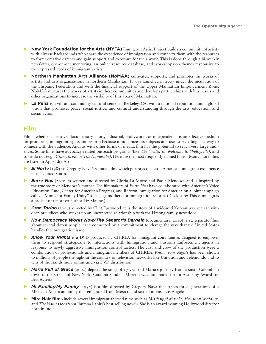- **New York Foundation for the Arts (NYFA)** Immigrant Artist Project builds a community of artists with diverse backgrounds who share the experience of immigration and connects them with the resources to foster creative careers and gain support and exposure for their work. This is done through a bi-weekly newsletter, one-on-one mentoring, an online resource database, and workshops on themes responsive to the expressed needs of immigrant artists.
- **Northern Manhattan Arts Alliance (NoMAA)** cultivates, supports, and promotes the works of artists and arts organizations in northern Manhattan. It was launched in 2007 under the incubation of the Hispanic Federation and with the financial support of the Upper Manhattan Empowerment Zone. NoMAA nurtures the works of artists in these communities and develops partnerships with businesses and other organizations to increase the visibility of this area of Manhattan.
- **La Peña** is a vibrant community cultural center in Berkeley, CA, with a national reputation and a global vision that promotes peace, social justice, and cultural understanding through the arts, education, and social action.

## $Film$

Film—whether narrative, documentary, short, industrial, Hollywood, or independent—is an effective medium for promoting immigrant rights and reform because it humanizes its subjects and uses storytelling as a way to connect with the audience. And, as with other forms of media, film has the potential to reach very large audiences. Some films have advocacy-related outreach programs (like *The Visitor* or *Welcome to Shelbyville)*, and some do not (e.g., *Gran Torino* or *The Namesake)*. Here are the most frequently named films. (Many more films are listed in Appendix A.)

- *El Norte* (1983) is Gregory Nava's seminal film, which portrays the Latin American immigrant experience in the United States.
- **≥ Entre Nos** (2010) is written and directed by Gloria La Morte and Paola Mendoza and is inspired by the true story of Mendoza's mother. The filmmakers of *Entre Nos* have collaborated with America's Voice Education Fund, Center for American Progress, and Reform Immigration for America on a joint campaign called "Moms for Family Unity" to engage mothers for immigration reform. (Disclosure: This campaign is a project of report co-author Liz Manne.)
- ▶ **Gran Torino** (2008), directed by Clint Eastwood, tells the story of a widowed Korean war veteran with deep prejudices who strikes up an unexpected relationship with the Hmong family next door.
- **6** How Democracy Works Now/The Senator's Bargain (documentary, 2010) is 12 separate films about several dozen people, each connected by a commitment to change the way that the United States handles the immigration issue.
- *Know Your Rights* is a DVD produced by CHIRLA for immigrant communities designed to empower them to respond strategically to interactions with Immigration and Customs Enforcement agents in response to newly aggressive immigration control tactics. The cast and crew of the production were a combination of professionals and immigrant members of CHIRLA. *Know Your Rights* has been shown to millions of people throughout the country on television networks like Univision and Telemundo and to tens of thousands more online and via DVD distribution.
- *Maria Full of Grace* (2004) depicts the story of 17-year-old Maria's journey from a small Colombian town to the streets of New York. Catalina Sandina Moreno was nominated for an Academy Award for Best Actress.
- **Mi Familia/My Family** (1995) is a film directed by Gregory Nava that traces three generations of a Mexican-American family that emigrated from Mexico and settled in East Los Angeles.
- **Mira Nair films** include several immigrant-themed films such as *Mississippi Masala, Monsoon Wedding,* and *The Namesake* (from Jhumpa Lahiri's best-selling novel). She is an award-winning Hollywood director born in India.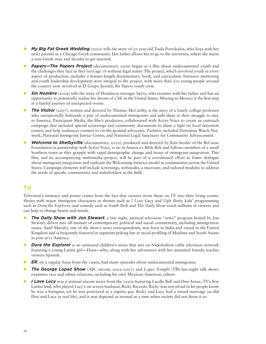- **My Big Fat Greek Wedding** (2002) tells the story of 30-year-old Toula Portokalos, who lives with her strict parents in a Chicago Greek community. Her father allows her to go to the university, where she meets a non-Greek man and decides to get married.
- **>** Papers-The Papers Project (documentary, 2009) began as a film about undocumented youth and the challenges they face as they turn age 18 without legal status. The project, which involved youth in every aspect of production, includes a feature-length documentary, book, and curriculum. Intensive mentoring and youth leadership development were integral to the project, with more than 500 young people around the country now involved in El Grupo Juvenil, the *Papers* youth crew.
- **API Sin Nombre** (2009) tells the story of Honduran teenager Sayra, who reunites with her father and has an opportunity to potentially realize her dream of a life in the United States. Moving to Mexico is the first step in a fateful journey of unexpected events.
- *Fhe Visitor* (2007), written and directed by Thomas McCarthy, is the story of a lonely college professor who unexpectedly befriends a pair of undocumented immigrants and aids them in their struggle to stay in America. Participant Media, the film's producers, collaborated with Active Voice to create an outreach campaign that included special screenings and community discussions to shine a light on local detention centers and help audiences connect to on-the-ground advocates. Partners included Detention Watch Network, National Immigrant Justice Center, and National Legal Sanctuary for Community Advancement.
- **Welcome to Shelbyville** (documentary, 2010), produced and directed by Kim Snyder of the BeCause Foundation in partnership with Active Voice, is set in America's Bible Belt and follows members of a small Southern town as they grapple with rapid demographic change and issues of immigrant integration. This film, and its accompanying multimedia project, will be part of a coordinated effort to foster dialogue about immigrant integration and replicate the Welcoming America model in communities across the United States. Campaign elements will include screenings, webisodes, a microsite, and tailored modules to address the needs of specific communities and stakeholders in the field.

### **TV**

Television's intimacy and power comes from the fact that viewers invite those on TV into their living rooms. Shows with major immigrant characters or themes such as *I Love Lucy* and *Ugly Betty,* kids' programming such as *Dora the Explorer,* and comedy such as *South Park* and *The Daily Show* reach millions of viewers and can help to change hearts and minds.

- **The Daily Show with Jon Stewart**, a late night, satirical television "news" program hosted by Jon Stewart, delves into all manner of contemporary political and social commentary, including immigration issues. Aasif Mandvi, one of the show's news correspondents, was born in India and raised in the United Kingdom and is frequently featured in segments poking fun at racial profiling of Muslims and South Asians in post-9/11 America.
- *2 Dora the Explorer* is an animated children's series that airs on Nickelodeon cable television network featuring a young Latina girl—Dora—who, along with her adventures with her animated friends, teaches viewers Spanish.
- *ER*, on a regular basis from the 1990s, had many episodes about undocumented immigrants.
- *Bive The George Lopez Show* (ABC sitcom, 2002–2007) and *Lopez Tonight* (TBS late-night talk show) examines race and ethnic relations, including his own Mexican-American culture.
- *7: Love Lucy* was a seminal sitcom series from the 1950s featuring Lucille Ball and Desi Arnaz, TV's first Latino lead, who played Lucy's on-screen husband, Ricky Ricardo. Ricky was not afraid to let people know he was a foreigner, yet he was portrayed as a regular guy. Ricky and Lucy had a mixed marriage (as did Desi and Lucy in real life), and it was depicted as normal at a time when society did not deem it so.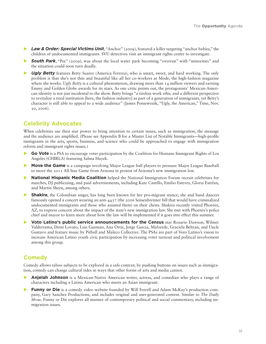- **Law & Order: Special Victims Unit,** "Anchor" (2009), featured a killer targeting "anchor babies," the children of undocumented immigrants. SVU detectives visit an immigrant rights center to investigate.
- **A** South Park, "Pee" (2009), was about the local water park becoming "overrun" with "minorities" and the situation could soon turn deadly.
- **Cultum Cu<sub>rv</sub> Cu<sub>rv</sub>** features Betty Suarez (America Ferrera), who is smart, sweet, and hard working. The only problem is that she's not thin and beautiful like all her co-workers at Mode, the high-fashion magazine where she works. *Ugly Betty* is a cultural phenomenon, drawing more than 14 million viewers and earning Emmy and Golden Globe awards for its stars. As one critic points out, the protagonists' Mexican-American identity is not just incidental to the show. Betty brings "a tireless work ethic and a different perspective to revitalize a tired institution [here, the fashion industry] as part of a generation of immigrants, yet Betty's character is still able to appeal to a wide audience" (James Poniewozik, "Ugly, the American," Time, Nov. 20, 2006).

## **Celebrity Advocates**

When celebrities use their star power to bring attention to certain issues, such as immigration, the message and the audience are amplified. (Please see Appendix B for a Master List of Notable Immigrants—high-profile immigrants in the arts, sports, business, and science who could be approached to engage with immigration reform and immigrant rights issues.)

- **50 Vote** is a PSA to encourage voter participation by the Coalition for Humane Immigrant Rights of Los Angeles (CHIRLA) featuring Salma Hayek.
- **Move the Game** is a campaign involving Major League ball players to pressure Major League Baseball to move the 2011 All-Star Game from Arizona in protest of Arizona's new immigration law.
- **National Hispanic Media Coalition** helped the National Immigration Forum recruit celebrities for marches, DJ publicizing, and paid advertisements, including Kate Castillo, Emilio Estevez, Gloria Estefan, and Martin Sheen, among others.
- **Shakira**, the Colombian singer, has long been known for her pro-migrant stance; she and band dancers famously opened a concert wearing an anti-4437 (the 2006 Sensenbrenner bill that would have criminalized undocumented immigrants and those who assisted them) on their chests. Shakira recently visited Phoenix, AZ, to express concern about the impact of the state's new immigration law. She met with Phoenix's police chief and mayor to learn more about how the law will be implemented if it goes into effect this summer.
- **D** Voto Latino's public service announcements for the Census star Rosario Dawson, Wilmer Valderrama, Demi Lovato, Luis Guzman, Ana Ortiz, Jorge Garcia, Malverde, Graciela Beltran, and Uncle Gustavo and feature music by Pitbull and Maleco Collective. The PSAs are part of Voto Latino's vision to increase American Latino youth civic participation by increasing voter turnout and political involvement among this group.

## **Comedy**

Comedy allows taboo subjects to be explored in a safe context; by pushing buttons on issues such as immigration, comedy can change cultural tides in ways that other forms of arts and media cannot.

- **Anjelah Johnson** is a Mexican-Native American writer, actress, and comedian who plays a range of characters including a Latina American who meets an Asian immigrant.
- **Funny or Die** is a comedy video website founded by Will Ferrell and Adam McKay's production company, Gary Sanchez Productions, and includes original and user-generated content. Similar to *The Daily Show,* Funny or Die explores all manner of contemporary political and social commentary, including immigration issues.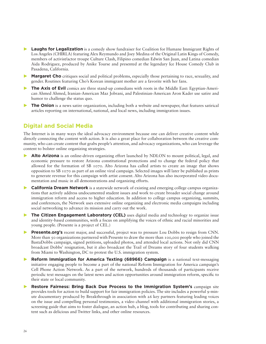- **Laughs for Legalization** is a comedy show fundraiser for Coalition for Humane Immigrant Rights of Los Angeles (CHIRLA) featuring Alex Reymundo and Joey Medina of the Original Latin Kings of Comedy, members of activist/actor troupe Culture Clash, Filipino comedian Edwin San Juan, and Latina comedian Aida Rodriguez, produced by Anike Tourse and presented at the legendary Ice House Comedy Club in Pasadena, California.
- **Margaret Cho** critiques social and political problems, especially those pertaining to race, sexuality, and gender. Routines featuring Cho's Korean immigrant mother are a favorite with her fans.
- **The Axis of Evil** comics are three stand-up comedians with roots in the Middle East: Egyptian-American Ahmed Ahmed, Iranian-American Maz Jobrani, and Palestinian-American Aron Kader use satire and humor to challenge the status quo.
- **The Onion** is a news satire organization, including both a website and newspaper, that features satirical articles reporting on international, national, and local news, including immigration issues.

### **Digital and Social Media**

The Internet is in many ways the ideal advocacy environment because one can deliver creative content while directly connecting the content with action. It is also a great place for collaboration between the creative community, who can create content that grabs people's attention, and advocacy organizations, who can leverage the content to bolster online organizing strategies.

- **Alto Arizona** is an online-driven organizing effort launched by NDLON to mount political, legal, and economic pressure to restore Arizona constitutional protections and to change the federal policy that allowed for the formation of SB 1070. Alto Arizona has called artists to create an image that shows opposition to SB 1070 as part of an online viral campaign. Selected images will later be published as prints to generate revenue for this campaign with artist consent. Alto Arizona has also incorporated video documentation and music in all demonstrations and organizing efforts.
- **California Dream Network** is a statewide network of existing and emerging college campus organizations that actively address undocumented student issues and work to create broader social change around immigration reform and access to higher education. In addition to college campus organizing, summits, and conferences, the Network uses extensive online organizing and electronic media campaigns including social networking to advance its mission and carry out the work.
- **The Citizen Engagement Laboratory (CEL)** uses digital media and technology to organize issue and identity-based communities, with a focus on amplifying the voices of ethnic and racial minorities and young people. (Presente is a project of CEL.)
- **Presente.org's** recent major, and successful, project was to pressure Lou Dobbs to resign from CNN. More than 50 organizations partnered with Presente to draw the more than 100,000 people who joined the BastaDobbs campaign, signed petitions, uploaded photos, and attended local actions. Not only did CNN broadcast Dobbs' resignation, but it also broadcast the Trail of Dreams story of four students walking from Miami to Washington, DC to protest the U.S. immigration system.
- **Reform Immigration for America Texting (68966) Campaign** is a national text-messaging initiative engaging people to become a part of the national Reform Immigration for America campaign's Cell Phone Action Network. As a part of the network, hundreds of thousands of participants receive periodic text messages on the latest news and action opportunities around immigration reform, specific to their state or local community.
- **Exable 20 Septimes 20 Septimes: Bring Back Due Process to the Immigration System's campaign site** provides tools for action to build support for fair immigration policies. The site includes a powerful 9-minute documentary produced by Breakthrough in association with 26 key partners featuring leading voices on the issue and compelling personal testimonies, a video channel with additional immigration stories, a screening guide that aims to foster dialogue, an action hub, a blog, tools for contributing and sharing content such as delicious and Twitter links, and other online resources.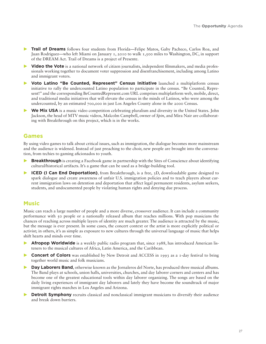- **Trail of Dreams** follows four students from Florida—Felipe Matos, Gaby Pacheco, Carlos Roa, and Juan Rodriguez—who left Miami on January 1, 2010 to walk 1,500 miles to Washington, DC, in support of the DREAM Act. Trail of Dreams is a project of Presente.
- **DEDIA is a national network of citizen journalists, independent filmmakers, and media profes**sionals working together to document voter suppression and disenfranchisement, including among Latino and immigrant voters.
- Voto Latino "Be Counted, Represent" Census Initiative launched a multiplatform census initiative to rally the undercounted Latino population to participate in the census. "Be Counted, Represent!" and the corresponding BeCountedRepresent.com URL comprises multiplatform web, mobile, direct, and traditional media initiatives that will elevate the census in the minds of Latinos, who were among the undercounted, by an estimated 700,000 in just Los Angeles County alone in the 2000 Census.
- **We Mix USA** is a music video competition celebrating pluralism and diversity in the United States. John Jackson, the head of MTV music videos, Malcolm Campbell, owner of *Spin*, and Mira Nair are collaborating with Breakthrough on this project, which is in the works.

## **Games**

By using video games to talk about critical issues, such as immigration, the dialogue becomes more mainstream and the audience is widened. Instead of just preaching to the choir, new people are brought into the conversation, from techies to gaming aficionados to youth.

- **Breakthrough** is creating a Facebook game in partnership with the Sites of Conscience about identifying cultural/historical artifacts. It's a game that can be used as a bridge-building tool.
- **ICED (I Can End Deportation)**, from Breakthrough, is a free, 3D, downloadable game designed to spark dialogue and create awareness of unfair U.S. immigration policies and to teach players about current immigration laws on detention and deportation that affect legal permanent residents, asylum seekers, students, and undocumented people by violating human rights and denying due process.

### **Music**

Music can reach a large number of people and a more diverse, crossover audience. It can include a community performance with 50 people or a nationally released album that reaches millions. With pop musicians the chances of reaching across multiple layers of identity are much greater. The audience is attracted by the music, but the message is ever present. In some cases, the concert context or the artist is more explicitly political or activist; in others, it's as simple as exposure to new cultures through the universal language of music that helps shift hearts and minds over time.

- **Afropop Worldwide** is a weekly public radio program that, since 1988, has introduced American listeners to the musical cultures of Africa, Latin America, and the Caribbean.
- **1 Concert of Colors** was established by New Detroit and ACCESS in 1993 as a 1-day festival to bring together world music and folk musicians.
- **2** Day Laborers Band, otherwise known as the Jornaleros del Norte, has produced three musical albums. The Band plays at schools, union halls, universities, churches, and day laborer corners and centers and has become one of the greatest educational tools within day laborer organizing. The songs are based on the daily living experiences of immigrant day laborers and lately they have become the soundtrack of major immigrant rights marches in Los Angeles and Arizona.
- **Detroit Symphony** recruits classical and nonclassical immigrant musicians to diversify their audience and break down barriers.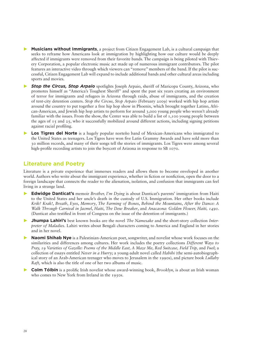- **Musicians without Immigrants,** a project from Citizen Engagement Lab, is a cultural campaign that seeks to reframe how Americans look at immigration by highlighting how our culture would be deeply affected if immigrants were removed from their favorite bands. The campaign is being piloted with Thievery Corporation, a popular electronic music act made up of numerous immigrant contributors. The pilot features an interactive video through which viewers can "remove" members of the band. If the pilot is successful, Citizen Engagement Lab will expand to include additional bands and other cultural areas including sports and movies.
- **Stop the Circus, Stop Arpaio** spotlights Joseph Arpaio, sheriff of Maricopa County, Arizona, who promotes himself as "America's Toughest Sheriff" and spent the past six years creating an environment of terror for immigrants and refugees in Arizona through raids, abuse of immigrants, and the creation of tent-city detention centers. *Stop the Circus, Stop Arpaio* (February 2009) worked with hip hop artists around the country to put together a free hip hop show in Phoenix, which brought together Latino, African-American, and Jewish hip hop artists to perform for around 3,000 young people who weren't already familiar with the issues. From the show, the Center was able to build a list of 1,100 young people between the ages of  $\tau$ 5 and  $\tau$ 5, who it successfully mobilized around different actions, including signing petitions against racial profiling.
- **Los Tigres del Norte** is a hugely popular norteño band of Mexican-Americans who immigrated to the United States as teenagers. Los Tigres have won five Latin Grammy Awards and have sold more than 30 million records, and many of their songs tell the stories of immigrants. Los Tigres were among several high-profile recording artists to join the boycott of Arizona in response to SB 1070.

### **Literature and Poetry**

Literature is a private experience that immerses readers and allows them to become enveloped in another world. Authors who write about the immigrant experience, whether in fiction or nonfiction, open the door to a foreign landscape that connects the reader to the alienation, isolation, and confusion that immigrants can feel living in a strange land.

- **Edwidge Danticat's** memoir *Brother, I'm Dying* is about Danticat's parents' immigration from Haiti to the United States and her uncle's death in the custody of U.S. Immigration. Her other books include *Krik? Krak!*, *Breath*, *Eyes*, *Memory*, *The Farming of Bones*, *Behind the Mountains*, *After the Dance: A Walk Through Carnival in Jacmel*, *Haiti*, *The Dew Breaker*, and *Anacaona: Golden Flower, Haiti, 1490*. (Danticat also testified in front of Congress on the issue of the detention of immigrants.)
- **Shumpa Lahiri's** best known books are the novel *The Namesake* and the short-story collection *Interpreter of Maladies.* Lahiri writes about Bengali characters coming to America and England in her stories and in her novel.
- **Naomi Shihab Nye** is a Palestinian-American poet, songwriter, and novelist whose work focuses on the similarities and differences among cultures. Her work includes the poetry collections *Different Ways to Pray, 19 Varieties of Gazelle: Poems of the Middle East, A Maze Me, Red Suitcase, Field Trip,* and *Fuel*; a collection of essays entitled *Never in a Hurry*; a young-adult novel called *Habibi* (the semi-autobiographical story of an Arab-American teenager who moves to Jerusalem in the 1990s), and picture book *Lullaby Raft,* which is also the title of one of her two albums of music.
- **Colm Tóibín** is a prolific Irish novelist whose award-winning book, *Brooklyn*, is about an Irish woman who comes to New York from Ireland in the 1950s.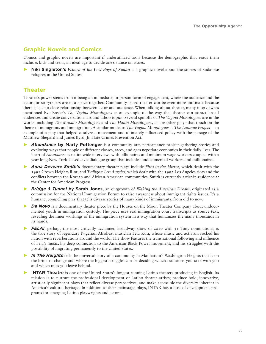## **Graphic Novels and Comics**

Comics and graphic novels are important if underutilized tools because the demographic that reads them includes kids and teens, an ideal age to decide one's stance on issues.

**Niki Singleton's** *Echoes of the Lost Boys of Sudan* is a graphic novel about the stories of Sudanese refugees in the United States.

### **Theater**

Theater's power stems from it being an immediate, in-person form of engagement, where the audience and the actors or storytellers are in a space together. Community-based theater can be even more intitmate because there is such a close relationship between actor and audience. When talking about theater, many interviewees mentioned Eve Ensler's *The Vagina Monologues* as an example of the way that theater can attract broad audiences and create conversations around taboo topics. Several spinoffs of *The Vagina Monologues* are in the works, including *The Mojado Monologues* and *The Hajibi Monologues,* as are other plays that touch on the theme of immigrants and immigration. A similar model to *The Vagina Monologues* is *The Laramie Project—*an example of a play that helped catalyze a movement and ultimately influenced policy with the passage of the Matthew Shepard and James Byrd, Jr. Hate Crimes Prevention Act.

- *Abundance* by Marty Pottenger is a community arts performance project gathering stories and exploring ways that people of different classes, races, and ages negotiate economics in their daily lives. The heart of *Abundance* is nationwide interviews with billionaires and minimum wage workers coupled with a year-long New York–based civic dialogue group that includes undocumented workers and millionaires.
- */> Anna Deveare Smith's* documentary theater plays include *Fires in the Mirror*, which dealt with the 1991 Crown Heights Riot, and *Twilight: Los Angeles,* which dealt with the 1992 Los Angeles riots and the conflicts between the Korean and African-American communities. Smith is currently artist-in-residence at the Center for American Progress.
- *Bridge & Tunnel by Sarah Jones, an outgrowth of <i>Waking the American Dream, originated as a* commission for the National Immigration Forum to raise awareness about immigrant rights issues. It's a humane, compelling play that tells diverse stories of many kinds of immigrants, from old to new.
- *De Novo* is a documentary theater piece by the Houses on the Moon Theater Company about undocumented youth in immigration custody. The piece uses real immigration court transcripts as source text, revealing the inner workings of the immigration system in a way that humanizes the many thousands in its hands.
- **FELA!**, perhaps the most critically acclaimed Broadway show of 2010 with 11 Tony nominations, is the true story of legendary Nigerian Afrobeat musician Fela Kuti, whose music and activism rocked his nation with reverberations around the world. The show features the transnational following and influence of Fela's music, his deep connection to the American Black Power movement, and his struggles with the possibility of migrating permanently to the United States.
- *In The Heights* tells the universal story of a community in Manhattan's Washington Heights that is on the brink of change and where the biggest struggles can be deciding which traditions you take with you and which ones you leave behind.
- **INTAR Theatre** is one of the United States's longest-running Latino theaters producing in English. Its mission is to nurture the professional development of Latino theater artists; produce bold, innovative, artistically significant plays that reflect diverse perspectives; and make accessible the diversity inherent in America's cultural heritage. In addition to their mainstage plays, INTAR has a host of development programs for emerging Latino playwrights and actors.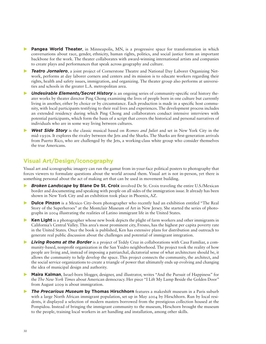- **Pangea World Theater**, in Minneapolis, MN, is a progressive space for transformation in which conversations about race, gender, ethnicity, human rights, politics, and social justice form an important backbone for the work. The theater collaborates with award-winning international artists and companies to create plays and performances that speak across geography and culture.
- **Teatro Jornalero**, a joint project of Cornerstone Theatre and National Day Laborer Organizing Network, performs at day laborer corners and centers and its mission is to educate workers regarding their rights, health and safety issues, immigration, and organizing. The theater group also performs at universities and schools in the greater L.A. metropolitan area.
- **CMidesirable Elements/Secret History** is an ongoing series of community-specific oral history theater works by theater director Ping Chong examining the lives of people born in one culture but currently living in another, either by choice or by circumstance. Each production is made in a specific host community, with local participants testifying to their real lives and experiences. The development process includes an extended residency during which Ping Chong and collaborators conduct intensive interviews with potential participants, which form the basis of a script that covers the historical and personal narratives of individuals who are in some way living between cultures.
- **EXABIGIVE IS EXABABICY** is the classic musical based on *Romeo and Juliet* and set in New York City in the mid-1950s. It explores the rivalry between the Jets and the Sharks. The Sharks are first-generation arrivals from Puerto Rico, who are challenged by the Jets, a working-class white group who consider themselves the true Americans.

## **Visual Art/Design/Iconography**

Visual art and iconographic imagery can run the gamut from in-your-face political posters to photography that forces viewers to formulate questions about the world around them. Visual art is not in-person, yet there is something personal about the act of making art that can be used in movement building.

- *Broken Landscape by Blane De St. Croix involved De St. Croix traveling the entire U.S./Mexican* border and documenting and speaking with people on all sides of the immigration issue. It already has been shown in New York City and an exhibition took place in Phoenix, AZ.
- **20 Dulce Pinzon** is a Mexico City–born photographer who recently had an exhibition entitled "The Real Story of the Superheroes" at the Montclair Museum of Art in New Jersey. She started the series of photographs in 2004 illustrating the realities of Latino immigrant life in the United States.
- **Ken Light** is a photographer whose new book depicts the plight of farm workers and other immigrants in California's Central Valley. This area's most prominent city, Fresno, has the highest per capita poverty rate in the United States. Once the book is published, Ken has extensive plans for distribution and outreach to generate real public discussion about the challenges and potential of immigrant integration.
- **Eiving Rooms at the Border** is a project of Teddy Cruz in collaborations with Casa Familiar, a community-based, nonprofit organization in the San Ysidro neighborhood. The project took the reality of how people are living and, instead of imposing a patriarchal, dictatorial sense of what architecture should be, it allows the community to help develop the space. This project connects the community, the architect, and the social service organizations to create a triangle of power that ultimately ends up evolving and changing the idea of municipal design and authority.
- **Maira Kalman**, Israel-born blogger, designer, and illustrator, writes "And the Pursuit of Happiness" for the *The New York Times* about American democracy. Her piece "I Lift My Lamp Beside the Golden Door" from August 2009 is about immigration.
- *Bisafie Precarious Museum by Thomas Hirschhorn* features a makeshift museum in a Paris suburb with a large North African immigrant population, set up in May 2004 by Hirschhorn. Run by local residents, it displayed a selection of modern masters borrowed from the prestigious collection housed at the Pompidou. Instead of bringing the immigrant community to the museum, Hirschorn brought the museum to the people, training local workers in art handling and installation, among other skills.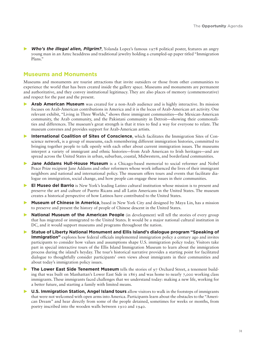**Who's the illegal alien, Pilgrim?**, Yolanda Lopez's famous 1978 political poster, features an angry young man in an Aztec headdress and traditional jewelry holding a crumpled-up paper titled "Immigration Plans<sup>"</sup>

### **Museums and Monuments**

Museums and monuments are tourist attractions that invite outsiders or those from other communities to experience the world that has been created inside the gallery space. Museums and monuments are permanent and authoritative, and they convey institutional legitimacy. They are also places of memory (commemorative) and respect for the past and the present.

- *•* Arab American Museum was created for a non-Arab audience and is highly interactive. Its mission focuses on Arab-American contributions in America and it is the locus of Arab-American art activity. One relevant exhibit, "Living in Three Worlds," shows three immigrant communities—the Mexican-American community, the Arab community, and the Pakistani community in Detroit—showing their commonalities and differences. The museum's great strength is that it tries to find a way for everyone to relate. The museum convenes and provides support for Arab-American artists.
- **International Coalition of Sites of Conscience**, which facilitates the Immigration Sites of Conscience network, is a group of museums, each remembering different immigration histories, committed to bringing together people to talk openly with each other about current immigration issues. The museums interpret a variety of immigrant and ethnic histories—from Arab American to Irish heritages—and are spread across the United States in urban, suburban, coastal, Midwestern, and borderland communities.
- **Jane Addams Hull-House Museum** is a Chicago-based memorial to social reformer and Nobel Peace Prize recipient Jane Addams and other reformers whose work influenced the lives of their immigrant neighbors and national and international policy. The museum offers tours and events that facilitate dialogue on immigration, social change, and how people can engage these issues in their communities.
- **32 El Museo del Barrio** is New York's leading Latino cultural institution whose mission is to present and preserve the art and culture of Puerto Ricans and all Latin Americans in the United States. The museum creates a historical perspective of how Latinos have contributed to the United States.
- **Museum of Chinese in America**, based in New York City and designed by Maya Lin, has a mission to preserve and present the history of people of Chinese descent in the United States.
- **National Museum of the American People** (in development) will tell the stories of every group that has migrated or immigrated to the United States. It would be a major national cultural institution in DC, and it would support museums and programs throughout the nation.
- **Statue of Liberty National Monument and Ellis Island's dialogue program "Speaking of Immigration**" explores how federal officials implemented immigration policy a century ago and invites participants to consider how values and assumptions shape U.S. immigration policy today. Visitors take part in special interactive tours of the Ellis Island Immigration Museum to learn about the immigration process during the island's heyday. The tour's historical narrative provides a starting point for facilitated dialogue to thoughtfully consider participants' own views about immigrants in their communities and about today's immigration policy issues.
- **The Lower East Side Tenement Museum** tells the stories of 97 Orchard Street, a tenement building that was built on Manhattan's Lower East Side in 1863 and was home to nearly 7,000 working class immigrants. These immigrants faced challenges that we understand today: making a new life, working for a better future, and starting a family with limited means.
- **U.S. Immigration Station, Angel Island tours** allow visitors to walk in the footsteps of immigrants that were not welcomed with open arms into America. Participants learn about the obstacles to the "American Dream" and hear directly from some of the people detained, sometimes for weeks or months, from poetry inscribed into the wooden walls between 1910 and 1940.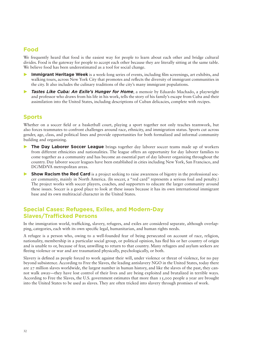## **4]]R**

We frequently heard that food is the easiest way for people to learn about each other and bridge cultural divides. Food is the gateway for people to accept each other because they are literally sitting at the same table. We believe food has been underestimated as a tool for social change.

- **7 Immigrant Heritage Week** is a week-long series of events, including film screenings, art exhibits, and walking tours, across New York City that promotes and reflects the diversity of immigrant communities in the city. It also includes the culinary traditions of the city's many immigrant populations.
- *Fastes Like Cuba: An Exile's Hunger for Home.* **a memoir by Eduardo Machado, a playwright** and professor who draws from his life in his work, tells the story of his family's escape from Cuba and their assimilation into the United States, including descriptions of Cuban delicacies, complete with recipes.

## **Sports**

Whether on a soccer field or a basketball court, playing a sport together not only teaches teamwork, but also forces teammates to confront challenges around race, ethnicity, and immigration status. Sports cut across gender, age, class, and political lines and provide opportunities for both formalized and informal community building and organizing.

- **The Day Laborer Soccer League** brings together day laborer soccer teams made up of workers from different ethnicities and nationalities. The league offers an opportunity for day laborer families to come together as a community and has become an essential part of day laborer organizing throughout the country. Day laborer soccer leagues have been established in cities including New York, San Francisco, and DC/MD/VA metropolitan areas.
- **Show Racism the Red Card** is a project seeking to raise awareness of bigotry in the professional soccer community, mainly in North America. (In soccer, a "red card" represents a serious foul and penalty.) The project works with soccer players, coaches, and supporters to educate the larger community around these issues. Soccer is a good place to look at these issues because it has its own international immigrant base and its own multiracial character in the United States.

## **Special Cases: Refugees, Exiles, and Modern-Day Slaves/Trafficked Persons**

In the immigration world, trafficking, slavery, refugees, and exiles are considered separate, although overlapping, categories, each with its own specific legal, humanitarian, and human rights needs.

A refugee is a person who, owing to a well-founded fear of being persecuted on account of race, religion, nationality, membership in a particular social group, or political opinion, has fled his or her country of origin and is unable to or, because of fear, unwilling to return to that country. Many refugees and asylum seekers are fleeing violence or war and are traumatized physically, psychologically, or both.

Slavery is defined as people forced to work against their will, under violence or threat of violence, for no pay beyond subsistence. According to Free the Slaves, the leading antislavery NGO in the United States, today there are 27 million slaves worldwide, the largest number in human history, and like the slaves of the past, they cannot walk away—they have lost control of their lives and are being exploited and brutalized in terrible ways. According to Free the Slaves, the U.S. government estimates that more than 15,000 people a year are brought into the United States to be used as slaves. They are often tricked into slavery through promises of work.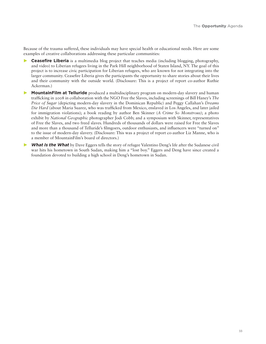Because of the trauma suffered, these individuals may have special health or educational needs. Here are some examples of creative collaborations addressing these particular communities:

**Ceasefire Liberia** is a multimedia blog project that teaches media (including blogging, photography, and video) to Liberian refugees living in the Park Hill neighborhood of Staten Island, NY. The goal of this project is to increase civic participation for Liberian refugees, who are known for not integrating into the larger community. Ceasefire Liberia gives the participants the opportunity to share stories about their lives and their community with the outside world. (Disclosure: This is a project of report co-author Ruthie Ackerman.)

- **MountainFilm at Telluride** produced a multidisciplinary program on modern-day slavery and human trafficking in 2008 in collaboration with the NGO Free the Slaves, including screenings of Bill Haney's *The Price of Sugar* (depicting modern-day slavery in the Dominican Republic) and Peggy Callahan's *Dreams Die Hard* (about Maria Suarez, who was trafficked from Mexico, enslaved in Los Angeles, and later jailed for immigration violations); a book reading by author Ben Skinner (*A Crime So Monstrous)*; a photo exhibit by *National Geographic* photographer Jodi Cobb; and a symposium with Skinner, representatives of Free the Slaves, and two freed slaves. Hundreds of thousands of dollars were raised for Free the Slaves and more than a thousand of Telluride's filmgoers, outdoor enthusiasts, and influencers were "turned on" to the issue of modern-day slavery. (Disclosure: This was a project of report co-author Liz Manne, who is a member of MountainFilm's board of directors.)
- **What Is the What** by Dave Eggers tells the story of refugee Valentino Deng's life after the Sudanese civil war hits his hometown in South Sudan, making him a "lost boy." Eggers and Deng have since created a foundation devoted to building a high school in Deng's hometown in Sudan.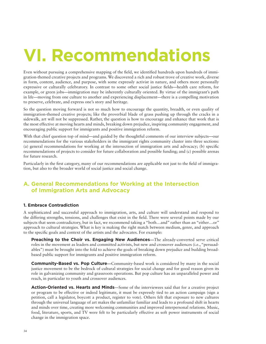## **VI. Recommendations**

Even without pursuing a comprehensive mapping of the field, we identified hundreds upon hundreds of immigration-themed creative projects and programs. We discovered a rich and robust trove of creative work, diverse in form, content, audience, and purpose, with some expressly activist in nature, and others more personally expressive or culturally celebratory. In contrast to some other social justice fields—health care reform, for example, or green jobs—immigration may be inherently culturally oriented. By virtue of the immigrant's path in life—moving from one culture to another and experiencing displacement—there is a compelling motivation to preserve, celebrate, and express one's story and heritage.

So the question moving forward is not so much how to encourage the quantity, breadth, or even quality of immigration-themed creative projects; like the proverbial blade of grass pushing up through the cracks in a sidewalk, art will not be suppressed. Rather, the question is how to encourage and enhance that work that is the most effective at moving hearts and minds, breaking down prejudice, inspiring community engagement, and encouraging public support for immigrants and positive immigration reform.

With that chief question top of mind—and guided by the thoughtful comments of our interview subjects—our recommendations for the various stakeholders in the immigrant rights community cluster into three sections: (a) general recommendations for working at the intersection of immigration arts and advocacy; (b) specific recommendations of projects to consider for future collaboration and possible funding; and (c) possible arenas for future research.

Particularly in the first category, many of our recommendations are applicable not just to the field of immigration, but also to the broader world of social justice and social change.

## A. General Recommendations for Working at the Intersection **of Immigration Arts and Advocacy**

#### **1. Embrace Contradiction**

A sophisticated and successful approach to immigration, arts, and culture will understand and respond to the differing strengths, tensions, and challenges that exist in the field. There were several points made by our subjects that seem contradictory, but in fact, we recommend taking a "both…and" rather than an "either…or" approach to cultural strategies. What is key is making the right match between medium, genre, and approach to the specific goals and context of the artists and the advocates. For example:

**Preaching to the Choir vs. Engaging New Audiences—The already-converted serve critical** roles in the movement as leaders and committed activists, but new and crossover audiences (i.e., "persuadables") must be brought into the fold to achieve the goals of breaking down prejudice and building broadbased public support for immigrants and positive immigration reform.

**Community-Based vs. Pop Culture**—Community-based work is considered by many in the social justice movement to be the bedrock of cultural strategies for social change and for good reason given its role in galvanizing community and grassroots operations. But pop culture has an unparalleled power and reach, in particular to youth and crossover audiences.

**Action-Oriented vs. Hearts and Minds**—Some of the interviewees said that for a creative project or program to be effective or indeed legitimate, it must be expressly tied to an action campaign (sign a petition, call a legislator, boycott a product, register to vote). Others felt that exposure to new cultures through the universal language of art makes the unfamiliar familiar and leads to a profound shift in hearts and minds over time, creating more welcoming communities and improved interpersonal relations. Music, food, literature, sports, and TV were felt to be particularly effective as soft power instruments of social change in the immigration space.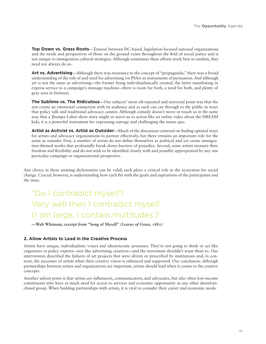**Top Down vs. Grass Roots**—Tension between DC-based, legislation-focused national organizations and the needs and perspectives of those on the ground exists throughout the field of social justice and is not unique to immigration cultural strategies. Although sometimes these efforts work best in tandem, they need not always do so.

**Art vs. Advertising—Although there was resistance to the concept of "propaganda," there was a broad** understanding of the role of and need for advertising (or PSAs) as instruments of persuasion. And although art is not the same as advertising—the former being individualistically created, the latter manifesting in express service to a campaign's message machine—there is room for both, a need for both, and plenty of gray area in between.

**The Sublime vs. The Ridiculous**—Our subjects' most oft-repeated and universal point was that the arts create an emotional connection with its audience and as such can cut through to the public in ways that policy talk and traditional advocacy cannot. Although comedy doesn't move or touch us in the same way that a Jhumpa Lahiri short story might or move us to action like an online video about the DREAM kids, it is a powerful instrument for expressing outrage and challenging the status quo.

**Artist as Activist vs. Artist as Outsider**—Much of the discussion centered on finding optimal ways for artists and advocacy organizations to partner effectively, but there remains an important role for the artist as outsider. First, a number of artists do not define themselves as political and yet create immigration-themed works that profoundly break down barriers of prejudice. Second, some artists treasure their freedom and flexibility and do not wish to be identified closely with and possibly appropriated by any one particular campaign or organizational perspective.

Any choice in these seeming dichotomies can be valid; each plays a critical role in the ecosystem for social change. Crucial, however, is understanding how each fits with the goals and aspirations of the participants and the issue.

## "Do I contradict myself? Very well then I contradict myself, (I am large, I contain multitudes.)"

**—Walt Whitman, excerpt from "Song of Myself" (***Leaves of Grass***, 1881)**

#### **2. Allow Artists to Lead in the Creative Process**

Artists have unique, individualistic voices and idiosyncratic processes. They're not going to think or act like organizers or policy experts—nor like advertising creatives—and the movement shouldn't want them to. Our interviewees described the failures of art projects that were driven or prescribed by institutions and, in contrast, the successes of artists when their creative vision is enhanced and supported. Our conclusion: although partnerships between artists and organizations are important, artists should lead when it comes to the creative concepts.

Another salient point is that artists are influencers, communicators, and advocates, but also often low-income constituents who have as much need for access to services and economic opportunity as any other disenfranchised group. When building partnerships with artists, it is vital to consider their career and economic needs.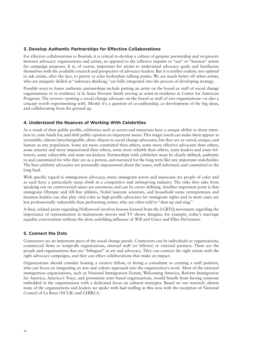#### **3. Develop Authentic Partnerships for Effective Collaborations**

For effective collaborations to flourish, it is critical to develop a culture of genuine partnership and reciprocity between advocacy organizations and artists, as opposed to the reflexive impulse to "use" or "harness" artists for campaign purposes. It is, of course, important for artists to understand advocacy goals and familiarize themselves with the available research and perspective of advocacy leaders. But it is neither realistic nor optimal to ask artists, after the fact, to parrot or echo boilerplate talking points. We are much better off when artists, who are uniquely skilled at "sideways thinking," are fully integrated into the process of developing strategy.

Possible ways to foster authentic partnerships include putting an artist on the board or staff of social change organizations or in residency (à la Anna Deveare Smith serving as artist-in-residence at Center for American Progress). The reverse—putting a social-change advocate on the board or staff of arts organizations—is also a concept worth experimenting with. Mostly it's a question of co-authorship, co-development of the big ideas, and collaborating from the ground up.

#### **4. Understand the Nuances of Working With Celebrities**

As a result of their public profile, celebrities such as actors and musicians have a unique ability to draw attention to, raise funds for, and shift public opinion on important issues. This magic touch can make them appear as irresistible, almost interchangeable, shiny objects to social change advocates, but they are as varied, unique, and human as any population. Some are more committed than others, some more effective advocates than others, some smarter and more impassioned than others, some more reliable than others, some leaders and some followers, some vulnerable and some ass-kickers. Partnerships with celebrities must be clearly defined, authentic to and customized for who they are as a person, and nurtured for the long term like any important stakeholder. The best celebrity advocates are personally impassioned about the issues, well informed, and committed to the long haul.

With specific regard to immigration advocacy, many immigrant actors and musicians are people of color and as such have a particularly steep climb in a competitive and unforgiving industry. The risks they take from speaking out on controversial issues are enormous and can be career defining. Another important point is that immigrant Olympic and All-Star athletes, Nobel laureate scientists, and household name entrepreneurs and business leaders can also play vital roles as high-profile advocates for immigrant rights and in most cases are less professionally vulnerable than performing artists, who are often told to "shut up and sing."

A final, related point regarding Hollywood involves lessons learned from the LGBTQ movement regarding the importance of representation in mainstream movies and TV shows. Imagine, for example, today's marriage equality conversation without the slow, unfolding influence of *Will and Grace* and Ellen DeGeneres.

#### **5. Connect the Dots**

Connectors are an important piece of the social change puzzle. Connectors can be individuals or organizations, commercial firms or nonprofit organizations, internal staff (or fellows) or external partners. These are the people and organizations that are "bilingual" in art and advocacy. They can connect the right artists with the right advocacy campaigns, and they can effect collaborations that make an impact.

Organizations should consider hosting a creative fellow, or hiring a consultant or creating a staff position, who can focus on integrating an arts and culture approach into the organization's work. Most of the national immigration organizations, such as National Immigration Forum, Welcoming America, Reform Immigration for America, America's Voice, and prominent state-based organizations, would benefit from having someone embedded in the organizations with a dedicated focus on cultural strategies. Based on our research, almost none of the organizations and leaders we spoke with had staffing in this area with the exception of National Council of La Raza (NCLR) and CHIRLA.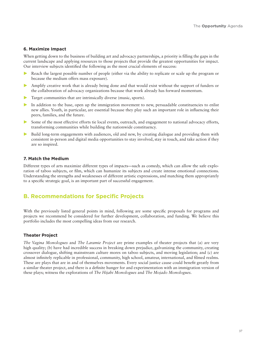### **6. Maximize Impact**

When getting down to the business of building art and advocacy partnerships, a priority is filling the gaps in the current landscape and applying resources to those projects that provide the greatest opportunities for impact. Our interview subjects identified the following as the most crucial elements of success:

- Reach the largest possible number of people (either via the ability to replicate or scale up the program or because the medium offers mass exposure).
- Amplify creative work that is already being done and that would exist without the support of funders or the collaboration of advocacy organizations because that work already has forward momentum.
- Target communities that are intrinsically diverse (music, sports).
- In addition to the base, open up the immigration movement to new, persuadable constituencies to enlist new allies. Youth, in particular, are essential because they play such an important role in influencing their peers, families, and the future.
- Some of the most effective efforts tie local events, outreach, and engagement to national advocacy efforts, transforming communities while building the nationwide constituency.
- **Build long-term engagements with audiences, old and new, by creating dialogue and providing them with** consistent in-person and digital media opportunities to stay involved, stay in touch, and take action if they are so inspired.

### **7. Match the Medium**

Different types of arts maximize different types of impacts—such as comedy, which can allow the safe exploration of taboo subjects, or film, which can humanize its subjects and create intense emotional connections. Understanding the strengths and weaknesses of different artistic expressions, and matching them appropriately to a specific strategic goal, is an important part of successful engagement.

# **B. Recommendations for Specific Projects**

With the previously listed general points in mind, following are some specific proposals for programs and projects we recommend be considered for further development, collaboration, and funding. We believe this portfolio includes the most compelling ideas from our research.

### **Theater Project**

*The Vagina Monologues* and *The Laramie Project* are prime examples of theater projects that (a) are very high quality; (b) have had incredible success in breaking down prejudice, galvanizing the community, creating crossover dialogue, shifting mainstream culture mores on taboo subjects, and moving legislation; and (c) are almost infinitely replicable in professional, community, high school, amateur, international, and filmed realms. These are plays that are in and of themselves movements. Every social justice cause could benefit greatly from a similar theater project, and there is a definite hunger for and experimentation with an immigration version of these plays; witness the explorations of *The Hijabi Monologues* and *The Mojado Monologues.*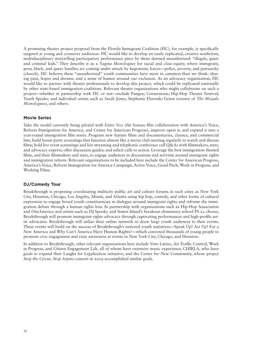A promising theater project proposal from the Florida Immigrant Coalition (FIC), for example, is specifically targeted at young and crossover audiences. FIC would like to develop an easily replicated, creative nonfiction, multidisciplinary storytelling participatory performance piece by those deemed unauthorized: "illegals, queer and criminal kids." They describe it as a *Vagina Monologues* for racial and class equity, where immigrant, poor, black, and queer families are coming under attack by hegemonic forces—police, poverty, and patriarchy (church). FIC believes these "unauthorized" youth communities have more in common than we think: sharing pain, hopes and dreams, and a sense of humor around our exclusion. As an advocacy organization, FIC would like to partner with theater professionals to develop this project, which could be replicated nationally by other state-based immigration coalitions. Relevant theater organizations who might collaborate on such a project—whether in partnership with FIC or not—include Pangea; Cornerstone; Hip-Hop Theatre Festival; Youth Speaks; and individual artists such as Sarah Jones, Stephanie Elizondo Griest (creator of *The Mojado Monologues)*, and others.

### **Movie Series**

Take the model currently being piloted with *Entre Nos* (the feature film collaboration with America's Voice, Reform Immigration for America, and Center for American Progress), improve upon it, and expand it into a year-round immigration film series. Program new feature films and documentaries, classics, and commercial hits; build house party screenings that function almost like a movie club meeting regularly to watch and discuss films; hold live event screenings and live streaming and telephonic conference call Q&As with filmmakers, stars, and advocacy experts; offer discussion guides; and solicit calls to action. Leverage the best immigration-themed films, and their filmmakers and stars, to engage audiences in discussions and activism around immigrant rights and immigration reform. Relevant organizations to be included here include the Center for American Progress, America's Voice, Reform Immigration for America Campaign, Active Voice, Good Pitch, Work in Progress, and Working Films.

### **231**/Comedy Tour

Breakthrough is proposing coordinating multicity public art and culture forums in such cities as New York City, Houston, Chicago, Los Angeles, Miami, and Atlanta using hip hop, comedy, and other forms of cultural expression to engage broad youth constituencies in dialogue around immigrant rights and reframe the immigration debate through a human rights lens. In partnership with organizations such as Hip-Hop Association and OneAmerica and artists such as DJ Spooky and Staten Island's breakout elementary school PS 22 chorus, Breakthrough will promote immigrant rights advocacy through captivating performances and high-profile artist advocates. Breakthrough will utilize their online network to draw large youth audiences to their events. These events will build on the success of Breakthrough's national youth initiatives—Speak Up! Act Up! For a New America and Why Can't America Have Human Rights?—which convened thousands of young people to promote civic engagement and raise awareness at events in New York City, Chicago, and Houston.

In addition to Breakthrough, other relevant organizations here include Voto Latino, Air Traffic Control, Work in Progress, and Citizen Engagement Lab, all of whom have extensive music experience; CHIRLA, who have goals to expand their Laughs for Legalization initiative; and the Center for New Community, whose project *Stop the Circus, Stop Arpaio* concert in 2009 accomplished similar goals.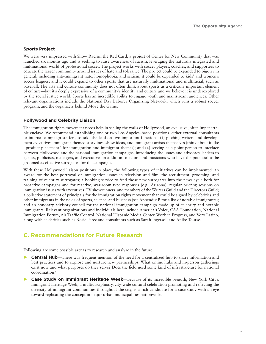### **Sports Project**

We were very impressed with Show Racism the Red Card, a project of Center for New Community that was launched six months ago and is seeking to raise awareness of racism, leveraging the naturally integrated and multinational world of professional soccer. The project works with soccer players, coaches, and supporters to educate the larger community around issues of hate and tolerance. The project could be expanded to bigotry in general, including anti-immigrant hate, homophobia, and sexism; it could be expanded to kids' and women's soccer leagues; and it could expand to other sports that are naturally multinational and multiracial, such as baseball. The arts and culture community does not often think about sports as a critically important element of culture—but it's deeply expressive of a community's identity and culture and we believe it is underexplored by the social justice world. Sports has an incredible ability to engage youth and mainstream audiences. Other relevant organizations include the National Day Laborer Organizing Network, which runs a robust soccer program, and the organizers behind Move the Game.

### **Hollywood and Celebrity Liaison**

The immigration rights movement needs help in scaling the walls of Hollywood, an exclusive, often impenetrable enclave. We recommend establishing one or two Los Angeles–based positions, either external consultants or internal campaign staffers, to take the lead on two important functions: (1) pitching writers and development executives immigrant-themed storylines, show ideas, and immigrant artists themselves (think about it like "product placement" for immigration and immigrant themes); and (2) serving as a point person to interface between Hollywood and the national immigration campaigns, introducing the issues and advocacy leaders to agents, publicists, managers, and executives in addition to actors and musicians who have the potential to be groomed as effective surrogates for the campaign.

With these Hollywood liaison positions in place, the following types of initiatives can be implemented: an award for the best portrayal of immigration issues in television and film; the recruitment, grooming, and training of celebrity surrogates; a booking service to feed those new surrogates into the news cycle both for proactive campaigns and for reactive, war-room type responses (e.g., Arizona); regular briefing sessions on immigration issues with executives, TV showrunners, and members of the Writers Guild and the Directors Guild; a collective statement of principals for the immigration rights movement that could be signed by celebrities and other immigrants in the fields of sports, science, and business (see Appendix B for a list of notable immigrants); and an honorary advisory council for the national immigration campaign made up of celebrity and notable immigrants. Relevant organizations and individuals here include America's Voice, CAA Foundation, National Immigration Forum, Air Traffic Control, National Hispanic Media Center, Work in Progress, and Voto Latino, along with celebrities such as Rosie Perez and consultants such as Sarah Ingersoll and Anike Tourse.

## **C. Recommendations for Future Research**

Following are some possible arenas to research and analyze in the future:

- **1St Central Hub—There was frequent mention of the need for a centralized hub to share information and** best practices and to explore and nurture new partnerships. What online hubs and in-person gatherings exist now and what purposes do they serve? Does the field need some kind of infrastructure for national coordination?
- **Case Study on Immigrant Heritage Week-Because of its incredible breadth, New York City's** Immigrant Heritage Week, a multidisciplinary, city-wide cultural celebration promoting and reflecting the diversity of immigrant communities throughout the city, is a rich candidate for a case study with an eye toward replicating the concept in major urban municipalities nationwide.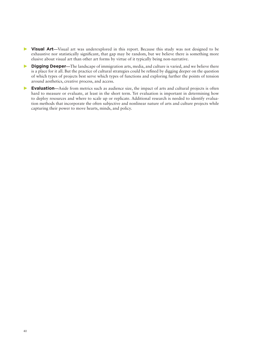- **DED** Visual Art—Visual art was underexplored in this report. Because this study was not designed to be exhaustive nor statistically significant, that gap may be random, but we believe there is something more elusive about visual art than other art forms by virtue of it typically being non-narrative.
- **2WU Digging Deeper—The landscape of immigration arts, media, and culture is varied, and we believe there** is a place for it all. But the practice of cultural strategies could be refined by digging deeper on the question of which types of projects best serve which types of functions and exploring further the points of tension around aesthetics, creative process, and access.
- **3D Evaluation—Aside from metrics such as audience size, the impact of arts and cultural projects is often** hard to measure or evaluate, at least in the short term. Yet evaluation is important in determining how to deploy resources and where to scale up or replicate. Additional research is needed to identify evaluation methods that incorporate the often subjective and nonlinear nature of arts and culture projects while capturing their power to move hearts, minds, and policy.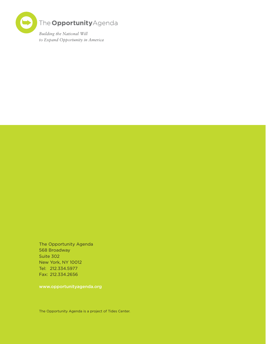

The Opportunity Agenda 568 Broadway Suite 302 New York, NY 10012 Tel: 212.334.5977 Fax: 212.334.2656

www.opportunityagenda.org

The Opportunity Agenda is a project of Tides Center.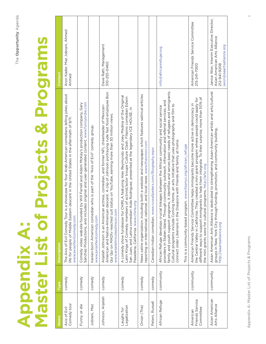# **Appendix A:<br>Master List of Projects & Programs Master List of Projects & Programs Appendix A:**

| Name                                     | Type      | <b>Description</b>                                                                                                                                                                                                                                                                                                                                                                                                                                                                                                                                    | Contact                                                                                                            |
|------------------------------------------|-----------|-------------------------------------------------------------------------------------------------------------------------------------------------------------------------------------------------------------------------------------------------------------------------------------------------------------------------------------------------------------------------------------------------------------------------------------------------------------------------------------------------------------------------------------------------------|--------------------------------------------------------------------------------------------------------------------|
| Axis of Evil<br>Comedy tour              | comedy    | The Axis of Evil Comedy Tour is a showcase for four Arab-American comedians telling jokes about<br>life for people of Middle Eastern descent in the United States in the aftermath of 9/11.<br>www.axisofevilcomedy.com                                                                                                                                                                                                                                                                                                                               | Aron Kader, Maz Jobrani, Ahmed<br>Ahmed                                                                            |
| Funny or die                             | comedy    | Sanchez Productions, and includes original and user-generated content. www.funnyordie.com<br>Comedy video website founded by Will Ferrell and Adam McKay's production company, Gary                                                                                                                                                                                                                                                                                                                                                                   |                                                                                                                    |
| Jobrani, Maz                             | comedy    | Iranian-born American comedian who is part of the "Axis of Evil" comedy group.<br>www.axisofevilcomedy.com                                                                                                                                                                                                                                                                                                                                                                                                                                            |                                                                                                                    |
| Johnson, Anjelah                         | comedy    | American and Native-American descent. A clip of Johnson portraying rude fast food employee Bon<br>Anjelah Johnson is an American actress, comedian, and former NFL cheerleader of Mexican-<br>Qui Qui on MADtv reached cult status on YouTube, earning more than 30 million views.<br>www.anjelahnicolejohnson.com                                                                                                                                                                                                                                    | Dave Rath, Management<br>310-255-0460                                                                              |
| Legalization<br>Laughs for               | comedy    | CHIRLA featuring Alex Reymundo and Joey Medina of the Original<br>Latin Kings of Comedy, members of activist/actor troupe Culture Clash, Filipino comedian Edwin<br>Aida Rodriguez, presented at the legendary ICE HOUSE, in<br>Pasadena, California. www.chirla.org<br>San Juan, and Latina comedian<br>A comedy show fundraiser for                                                                                                                                                                                                                 |                                                                                                                    |
| Onion (The)                              | comedy    | News satire organization, including both a website and newspaper, which features satirical articles<br>reporting on international, national, and local news. www.theonion.com                                                                                                                                                                                                                                                                                                                                                                         |                                                                                                                    |
| Peters, Russell                          | comedy    | Canadian-Indian comedian. www.russellpeters.com/Biography.aspx                                                                                                                                                                                                                                                                                                                                                                                                                                                                                        |                                                                                                                    |
| African Refuge                           | community | family and youth support programs, it identifies and serves basic needs of refugees and immigrants.<br>providers in Staten Island. Through community outreach, information and referral services, and<br>Cultural programs include Coming Home, an arts initiative that uses photography and film to<br>African Refuge develops crucial linkages between the African community and social service<br>Diaspora with friends and family at home.<br>This is a community-based program. www.itspnyc.org/african_refuge<br>connect older Liberians in the | info@africanrefuge.org                                                                                             |
| Friends Service<br>Committee<br>American | community | different ways to support immigrants to help them integrate. To their surprise, more than 50% of<br>the Central Valley in California. They created a mini grant program where people could apply for<br>American Friends Service Committee helps immigrants become more active in democracy in<br>the mini grants were for cultural programs. http://afsc.org                                                                                                                                                                                         | American Friends Service Committee<br>215-241-7000                                                                 |
| Asian American<br>Arts Alliance          | community | Asian American Arts Alliance is dedicated to strengthening Asian-American artists and arts/cultural<br>groups in New York City through funding, promotion, and community building.<br>http://aaartsalliance.org                                                                                                                                                                                                                                                                                                                                       | Janice Won, Interim Executive Director,<br>Asian American Arts Alliance<br>jwon@aaartsalliance.org<br>212-941-9208 |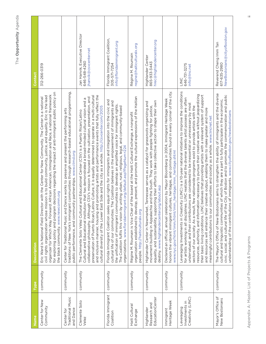| Name                                              | Type      | <b>Description</b>                                                                                                                                                                                                                                                                                                                                                                                                                                                                                                                                                                                                                                                                                                                                                                                                    | Contact                                                                   |
|---------------------------------------------------|-----------|-----------------------------------------------------------------------------------------------------------------------------------------------------------------------------------------------------------------------------------------------------------------------------------------------------------------------------------------------------------------------------------------------------------------------------------------------------------------------------------------------------------------------------------------------------------------------------------------------------------------------------------------------------------------------------------------------------------------------------------------------------------------------------------------------------------------------|---------------------------------------------------------------------------|
| Center for New<br>Community                       | community | for exploring policy and program decisions regarding the impact of anti-immigrant public policy on<br>organizer for Which Way Forward: African American, Immigration and Race, a national framework<br>civil rights organization whose mission is to build community, justice, and equality. Eric is the lead<br>Eric Ward is National Field Director with the Center for New Community. The Center is a national<br>the black community. www.newcomm.org                                                                                                                                                                                                                                                                                                                                                             | 312-266-0319                                                              |
| Traditional Music<br>and Dance<br>Center for      | community | Center for Traditional Music and Dance works to preserve and present the performing arts<br>traditions of New York's immigrant communities through research-based educational programming,<br>public performance, and community partnerships. www.ctmd.org                                                                                                                                                                                                                                                                                                                                                                                                                                                                                                                                                            |                                                                           |
| Clemente Soto<br>Velez                            | community | and promoting artists and performance events that fully reflect the<br>preservation of Puerto Rican/Latino Culture, it is equally determined to operate in a multi-cultural<br>collaborative philosophy. Although CSV's mission is focused on the cultivation, presentation, and<br>Cultural and Educational institution that has demonstrated a broad-minded cultural vision and a<br>East Side and the city as a whole. http://csvcenter.com/2005<br>The Clemente Soto Vélez Cultural and Educational Center (CSV) is a Puerto Rican/Latino<br>and inclusive manner, housing<br>cultural diversity of the Lower                                                                                                                                                                                                     | Jan Hanvik, Executive Director<br>jhanvik@csvcenter.net<br>646-548-4260   |
| Florida Immigrant<br>Coalition                    | community | Florida Immigrant Coalition seeks equal rights for immigrants and integration into the civic and<br>cultural life of our communities. The Coalition believes in the empowerment of immigrants and<br>the unification of immigrant communities to develop an amplified voice for immigrant rights.<br>The Coalition fulfils this vision by uniting urban, rural, religious, legal, and community-based<br>organizations. www.floridaimmigrant.org/default.asp?PageNum=224                                                                                                                                                                                                                                                                                                                                              | Florida Immigrant Coalition,<br>info@floridaimmigrant.org<br>305-571-7254 |
| Haiti Cultural<br>Exchange                        | community | organization established to develop, present, and promote the cultural expressions of the Haitian<br>Régine M. Roumain is Vice Chair of the board at the Haiti Cultural Exchange, a nonprofit<br>people. http://haiticulturalx.org                                                                                                                                                                                                                                                                                                                                                                                                                                                                                                                                                                                    | regine@haiticulturalx.org<br>Régine M. Roumain                            |
| EducationCenter<br>Research and<br>Highlander     | community | equality, and sustainability, supporting their efforts to take collective action to shape their own<br>Highlander Center in Newmarket, Tennessee serves as a catalyst for grassroots organizing and<br>movement building in Appalachia and the South. They work with people fighting for justice,<br>destiny. www.highlandercenter.org/about.asp                                                                                                                                                                                                                                                                                                                                                                                                                                                                      | hrec@highlandercenter.org<br>Highlander Center<br>865-933-3443            |
| Heritage Week<br>Immigrant                        | community | Declared an official, annual celebration by Mayor Bloomberg in 2004, Immigrant Heritage Week<br>honors the vibrant immigrant cultures, heritages, and communities found in every corner of the city.<br>imm_heritage/imm_heritage.shtml<br>www.nyc.gov/html/imm/html/                                                                                                                                                                                                                                                                                                                                                                                                                                                                                                                                                 |                                                                           |
| Creativity (LINC)<br>Investments in<br>Leveraging | community | Leveraging Investments in Creativity (LINC) is a 10-year national initiative to improve the conditions<br>resources, authority, and information necessary to pursue their creative work without jeopardizing<br>their basic living conditions. LINC believes that providing artists with a relevant system of support<br>for artists working in all disciplines. LINC realizes that the diverse talents artist possess are often<br>undervalued, and their contributions are considered to be inessential or unnecessary by most<br>sectors of our society. As a result, few nationwide programs exist to provide artists with the<br>and resources will enhance their creative output, enabling them to make greater and more<br>meaningful contributions to our communities and society as a whole. www.lincnet.net | 646-731-3275<br>info@linc.net<br>UNC                                      |
| Mayor's Office of<br>New Bostonians               | community | The Mayor's Office of New Bostonians aims to strengthen the ability of immigrants and the diverse<br>civic, social, and cultural life of the City of Boston and to promote the commemoration and public<br>cultural and linguistic communities of which they are a part to fully participate in the economic,<br>understanding of the contributions of immigrants. www.cityofboston.gov/newbostonians                                                                                                                                                                                                                                                                                                                                                                                                                 | New Bostonians@cityofboston.gov<br>Reverend Cheng Imm Tan<br>617-635-2980 |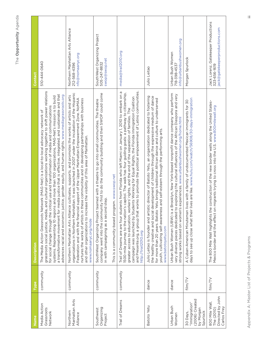| Name                                                                 | Type      | <b>Description</b>                                                                                                                                                                                                                                                                                                                                                                                                                                                                                                                                                                                              | Contact                                                                              |
|----------------------------------------------------------------------|-----------|-----------------------------------------------------------------------------------------------------------------------------------------------------------------------------------------------------------------------------------------------------------------------------------------------------------------------------------------------------------------------------------------------------------------------------------------------------------------------------------------------------------------------------------------------------------------------------------------------------------------|--------------------------------------------------------------------------------------|
| Media Action<br>Grassroots<br>Network                                | community | grassroots social justice, media, and cultural organizations working together to shift power relations<br>media justice that is effective, integrated, and sustainable and that<br>ustice, gender equity, and human rights. www.mediagrassroots.org<br>systems. Representing 10 regions and more than 100 organizations, MAG-Net's mission is to build<br>for social change through the critical use and transformation of media and communications<br>The Media Action Grassroots Network (MAG-Net) is a local-to-local advocacy network of<br>a transformative movement for<br>advances racial and economic j | 510-444-0640                                                                         |
| Manhattan Arts<br>Northern<br>Alliance                               | community | organizations in Northern Manhattan. It was launched in 2007 under the incubation of the Hispanic<br>ce cultivates, supports, and promotes the works of artists and arts<br>Federation and with the financial support of the Upper Manhattan Empowerment Zone. NoMAA<br>these communities and in developing partnerships with business<br>and other organizations to increase the visibility of this area of Manhattan.<br>Northern Manhattan Arts Allian<br>nurtures the works of artists in<br>www.nomaanyc.org/node                                                                                          | Northern Manhattan Arts Alliance<br>nfo@nomaanyc.org<br>212-568-4396                 |
| Organizing<br>Southwest<br>Project                                   | community | company went into the community first to do the community building and then SWOP could come<br>teamed with a theatre to go into small communities. The theatre<br>This is a community-based program. www.swop.net<br>in with campaigning as a second step.<br>SouthWest Organizing Project                                                                                                                                                                                                                                                                                                                      | SouthWest Organizing Project<br>swop@swop.net<br>505-247-8832                        |
| Trail of Dreams                                                      | community | and Presente.org, a group that works to promote the political empowerment of Latino communities.<br>Trail of Dreams are are four students from Florida who left Miami on January 1, 2010 to embark on a<br>1500-mile journey to the nation's capitol. The walk has four guiding goals: a pathway to citizenship,<br>campaign was launched by Students Working for Equal Rights, the Florida Immigration Coalition<br>greater access to education, workers' rights, and the end of the separation of families. The<br>http://trail2010.org                                                                       | media@trail2010.org                                                                  |
| Batoto Yetu                                                          | dance     | Julio Leitao is founder and artistic director of Batoto Yetu, an organization dedicated to fostering<br>the healthy creative and social development of children through the expressive medium of dance<br>for more than 20 years. Batoto Yetu brings traditional African dance and culture to underserved<br>youth, cultivating self-awareness and self-esteem through the performing arts.<br>www.batotoyetu.com                                                                                                                                                                                               | Julio Leitao                                                                         |
| Urban Bush<br>Women                                                  | dance     | Urban Bush Women (UBW) is a Brooklyn, New York-based nonprofit dance company who perform<br>the cultural influences of the African Diaspora and very<br>s experiences. www.urbanbushwomen.org/home.html<br>very diverse pieces dedicated t<br>strong works based on women'                                                                                                                                                                                                                                                                                                                                      | info@urbanbushwomen.org<br>Urban Bush Women<br>718-398-4537                          |
| (2006) Created<br>"Immigration"<br>by Morgan<br>Spurlock<br>30 Days, | film/TV   | days to see up close what their lives are like. www.hulu.com/watch/56908/30-days-immigration<br>lives with a family of undocumented Mexican immigrants for 30<br>A Cuban-American Minuteman                                                                                                                                                                                                                                                                                                                                                                                                                     | Morgan Spurlock                                                                      |
| Directed by John<br>800 Mile Wall,<br>Carlos Frey<br>The (2010)      | film/TV   | The 800 Mile Wall highlights the construction of the new border walls along the United States-<br>Mexico border and the effect on migrants trying to cross into the U.S. www.800milewall.org                                                                                                                                                                                                                                                                                                                                                                                                                    | Jack Lorenz, Gatekeeper Productions<br>ack@gatekeeperproductions.com<br>323-656-1619 |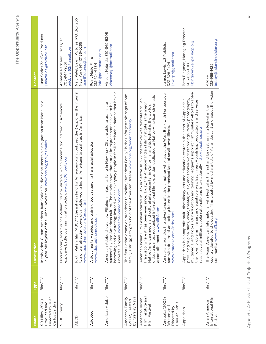| Name                                                                   | Type    | <b>Description</b>                                                                                                                                                                                                                                                                                                                                                                                                                                                                             | Contact                                                                                        |
|------------------------------------------------------------------------|---------|------------------------------------------------------------------------------------------------------------------------------------------------------------------------------------------------------------------------------------------------------------------------------------------------------------------------------------------------------------------------------------------------------------------------------------------------------------------------------------------------|------------------------------------------------------------------------------------------------|
| Directed by Juan<br>90 Miles (2001)<br>Carlos Zaldivar<br>Produced and | film/TV | Juan Carlos Zaldivar documents his emigration from Mariel as a<br>13-year-old loyalist of the Cuban Revolution. www.pbs.org/pov/90miles<br>In this video, Cuban-American                                                                                                                                                                                                                                                                                                                       | Juan Carlos Zaldívar, Producer<br>juancarlos@zaldivar.info                                     |
| 9500 Liberty                                                           | film/TV | Documentary about Prince William County, Virginia, which became ground zero in America's<br>explosive battle over immigration policy. www.9500liberty.com                                                                                                                                                                                                                                                                                                                                      | Annabel Park and Eric Byler<br>ericbyler52@gmail.com<br>703-944-9661                           |
| ABCD                                                                   | film/TV | Krutin Patel's film "ABCD" (the initials stand for American-born confused desi) explores the internal<br>tug of war affecting upwardly mobile young Indian Americans brought up in America.<br>www.abcd-themovie.com/press.html                                                                                                                                                                                                                                                                | P.O. Box 265<br>Naju Patel, Laxmi Pictures,<br>New York, NY 10156-0265<br>axmiPictures@aol.com |
| Adopted                                                                | film/TV | A documentary series and training tools regarding transracial adoption.<br>www.adoptedthemovie.com                                                                                                                                                                                                                                                                                                                                                                                             | info@pointmade.com<br>Point Made Films<br>212-724-6534                                         |
| American Adobo                                                         | film/TV | œ<br>harrowing and devastating; instead we see everyday people in familiar, relatable dramas that have<br>American Adobo shows how Filipino immigrants living in New York City are able to assimilate<br>successfully into American culture. The movie shows that not all immigrant stories have to be<br>universal appeal. www.americanadobo.com                                                                                                                                              | Vincent Nebrida, 310-869-5305<br>vincemagi@hotmail.com                                         |
| by Gregory Nava<br>American Family<br>(2002) Created                   | film/TV | The first Latino drama on broadcast television, "American Family" is the unforgettable saga of one<br>family's struggle to grab hold of the American Dream. www.pbs.org/americanfamily                                                                                                                                                                                                                                                                                                         |                                                                                                |
| Film Institute and<br>American Indian<br>Film Festival                 | film/TV | oldest and most recognized international film exposition dedicated to Native-American cinematic<br>American Indian Film Festival started in 1975 in Seattle. In 1977 the festival was relocated to San<br>Francisco, where it has been ever since. Today, the American Indian Film Institute is the major<br>Native American media and cultural arts presenter in California, and its festival is the world's<br>accomplishment. www.aifisf.com                                                |                                                                                                |
| Amreeka (2009)<br>Cherien Dabis<br>Written and<br>Directed by          | film/TV | Amreeka chronicles the adventures of a single mother who leaves the West Bank with her teenage<br>son with dreams of an exciting future in the promised land of small-town Illinois.<br>www.amreeka.com/index.html                                                                                                                                                                                                                                                                             | James Lewis, US Publicist<br>jlewispr@gmail.com<br>323-828-2424                                |
| Appalshop                                                              | film/TV | multimedia, and books. Our education and training programs support communities' efforts to solve<br>producing original films, video, theater, music, and spoken-word recordings, radio, photography,<br>Appalshop is a nonprofit multi-disciplinary arts and education center in the heart of Appalachia<br>their own problems in a just and equitable way. Each year, Appalshop productions and services<br>reach several million people nationally and internationally. http://appalshop.org | Beth Bingman, Managing Director<br>bbing man@appalshop.org<br>606-633-0108                     |
| International Film<br>Asian American<br>Festival                       | film/TV | country devoted to showcasing films created by media artists of Asian descent and about the Asian<br>The Asian American International Film Festival is the first and longest running festival in the<br>community. www.aaiff.org                                                                                                                                                                                                                                                               | bobby@asiancinevision.org<br>212-989-1422<br>AAIFF                                             |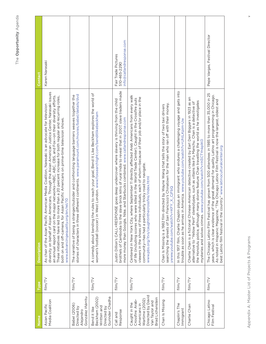| Name                                                                                                                           | <b>Type</b> | <b>Description</b>                                                                                                                                                                                                                                                                                                                                                                                                                                                                                                                          | Contact                                                         |
|--------------------------------------------------------------------------------------------------------------------------------|-------------|---------------------------------------------------------------------------------------------------------------------------------------------------------------------------------------------------------------------------------------------------------------------------------------------------------------------------------------------------------------------------------------------------------------------------------------------------------------------------------------------------------------------------------------------|-----------------------------------------------------------------|
| Asian Pacific<br>Media Coalition                                                                                               | film/TV     | diversity on behalf of Asian Americans. Through the Asian American Justice Center, Narasaki issues<br>an annual report card on the major networks-NBC, ABC, CBS, and Fox-on their diversity efforts.<br>These initiatives have led to more than a 20 percent increase for both regular and recurring roles,<br>As chair of the Asian Pacific American Media Coalition, Narasaki is an advocate for television<br>both on and off-camera, for Asian Pacific Americans on prime-time television shows.<br>www.advancingequality.org/en/rel/10 | Karen Narasaki                                                  |
| González Iñárritu<br><b>Babel</b> (2006)<br>Directed by<br>Alejandro                                                           | film/TV     | stories of characters in three different continents. www.paramount.com/movies/babel/details/dvd<br>The narrative of being a stranger/outsider and confronting language barriers weaves together the                                                                                                                                                                                                                                                                                                                                         |                                                                 |
| Gurinder Chadha<br>Beckham (2002)<br>Written and<br>Directed by<br>Bend it like                                                | film/TV     | A comedy about bending the rules to reach your goal, Bend It Like Beckham explores the world of<br>women's football (soccer) in West London. www.foxsearchlight.com/benditlikebeckham                                                                                                                                                                                                                                                                                                                                                       |                                                                 |
| Response<br>Call and                                                                                                           | film/TV     | brothels of Cambodia to the slave brick kilns of rural India to reveal that in 2007, slave traders made<br>Justin Dillion's CALL+RESPONSE goes deep undercover where slavery is thriving from the child<br>more money than Google, Nike, and Starbucks combined. www.callandresponse.com                                                                                                                                                                                                                                                    | info@callandresponse.com<br>Fair Trade Pictures<br>510-465-229C |
| Directed by David<br>Brad Lichenstein<br>Wartime (2002)<br>Crossfire: Arab-<br>Van Taylor and<br>Caught in the<br>Americans in | film/TV     | Centered in New York City, where September 11 directly affected Arab Americans from every walk<br>of life (including scores who were killed in the World Trade Center), Caught in the Crossfire puts<br>viewers in the shoes of three individuals, each of whom—because of their job and/or place in the<br>community-has had a particularly tricky road to navigate.<br>www.pbs.org/itvs/caughtinthecrossfire/index.html                                                                                                                   |                                                                 |
| Chan Is Missing                                                                                                                | film/TV     | ancisco's Chinatown for the man who ran off with their money.<br>Chan Is Missing is a 1982 film directed by Wayne Wang that tells the story of two taxi drivers<br>yww.youtube.com/watch?v=KFY_X_CjFbQ<br>searching the streets of San Fr                                                                                                                                                                                                                                                                                                   |                                                                 |
| Chaplin's The<br>Immigrant                                                                                                     | film/TV     | In this 1917 film, Charlie Chaplin plays an immigrant who endures a challenging voyage and gets into<br>America. www.youtube.com/watch?v=UhtLKpim-Uw<br>trouble as soon as he arrives in                                                                                                                                                                                                                                                                                                                                                    |                                                                 |
| Charlie Chan                                                                                                                   | film/TV     | Charlie Chan is a fictional Chinese-American detective created by Earl Derr Biggers in 1923 as an<br>the Honolulu police, although many stories feature Chan travelling the world as he investigates<br>alternative to "Yellow Peril" stereotypes, such as villains like Fu Manchu. Chan is a detective of<br>mysteries and solves crimes. www.youtube.com/watch?v=H3CTYnkplKO                                                                                                                                                              |                                                                 |
| Chicago Latino<br>Film Festival                                                                                                | film/TV     | The Chicago Latino Film Festival has grown from 500 attendees in 1985 to more than 35,000 in 25<br>years, which is clear evidence of the great demand for quality Latino art programming in Chicago.<br>As noted in Hispanic Magazine, "The Chicago Latino Film Festival is now the largest, oldest and<br>best Latino film festival in the country." www.latinoculturalcenter.org                                                                                                                                                          | Pepe Vargas, Festival Director                                  |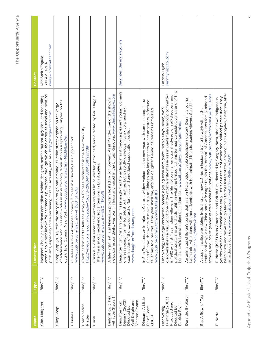|                                                                                    |                 | <b>Description</b>                                                                                                                                                                                                                                                                                                                                                                                                                                                                          |                                                                        |
|------------------------------------------------------------------------------------|-----------------|---------------------------------------------------------------------------------------------------------------------------------------------------------------------------------------------------------------------------------------------------------------------------------------------------------------------------------------------------------------------------------------------------------------------------------------------------------------------------------------------|------------------------------------------------------------------------|
| Cho, Margaret<br>Name                                                              | film/TV<br>Type | artist. Cho is best known for her stand-up routines, through which she critiques social and political<br>Margaret Cho is an American comedian, fashion designer, actress, author, gay icon, and recording<br>problems, especially those pertaining to race, sexuality, and sex. http://margaretcho.com                                                                                                                                                                                      | keri@whitesmithent.com<br>Keri Smith Esguia<br>310-479-6364<br>Contact |
| Chop Shop                                                                          | film/TV         | of adolescence who lives and works in an auto-body repair shop in a sprawling junkyard on the<br>Chop Shop (2007) tells the story of a tough and ambitious Latino street orphan on the verge<br>outskirts of Queens, New York. www.youtube.com/watch?v=MjL8NLanOeg                                                                                                                                                                                                                          |                                                                        |
| Clueless                                                                           | film/TV         | Clueless is a 1995 American comedy film set in a Beverly Hills high school.<br>www.youtube.com/watch?v=yHDcD_xhwAo                                                                                                                                                                                                                                                                                                                                                                          |                                                                        |
| Combination<br>Platter                                                             | film/TV         | Combination Platter tells the story of a Chinese restaurant in the New York City.<br>http://video.google.com/videoplay?docid=2908448894368192778#                                                                                                                                                                                                                                                                                                                                           |                                                                        |
| Crash                                                                              | film/TV         | Crash is a 2004 American/German drama film co-written, produced, and directed by Paul Haggis.<br>The film is about racial and social tensions in Los Angeles.<br>www.youtube.com/watch?v=dEQ_ftkpb18                                                                                                                                                                                                                                                                                        |                                                                        |
| Daily Show (The)<br>with Jon Stewart                                               | film/TV         | news correspondents, was born in India and raised in the United Kingdom. www.thedailyshow.com<br>A late-night, satirical television program hosted by Jon Stewart. Aasif Mandvi, one of the show's                                                                                                                                                                                                                                                                                          |                                                                        |
| Gail Dolgin and<br>Vicente Franco<br>Danang (2002)<br>Daughter from<br>Directed by | film/TV         | n seemingly traditional fashion as it traces a pleasant young woman's<br>overseas search for her long-lost birth mother, but it rapidly develops into a gut-wrenching<br>examination of the way cultural differences and emotional expectations collide.<br>www.daughterfromdanang.com<br>Daughter from Danang starts                                                                                                                                                                       | daughter_danang@igc.org                                                |
| Dimsum: A Little<br>Bit of Heart<br>(1985)                                         | film/TV         | In San Francisco, an immigrant Chinese widow welcomes the new year with some unhappiness:<br>She's 62 now, she wants to make a trip to China to pay last respects to her ancestors, a fortune<br>teller has told her this is the year she'll die, and her daughter Geraldine remains unmarried.<br>www.youtube.com/watch?v=SQUDe9fsff0                                                                                                                                                      |                                                                        |
| Dominga (2003)<br>Produced and<br>Patricia Flynn,<br>Directed by<br>Discovering    | film/TV         | political awakening and sheds light on what the United Nations termed genocide against one of this<br>discovers she is a survivor of one of the most horrific massacres in Guatemalan history, committed<br>in 1982 against Maya Indian villagers. The film follows her emotional odyssey of self-discovery and<br>Discovering Dominga chronicles Becker, a young lowa immigrant, born a Maya Indian, who<br>hemisphere's largest indigenous minorities. www.pbs.org/pov/discoveringdominga | pannflynn@aol.com<br>Patricia Flynn                                    |
| Dora the Explorer                                                                  | film/TV         | that airs on Nickelodeon cable television network. Dora is a young<br>adventures with her animated friends, teaches viewers Spanish.<br>Latina girl, who along with her<br>An animated children's series t<br>www.nickjr.co.uk/shows/dora                                                                                                                                                                                                                                                   |                                                                        |
| Eat A Bowl of Tea                                                                  | film/TV         | fathers, and lots of gender-related social bifurcations. www.youtube.com/watch?v=v8k4B8FFNhM<br>A study in culture bridging, including  a new U.S.-born husband trying to work within the<br>traditional ways, a new China-born wife eager to join the "dream" of America, two family-minded                                                                                                                                                                                                |                                                                        |
| El Norte                                                                           | film/TV         | head north and travel through Mexico to the United States, arriving in Los Angeles, California, after<br>the early 1980s as a result of ethnic and political persecution. They<br>and British film, directed by Gregory Nava, about two indigenous<br>an arduous journey. www.youtube.com/watch?v=RN9-8rwJ5OY<br>El Norte (1983) is an American<br>youths who flee Guatemala in                                                                                                             |                                                                        |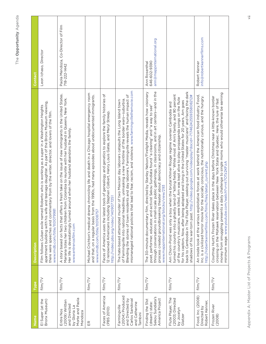| Name                                                                                              | Type    | <b>Description</b>                                                                                                                                                                                                                                                                                                                                                                                                                                                                                                                                                                                            | Contact                                                    |
|---------------------------------------------------------------------------------------------------|---------|---------------------------------------------------------------------------------------------------------------------------------------------------------------------------------------------------------------------------------------------------------------------------------------------------------------------------------------------------------------------------------------------------------------------------------------------------------------------------------------------------------------------------------------------------------------------------------------------------------------|------------------------------------------------------------|
| El Super (at the<br>Bronx Museum)                                                                 | film/TV | apartment building with his wife and teenage daughter. As part of the Bronx Museum viewing,<br>Film follows Cuban exile named Roberto who is working as a super in a Washington Heights<br>there were speeches and commentary from by the writer, director, and lovers of the film.<br>www.imdb.com/title/tt0079981                                                                                                                                                                                                                                                                                           | Leon Ichaso, Director                                      |
| Morte and Paola<br>(2009) Written<br>and Directed<br>by Gloria La<br>Entre Nos<br>Mendoza         | film/TV | A story based on facts that offers a fresh take on the issue of new immigrants in the United States.<br>Mariana totes her two children from Colombia to reunite with her husband in Queens, New York.<br>around when her husband abandons the family.<br>Her life is devastatingly turned<br>www.entrenosfilm.com                                                                                                                                                                                                                                                                                             | Paola Mendoza, Co-Director of Film<br>718-222-1442         |
| 臣                                                                                                 | film/TV | Michael Crichton's medical drama chronicling life and death in a Chicago hospital emergency room<br>and that, on a regular basis from the 1990s, had many episodes about undocumented immigrants.<br>www.imdb.com/title/tt0108757                                                                                                                                                                                                                                                                                                                                                                             |                                                            |
| Faces of America<br>(PBS 2010)                                                                    | film/TV | Faces of America uses the latest tools of genealogy and genetics to explore the family histories of<br>12 renowned Americans including Stephen Colbert, Henry Louis Gates, and Meryl Streep.<br>http://video.pbs.org/video/1409077251                                                                                                                                                                                                                                                                                                                                                                         |                                                            |
| (2004) Produced<br>and Directed by<br>Carlos Sandoval<br>and Catherine<br>Farmingville<br>Tambini | film/TV | mismanaged national policies that lead to fear, racism, and violence. www.farmingvillethemovie.com<br>Blending the stories of town residents and day laborers, Farmingville reveals the human impact of<br>of Farmingville into national headlines, unmasking a new frontline of the border wars-suburbia.<br>The hate-based attempted murder of two Mexican day laborers catapults the Long Island town                                                                                                                                                                                                      |                                                            |
| Sekou Sundiata's<br>America Project<br>Finding the 51st<br>(dream) state:                         | film/TV | through conversations in small-scale public gatherings, in classrooms, and in art centers—and in the<br>The 30-minute documentary film, directed by Stanley Nelson/Firelight Media, reveals how visionary<br>poet, performer, educator, and activist Sekou Sundiata found "a clearing" and "a way to see"<br>process created groundbreaking theater about democracy and citizenship.<br>www.mappinternational.org/blocks/view/293                                                                                                                                                                             | ann@mappinternational.org<br>646-602-9390<br>Ann Rosenthal |
| Flute Player, The<br>(2003) Directed<br>by Jocelyn<br>Glatzer                                     | film/TV | for his captors. Now, after being adopted and living in the United States for 20 years, Arn goes<br>back to Cambodia in The Flute Player, seeking out surviving "master musicians" and facing the dark<br>turned his country into a ghastly land of "killing fields." While most of Arn's family, and 90 percent<br>shadows of his war-torn past. http://video.google.com/videoplay?docid=-7174624255935808212#<br>of the country's musicians, were killed, Arn was kept alive to play propaganda songs on the flute<br>Arn Chorn-Pond was only a boy when the brutal Khmer Rouge regime overran Cambodia and |                                                            |
| Food, Inc. (2008)<br>Robert Kenner,<br>Directed by                                                | film/TV | An inside look at the various exploitative forces at work behind the American food industry, Food,<br>Inc. is a civilized horror movie for the socially conscious, the nutritionally curious, and the hungry.<br>http://robertkennerfilms.com/films/files/detail_current.php                                                                                                                                                                                                                                                                                                                                  | info@robertkennerfilms.com<br>Robert Kenner                |
| Frozen River<br>(2008)                                                                            | film/TV | money from smuggling presents a daily challenge to single moms who would otherwise be earning<br>Courtney Hunt's Frozen River takes place in the days before Christmas near a little-known border<br>crossing on the Mohawk reservation between New York State and Quebec. Here, the lure of fast<br>minimum wage. www.youtube.com/watch?v=nt7OTz2KFzA                                                                                                                                                                                                                                                        |                                                            |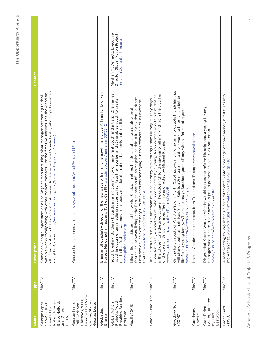| Name                                                                                                        | Type    | <b>Description</b>                                                                                                                                                                                                                                                                                                                                                                                                       | Contact                                                                                    |
|-------------------------------------------------------------------------------------------------------------|---------|--------------------------------------------------------------------------------------------------------------------------------------------------------------------------------------------------------------------------------------------------------------------------------------------------------------------------------------------------------------------------------------------------------------------------|--------------------------------------------------------------------------------------------|
| Robert Borden,<br>Bruce Helford,<br>George Lopez<br>Show (2002)<br>and George<br>Created by<br>Lopez        | film/TV | all-Latino cast with the exception of Albanian-American actress Masiela Lusha, who played George's<br>with his wacky family along with other random mishaps. For the first five seasons, the show had an<br>as a Los Angeles manufacturing plant manager attempting to deal<br>daughter Carmen. http://en.wikipedia.org/wiki/George_Lopez_(TV_series)<br>Comedian George Lopez stars                                     |                                                                                            |
| Directed by Marty<br>Callner, Starring<br>Chicano (2009)<br>George Lopez:<br>George Lopez<br>Tall, Dark and | film/TV | www.youtube.com/watch?v=dvcrLtFnnjk<br>George Lopez comedy special.                                                                                                                                                                                                                                                                                                                                                      |                                                                                            |
| Ghobadia,<br>Bhaman                                                                                         | film/TV | Bhaman Ghobadia's-director of the new wave of Iranian cinema-films include A Time for Drunken<br>Turtles Can Fly. www.imdb.com/name/nm0315842<br>Horses, Marooned in Iraq, and                                                                                                                                                                                                                                           |                                                                                            |
| Breaking Borders<br>Project's Youth<br>Global Action<br>program                                             | film/TV | Youth Breaking Borders (1) builds a caring community of immigrant youth and artists; (2) engages<br>youth in documentary media practices to facilitate their stories; and (3) enables youth to create<br>media that fosters awareness, dialogue, and education about the immigrant condition.<br>www.global-action.org                                                                                                   | Meghan McDermott, Executive<br>Director, Global Action Project<br>meghan@global-action.org |
| Goal! (2005)                                                                                                | film/TV | footballer. However, living in the Barrios section of Los Angeles, he thinks it is only that—a dream—<br>turn of events has him trying out for Premiership club Newcastle<br>world, Santiago harbors the dream of being a professional<br>21588.html<br>Like millions of kids around the<br>United. www.feedio.net/21588/<br>until one day an extraordinary                                                              |                                                                                            |
| Golden Child, The                                                                                           | film/TV | save The Golden Child, the saviour of all mankind, from the clutches<br>Chandler Jarrell, a social worker who is confronted by a young Asian woman who tells him that he<br>The Golden Child is a 1986 American mystical comedy film starring Eddie Murphy. Murphy plays<br>of the demon Sardo Numspa. The film was directed by Michael Ritchie.<br>www.youtube.com/watch?v=nPLmYcQaVVE<br>is the Chosen One destined to |                                                                                            |
| Goodbye Solo<br>(2008)                                                                                      | film/TV | On the lonely roads of Winston-Salem, North Carolina, two men forge an improbable friendship that<br>will change both of their lives forever. Solo is a Senegalese cab driver working to provide a better<br>life for his young family. William is a tough Southern good ol' boy with a lifetime of regrets.<br>www.youtube.com/watch?v=U5IGC59Q9y8                                                                      |                                                                                            |
| Goodman,<br>Hazelle                                                                                         | film/TV | from Trinidad and Tobago. www.hazelle.com<br>Hazelle Goodman is an actress                                                                                                                                                                                                                                                                                                                                               |                                                                                            |
| (2008) Directed<br>Gran Torino<br>Eastwood<br>by Clint                                                      | film/TV | Disgruntled Korean War vet Walt Kowalski sets out to reform his neighbor, a young Hmong<br>teenager, who tried to steal Kowalski's prized possession: his 1972 Gran Torino.<br>www.youtube.com/watch?v=c8Z2n534q1Q                                                                                                                                                                                                       |                                                                                            |
| Green Card<br>(1990)                                                                                        | film/TV | A man wanting to stay in the United States enters into a marriage of convenience, but it turns into<br>more than that. www.youtube.com/watch?v=mERvwOqsQsQ                                                                                                                                                                                                                                                               |                                                                                            |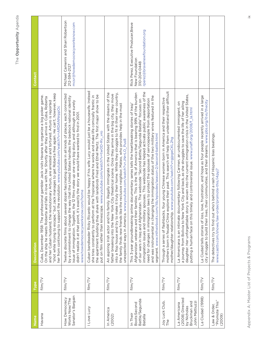| Name                                                                             | Type    | <b>Description</b>                                                                                                                                                                                                                                                                                                                                                                                                                                                                                                                                                                                                                                                                          | Contact                                                                                                  |
|----------------------------------------------------------------------------------|---------|---------------------------------------------------------------------------------------------------------------------------------------------------------------------------------------------------------------------------------------------------------------------------------------------------------------------------------------------------------------------------------------------------------------------------------------------------------------------------------------------------------------------------------------------------------------------------------------------------------------------------------------------------------------------------------------------|----------------------------------------------------------------------------------------------------------|
| Havana                                                                           | film/TV | "shot while trying to escape," but Jack manages to get Roberta free again. He can't, however, keep<br>Cuba, December 1958: The professional gambler Jack visits Havana to organize a big poker game.<br>On the ship he meets Roberta and falls in love with her. Shortly after they arrive in Cuba, Roberta<br>and her Cuban husband, the revolutionary Arturo, are arrested and tortured. Arturo is reported<br>her from continuing to support the revolution. www.youtube.com/watch?v=ARDANNrppOc                                                                                                                                                                                         |                                                                                                          |
| Senator's Bargain<br>How Democracy<br>Works Now/The                              | film/TV | eral dozen fascinating people in all kinds of places, each connected<br>by a commitment to change the way that the United States handles the bedrock national identity<br>issue of immigration. Together, the 12 films make up one very big story, and although we surely<br>didn't realize it at that point, it's exactly the story we would have wanted to find in 2001.<br>www.howdemocracyworksnow.com/home<br>Twelve discrete films about sev                                                                                                                                                                                                                                          | Michael Camerini and Shari Robertson<br>mcsr@howdemocracyworksnow.com<br>212-594-2127                    |
| I Love Lucy                                                                      | film/TV | Cuban bandleader Ricky Ricardo would be happy if his wife Lucy would just be a housewife. Instead<br>the apartment building they share with landlords Fred and Ethel Mertz. The first major show to be<br>at the Tropicana where he works and make life comically frantic in<br>put on film rather than kinescope. www.youtube.com/watch?v=twOD-Rv_vro<br>she tries constantly to perform                                                                                                                                                                                                                                                                                                   |                                                                                                          |
| In America<br>(2002)                                                             | film/TV | family illegally immigrate in the United States with the dreams of the<br>into a flop house and try to make it truly their home. While they struggle to fit in their new country,<br>father breaking into the New York City theatrical scene. Once they arrive in the big city, they move<br>the family finds new friends like the reclusive neighbor, Mateo, who provides help in the most<br>unexpected ways in America. www.youtube.com/watch?v=JNrrLO_Pus8<br>An aspiring Irish actor and his i                                                                                                                                                                                         |                                                                                                          |
| Battle/Segunda<br>Boots:Second<br>In Their<br>Batalla                            | film/TV | immigration issues and military spouses. This webisode has helped activate public awareness of the<br>Afghanistan veterans and their families. This is the 1% of America that is bearing 99% of the burden<br>and was instrumental in changing the immigration status of the two military wives featured in the<br>need for changes in immigration laws to protect the spouses of servicepeople from deportation<br>of our wars in Iraq and Afghanistan. The webisode "Second Battle/Segunda Batalla" focuses on<br>This 3-year groundbreaking online documentary series tells the heartbreaking stories of Iraq,<br>segment. www.intheirboots.com/itb/episodes/season-2/second-battle.html | Rick Perez, Executive Producer, Brave<br>rperez@bravenewfoundation.org<br>New Foundation<br>310-204-0448 |
| Joy Luck Club,<br>The                                                            | film/TV | mothers born in feudal China explore their past. This search will help them understand their difficult<br>Through a series of flashbacks, four young Chinese women born in America and their respective<br>mother/daughter relationship. www.youtube.com/watch?v=gjpgeCKL2hg                                                                                                                                                                                                                                                                                                                                                                                                                |                                                                                                          |
| (2008) Directed<br>Bruckman and<br>John Mattiuzzi<br>La Americana<br>by Nicholas | film/TV | daughter. Her unforgettable story is woven into the current immigration crisis in the United States,<br>a journey from Bolivia to New York City and back, as she struggles to save the life of her alling<br>La Americana is an intimate documentary following Carmen, an undocumented immigrant, on<br>putting a human face on this timely and controversial issue. www.unaff.org/2008/f_la.html                                                                                                                                                                                                                                                                                           |                                                                                                          |
| La Ciudad (1998)                                                                 | film/TV | ove, frustration, and hope as four people recently arrived in a large<br>city struggle to build their lives, their communities, and their dreams. www.pbs.org/itvs/thecity<br>La Ciudad tells stories of loss, I                                                                                                                                                                                                                                                                                                                                                                                                                                                                            |                                                                                                          |
| "Promote This"<br>Law & Order,<br>(2009)                                         | film/TV | The detectives try to find out who's behind a rash of Hispanic bias beatings.<br>www.casttv.com/shows/law-order/promote-this/i4pyj7                                                                                                                                                                                                                                                                                                                                                                                                                                                                                                                                                         |                                                                                                          |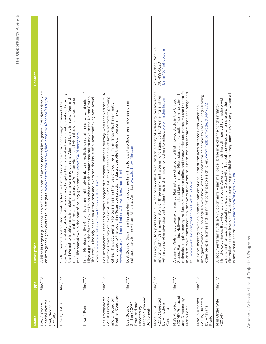| Name                                                                                       | Type    | <b>Description</b>                                                                                                                                                                                                                                                                                                                                                                                                                                                                                      | Contact                                                      |
|--------------------------------------------------------------------------------------------|---------|---------------------------------------------------------------------------------------------------------------------------------------------------------------------------------------------------------------------------------------------------------------------------------------------------------------------------------------------------------------------------------------------------------------------------------------------------------------------------------------------------------|--------------------------------------------------------------|
| Special Victims<br>Unit, "Anchor"<br>Law & Order:<br>(2009)                                | film/TV | A killer is targeting "anchor babies," the children of undocumented immigrants. SVU detectives visit<br>an immigrant rights center to investigate. www.casttv.com/shows/law-order-svu/anchor/8fa8yb1                                                                                                                                                                                                                                                                                                    |                                                              |
| Liberty 9500                                                                               | film/TV | σ<br>government, targeted by national anti-immigration networks using<br>racial division, residents form a resistance using YouTube videos and virtual townhalls, setting up<br>the Internet to frighten and intimidate lawmakers and citizens. Alarmed by a climate of fear and<br>ntary feature film and an online action campaign. It reveals the<br>real-life showdown in the seat of county government. www.9500liberty.com<br>9500 Liberty is both a docume<br>startling vulnerability of a local |                                                              |
| Lilya 4-Ever                                                                               | film/TV | an unremittingly brutal and realistic story of the downward spiral of<br>Lilya, a girl in the former Soviet Union whose mother abandons her to move to the United States.<br>The story is loosely based on a true case and examines the issue of human trafficking and sexual<br>slavery.www.youtube.com/watch?v=lkHFc8-DzOU<br>Lucas Morrison's Lilya 4-ever is                                                                                                                                        |                                                              |
| Heather Courtney<br>(2000) Produced<br>Los Trabajadores<br>and Directed by                 | film/TV | Los Trabajadores is the senior thesis project of filmmaker Heather Courtney, who received her MFA<br>Austin. In 1999 Austin is seen as one of America's fastest-growing<br>cities. This documentary follows a year in the lives of two illegal immigrants who have greatly<br>contributed to the booming Texas construction industry despite their own personal risks.<br>www.pbs.org/independentlens/theworkers/more.html<br>from the University of Texas at                                           |                                                              |
| Megan Myan and<br>Produced and<br>Sudan (2003)<br>Lost Boys of<br>Directed by<br>Jon Shenk | film/TV | Lost Boys of Sudan is a feature-length documentary that follows two Sudanese refugees on an<br>extraordinary journey from Africa to America. www.lostboysfilm.com                                                                                                                                                                                                                                                                                                                                       |                                                              |
| (2007) Directed<br>by Almudena<br>Made in L.A.<br>Carracedo                                | film/TV | n LA has been called "a rousing true story of solidarity, perseverance<br>and triumph." It's a moving story of three immigrant women who stand up for their rights and win<br>with a comprehensive distribution plan that is the model for others to adapt. www.madeinla.com<br>This is my top, top pick! Made i                                                                                                                                                                                        | Robert Bahar, Producer<br>rbahar10@yahoo.com<br>718-499-5020 |
| (2009) Produced<br>and Directed by<br>Mai's America<br>Marlo Poras                         | film/TV | rednecks, cliquish teenagers, South Vietnamese exiles, and transvestite soulmates. As she tries to fit<br>discovers that America is both less and far more than she bargained<br>A spunky Vietnamese teenager named Mai gets the chance of a lifetime—to study in the United<br>States. Expecting Hollywood, she instead lands in rural Mississippi, a crazy quilt of self-proclaimed<br>for. www.youtube.com/watch?v=TGatRS68jWw<br>in and to make ends meet, Mai                                      |                                                              |
| (2005) Directed<br>Maid in America<br>by Anayansi<br>Prado                                 | film/TV | immigrant women in Los Angeles who have left their own families behind to earn a living cleaning<br>ig for other people's children. www.imdb.com/title/tt0447272<br>This documentary takes an intimate and emotional look at the lives of three Latin-American<br>other people's homes and carin                                                                                                                                                                                                        |                                                              |
| Mail Order Wife<br>(2004)                                                                  | film/TV | filmmaker become involved. Twists and turns are plentiful in this tragi-comic love triangle where all<br>film the experience. But when Lichi arrives in America, she finds herself married to a recluse with<br>a penchant for sadistic sexual role-playing. Objectivity flies out the window when she and the<br>doorman's Asian mail-order bride in exchange for the right to<br>is not what it seems. www.imdb.com/title/tt0377088<br>A documentarian funds a NYC                                    |                                                              |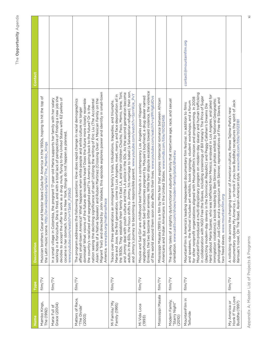| <u>Jame</u>                                        | <b>Type</b> | <b>Description</b>                                                                                                                                                                                                                                                                                                                                                                                                                                                                                                                                                                                                                                                                                                                                                                                                                                                                                                                                       | Contact                  |
|----------------------------------------------------|-------------|----------------------------------------------------------------------------------------------------------------------------------------------------------------------------------------------------------------------------------------------------------------------------------------------------------------------------------------------------------------------------------------------------------------------------------------------------------------------------------------------------------------------------------------------------------------------------------------------------------------------------------------------------------------------------------------------------------------------------------------------------------------------------------------------------------------------------------------------------------------------------------------------------------------------------------------------------------|--------------------------|
| Mambo Kings,<br>The (1992)                         | film/TV     | estor leave Cuba for America in the 1950s, hoping to hit the top of<br>the Latin music scene. http://en.wikipedia.org/wiki/The_Mambo_Kings<br>Musician brothers Cesar and N                                                                                                                                                                                                                                                                                                                                                                                                                                                                                                                                                                                                                                                                                                                                                                              |                          |
| Grace (2004)<br>Maria Full of                      | film/TV     | working in a floriculture. She is fired, and with a total lack of perspective of finding a new job she<br>decides to accept the offer to work as a drug mule, flying to the United States with 62 pellets of<br>the pregnant 17-year-old Maria supports her family with her salary<br>in New York, things do not happen as planned.<br>www.youtube.com/watch?v=Y3aW_FjX9o0<br>cocaine in her stomach. Once<br>In a small village in Colombia,                                                                                                                                                                                                                                                                                                                                                                                                                                                                                                            |                          |
| Matters of Race,<br>"The Divide"<br>(2003)         | film/TV     | John Valadez, this episode explores power and identity in small-town<br>dominate? What visions of the future do residents have? Does the future more closely resemble<br>Asian: Notes of a Native Speaker) and Ruben Martinez (Crossing Over: A Mexican Family on the<br>The program addresses the following questions: How does rapid change in racial demographics<br>nation seeing the declining significance of race? Utilizing the writing of Eric Liu (The Accidental<br>the country's racialized and segregated past? Is America going back to the future? Or is the<br>affect small-town America? What happens when white people and white culture no longer<br>America. www.pbs.org/mattersofrace<br>Migrant Trail) and directed by                                                                                                                                                                                                             |                          |
| Mi Familia/ My<br>Family (1995)                    | film/TV     | adults in the 60s, the focus shifts to Jimmy, his marriage to Isabel (a Salvadorian refugee), their son,<br>the 1930s. They establish their family in East LA, and their children Chucho, Paco, Memo, Irene, Toni,<br>and Jimmy deal with youth culture and the LA police in the 50s. As the second generation become<br>and Jimmy's journey to becoming a responsible parent. www.youtube.com/watch?v=SzrrWJe_PvY<br>Maria and Jose, the first generation, come to Los Angeles, meet, marry, and face deportation all in<br>an immigrant family's trials, tribulations, tragedies, and triumphs.<br>Traces over three generations                                                                                                                                                                                                                                                                                                                       |                          |
| Mi Vida Loca<br>(1993)                             | film/TV     | Ernesto, the two become bitter enemies. While their dispute escalates toward violence, the violence<br>of the world around them soon also affects their lives. www.youtube.com/watch?v=plPhYgEdOvs<br>neighborhood. But when Sad Girl becomes pregnant by Mousie's boyfriend, a drug dealer named<br>Mousie and Sad Girl are childhood best friends in a contemporary Los Angeles poor Hispanic                                                                                                                                                                                                                                                                                                                                                                                                                                                                                                                                                          |                          |
| Mississippi Masala                                 | film/TV     | Mississippi Masala (1991) is a film by Mira Nair that explores interracial romance between African<br>Americans and Indian Americans in the United States. www.imdb.com/title/tt0102456                                                                                                                                                                                                                                                                                                                                                                                                                                                                                                                                                                                                                                                                                                                                                                  |                          |
| Modern Family,<br>"Starry Night"<br>(2010)         | film/TV     | The quirky tales of a slightly dysfunctional suburban family that intertwine age, race, and sexual<br>orientation. www.casttv.com/shows/modern-family/pilot/dhwtwu                                                                                                                                                                                                                                                                                                                                                                                                                                                                                                                                                                                                                                                                                                                                                                                       |                          |
| MountainFilm in<br>Telluride                       | film/TV     | MountainFilm produced a multi-disciplinary program on modern-day slavery and human trafficking<br>Hard (about Maria Suarez, who was trafficked from Mexico, enslaved in Los Angeles, and jailed for<br>in collaboration with NGO Free the Slaves, including screenings of Bill Haney's The Price of Sugar<br>for other nonprofit organizations aligned with Mountainfilm's mission and programming. In 2008<br>photographer Jodi Cobb; and a symposium with Skinner, representatives of Free the Slaves, and<br>immigration violations); a book reading by Ben Skinner; a photo exhibit by National Geographic<br>and speakers, the festival includes art exhibits, book signings, student workshops, and a forum<br>MountainFilm is America's leading independent documentary film festival. In addition to films<br>(depicting modern-day slavery in the Dominican Republic) and Peggy Callahan's Dreams Die<br>two freed slaves. www.mountainfilm.org | contact@mountainfilm.org |
| Honk If You Love<br>My America or<br>Buddha (1997) | film/TV     | documentary odyssey My America ( or honk if you love Buddha) recaptures the spirit of Jack<br>Kerouac's novel, On The Road, Asian-American style. www.imdb.com/title/tt0123181<br>A rollicking ride across the changing terrain of American culture, Renee Tajima-Peña's new                                                                                                                                                                                                                                                                                                                                                                                                                                                                                                                                                                                                                                                                             |                          |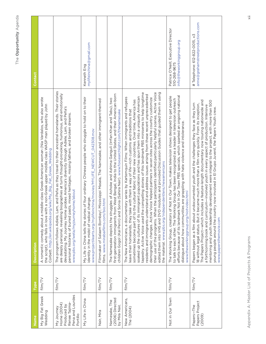| Name                                                                                      | Type    | <b>Description</b>                                                                                                                                                                                                                                                                                                                                                                                                                                                                                                                                                                                                                                                                                                                                                                                                                                                                                                                                                       | Contact                                                                            |
|-------------------------------------------------------------------------------------------|---------|--------------------------------------------------------------------------------------------------------------------------------------------------------------------------------------------------------------------------------------------------------------------------------------------------------------------------------------------------------------------------------------------------------------------------------------------------------------------------------------------------------------------------------------------------------------------------------------------------------------------------------------------------------------------------------------------------------------------------------------------------------------------------------------------------------------------------------------------------------------------------------------------------------------------------------------------------------------------------|------------------------------------------------------------------------------------|
| My Big Fat Greek<br>Wedding                                                               | film/TV | A romantic comedy about a middle-class Greek-American woman (Nia Vardalos, who also wrote<br>the script), who falls in love with a non-Greek upper middle class WASP man played by John<br>Corbett. http://en.wikipedia.org/wiki/My_Big_Fat_Greek_Wedding                                                                                                                                                                                                                                                                                                                                                                                                                                                                                                                                                                                                                                                                                                                |                                                                                    |
| Pena and Lourdes<br>Renee Tajima-<br>Home (2004)<br>Produced by<br>My Journey<br>Portillo | film/TV | The program follows Adiele, Lam, and Peña as they travel to their ancestral homelands. Their stories<br>are deeply personal, revealing biographies at turns thought-provoking, humorous, and emotionally<br>devastating. My Journey Home probes America's diversity through Adiele, Lam, and Peña's<br>personal histories of buried pasts, mixed heritages, missing fathers, and broken dreams.<br>www.pbs.org/weta/myjourneyhome/about                                                                                                                                                                                                                                                                                                                                                                                                                                                                                                                                  |                                                                                    |
| My Life in China                                                                          | film/TV | of four ordinary Chinese people who struggle to hold on to their<br>www.projectilearts.org/mylifeinchina/movies/MYLIFE_NEWCUT_042308.mov<br>identity in the midst of radical change.<br>My Life in China tells the stories                                                                                                                                                                                                                                                                                                                                                                                                                                                                                                                                                                                                                                                                                                                                               | mylifeinchina@gmail.com<br>Kenneth Eng                                             |
| Nair, Mira                                                                                | film/TV | Mississippi Masala, The Namesake, and other immigrant-themed<br>films. www.mirabaifilms.com/bio.html<br>Filmmaker of Salaam Bombay!,                                                                                                                                                                                                                                                                                                                                                                                                                                                                                                                                                                                                                                                                                                                                                                                                                                     |                                                                                    |
| (2006) Directed<br>Namesake, The<br>by Mira Nair,                                         | film/TV | first-generation immigrants from West Bengal, India to the United States, and their American-born<br>The Namesake depicts the struggles of Ashoke and Ashima Ganguli (Irrfan Khan and Tabu), two<br>children Gogol (Kal Penn) and Sonia (Sahira Nair). www.foxsearchlight.com/thenamesake                                                                                                                                                                                                                                                                                                                                                                                                                                                                                                                                                                                                                                                                                |                                                                                    |
| New Americans,<br>The (2004)                                                              | film/TV | their use of the programs. When the participants identified particularly helpful scenes, Active Voice<br>tapestry. Active Voice used the compelling stories of this landmark PBS miniseries to help longtime<br>edited them into VHS and DVD modules and provided Discussion Guides that guided them in using<br>residents and immigrants understand and address issues arising from these recent unprecedented<br>soaked up the cultures of its immigrant populations and has spun them into a uniquely American<br>The New Americans, a documentary series by Kartemquin Films: When immigrants and refugees<br>demographic changes. Active Voice helped partners in seven sites across the country customize<br>sometimes become part of to the cultural fabric of their new countries. Over time, America has<br>leave their homelands, they take with them a way of life-rich customs and traditions that<br>the material. www.pbs.org/independentlens/newamericans |                                                                                    |
| Not in Our Town                                                                           | film/TV | efforts because of its landmark Not In Our Town PBS specials, which sparked an ongoing national<br>Not In Our Town, makes television shows designed to get people<br>to talk to each other. The Working Group has been recognized as a leader in television outreach<br>dialogue about how communities are grappling with hate violence and intolerance.<br>www.theworkinggroup.org/niotvideo.html<br>The Working Group, creators of                                                                                                                                                                                                                                                                                                                                                                                                                                                                                                                                     | Executive Director<br>info@theworkinggroup.org<br>Patrice O'Neill,<br>510-268-9675 |
| Papers Project<br>(2009)<br>Papers-The                                                    | film/TV | The Papers Project—which includes a feature-length documentary now touring nationwide and<br>mentoring and youth leadership development were integral to the project, with more than 500<br>Papers began as a film about undocumented youth and the challenges they face as they turn<br>18 without legal status. But it became much more than a film very quickly. From its inception,<br>a forthcoming book and curriculum-involved youth in every aspect of production. Intensive<br>young people around the country now involved in El Grupo Juvenil, the Papers Youth crew.<br>www.papersthemovie.com                                                                                                                                                                                                                                                                                                                                                               | anne@grahamstreetproductions.com<br># Telephone: 612-822-0015, x3                  |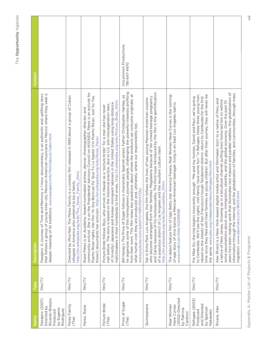| Name                                                                                     | Type    | <b>Description</b>                                                                                                                                                                                                                                                                                                                                                                                                                                                                                                                                                | Contact                              |
|------------------------------------------------------------------------------------------|---------|-------------------------------------------------------------------------------------------------------------------------------------------------------------------------------------------------------------------------------------------------------------------------------------------------------------------------------------------------------------------------------------------------------------------------------------------------------------------------------------------------------------------------------------------------------------------|--------------------------------------|
| Ricardo Braojos,<br>Pasajero (2007)<br>Directed by<br>by Eugene<br>Rodriguez<br>Produced | film/TV | Pasajero: A Journey of Time and Memory, a 1-hour documentary, is an authentic and uplifting story<br>that follows a group of young inner-city Mexican-American musicians to Mexico where they seek a<br>deeper meaning of its traditions. www.pasajero.info/html/about/index.html                                                                                                                                                                                                                                                                                 |                                      |
| Perez Family<br>(The)                                                                    | film/TV | Directed by Mira Nair, The Perez Family is a comedy film released in 1995 about a group of Cuban<br>http://en.wikipedia.org/wiki/The_Perez_Family_(film)<br>refugees in America who pretend to be a family                                                                                                                                                                                                                                                                                                                                                        |                                      |
| Perez, Rosie                                                                             | film/TV | community activist. She is on the Presidential Advisory Council on HIV/AIDS. Perez is an activist for<br>Puerto Rican rights. Her film Yo Soy Boricual Pa' Que Tú Lo Sepas! (I'm Puerto Rican, Just So You<br>Rosie Pérez is an Academy Award-nominated actress, dancer, choreographer, director, and<br>Know!) documents her activism. http://en.wikipedia.org/wiki/Rosie_Perez                                                                                                                                                                                  |                                      |
| Picture Bride<br>(The)                                                                   | film/TV | matchmakers in their homelands to find wives. http://n.wikipedia.org/wiki/Picture_Bride_(film)<br>of (mostly) Japanese and Korean immigrant laborers in the United States using long-distance<br>met before. The story is based on the historical practice, due to U.S. anti-miscegenation laws,<br>arrives in Hawaii as a "picture bride" for a man she has never<br>Picture Bride follows Riyo, who                                                                                                                                                             |                                      |
| Price of Sugar<br>(The)                                                                  | film/TV | he organizes some of this hemisphere's poorest people, challenging the powerful interests profiting<br>from their work. This film raises key questions about where the products we consume originate; at<br>Bill Haney's The Price of Sugar follows a charismatic Spanish priest, Father Christopher Hartley, as<br>what human cost they are produced; and, ultimately, where our responsibility lies.<br>www.youtube.com/watch?v=NRU35rHYZko                                                                                                                     | Uncommon Productions<br>781-647-4470 |
| Quinceanera                                                                              | film/TV | and Carlos because of his homosexuality. The third issue introduced by the film is the gentrification<br>who become estranged from their families: Magdalena because of her unwed teenage pregnancy<br>the film follows the lives of two young Mexican-American cousins<br>of a populous district of Los Angeles and the resultant culture clash.<br>http://en.wikipedia.org/wiki/Quinceañera_(film)<br>Set in Echo Park, Los Angeles,                                                                                                                            |                                      |
| Have Curves<br>(2002) Directed<br>Real Women<br>by Patricia<br>Cardoso                   | film/TV | Betty star America Ferara, Real Women Have Curves is the coming-<br>of-age story of Ana Garcia, a Mexican-American teenager living in an East Los Angeles barrio.<br>www.imdb.com/title/tt0296166<br>The debut feature film of Ugly                                                                                                                                                                                                                                                                                                                               |                                      |
| Refugee (2003)<br>and Directed<br>by Spencer<br>Produced<br>Nakasako                     | film/TV | time since they fled with their families as young children. But after their journey, they will never be<br>to Cambodia. We'll see the sights, visit family, have some fun." In Refugee, these three young men,<br>raised on the streets of San Francisco's tough Tenderloin district, return to Cambodia for the first<br>For Mike Siv, the trip begins innocently enough: "Me and my homies, David and Paul, we're going<br>the same. www.pbs.org/independentlens/refugee/film.html                                                                              |                                      |
| Rivera, Alex                                                                             | film/TV | years he's been making work that illuminates two massive and parallel realities: the globalization of<br>information through the Internet, and the globalization of families, and communities, through mass<br>Alex Rivera is a New York-based digital media artist and filmmaker, born to a native of Peru and<br>a native of New Jersey. Growing up in a bicultural channel surfing tract home led him to rethink<br>immigration, identity, and the global economy. Over the past 10<br>migration. www.alexrivera.com/BIOS.html<br>some assumptions about race, |                                      |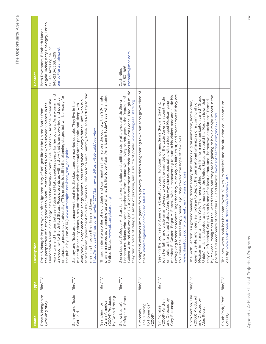| I                        |
|--------------------------|
|                          |
|                          |
| ۹<br>ï                   |
| I                        |
|                          |
| $\overline{a}$<br>ï<br>ı |
| ľ<br>š                   |
|                          |
|                          |
| ı                        |
| í                        |
| ֠                        |
|                          |
|                          |
|                          |
|                          |

| Name                                                                    | Type    | <b>Description</b>                                                                                                                                                                                                                                                                                                                                                                                                                                                                                                                                                                                                                                                                               | Contact                                                                                                                                              |
|-------------------------------------------------------------------------|---------|--------------------------------------------------------------------------------------------------------------------------------------------------------------------------------------------------------------------------------------------------------------------------------------------------------------------------------------------------------------------------------------------------------------------------------------------------------------------------------------------------------------------------------------------------------------------------------------------------------------------------------------------------------------------------------------------------|------------------------------------------------------------------------------------------------------------------------------------------------------|
| Rose & Nangabire<br>(working title)                                     | film/TV | works to mend the ties between Tutsis and Hutus, seeking peace for her country. As a woman and<br>emphasizing peace over adversity. (This project is still in the planning stages but will be ready for<br>a newcomer to the United States, Rose presents us with a story that is empowering and positive,<br>Democratic Republic of Congo. She and her family currently live in Phoenix, Arizona, where she<br>the perspective of a strong and resourceful mother named Rose who survived violence in the<br>often-ignored story of refugee life in the United States from<br>the public by June 2010.) www.artsengine.net/rose_and_nangabire<br>Rose & Nangabire portrays an                   | Angela Tucker, Katy Chevigny, Enrico<br>Beth Davenport, Elizabeth Mandel,<br>Cullen, Arts Engine, Inc<br>enrico@artsengine.net<br>646-230-6368, x219 |
| Sammy and Rosie<br>Get Laid                                             | film/TV | former Indian government minister, comes to London for a visit. Sammy, Rosie, and Raffi try to find<br>everybody—except each other. Things become interesting when Sammy's father, Raffi, who is a<br>Sammy and Rosie are an unconventional middle-class London married couple. They live in the<br>midst of inner-city chaos, surround themselves with intellectual street people, and sleep with<br>http://movies.nytimes.com/movie/42711/Sammy-and-Rosie-Get-Laid/overview<br>meaning through their lives and loves.                                                                                                                                                                          |                                                                                                                                                      |
| (2004) Produced<br>by Donald Young<br>Asian America<br>Searching for    | film/TV | program serves up a genuine taste of what it's like to be Asian American in today's ever-changing<br>Through intimate profiles of individuals and communities from across the country, this 90-minute<br>United States. www.pbs.org/searching                                                                                                                                                                                                                                                                                                                                                                                                                                                    |                                                                                                                                                      |
| Sierra Leone's<br>Refugee All Stars                                     | film/TV | Guinea. A brutal civil war (1991-2002) forced them from their homes in Sierra Leone. Through music<br>Leonean musicians who came together to form a band while living as refugees in the Republic of<br>Sierra Leone's Refugee All Stars tells the remarkable and uplifting story of a group of six Sierra<br>they find a place of refuge, a sense of purpose, and a source of power. www.refugeeallstars.org                                                                                                                                                                                                                                                                                    | zachniles@mac.com<br>415-531-8861<br>Zach Niles                                                                                                      |
| The "Coming<br>to Homerica"<br>Simpsons,<br>(2009)                      | film/TV | Springfield welcomes immigrants from a poverty-stricken neighboring town but soon grows tired of<br>them. www.megavideo.com/?v=2TMNO1ZT                                                                                                                                                                                                                                                                                                                                                                                                                                                                                                                                                          |                                                                                                                                                      |
| and Directed by<br>(2009) Written<br>Cary Fukunaga<br>Sin Nombre        | film/TV | unforgiving former associates. Together they must rely on faith, trust, and street smarts if they are<br>member, El Casper (Edgar M. Flores), who is maneuvering to outrun his violent past and elude his<br>joins her father and uncle on an odyssey to cross the gauntlet of the Latin American countryside<br>Along the way she crosses paths with a teenaged Mexican gang<br>Seeking the promise of America, a beautiful young Honduran woman, Sayra (Paulina Gaytan),<br>to survive their increasingly perilous journey toward the hope of new lives.<br>www.filminfocus.com/focusfeatures/film/sin_nombre<br>en route to the United States.                                                |                                                                                                                                                      |
| Sixth Section, The<br>(2003) Produced<br>and Directed by<br>Alex Rivera | film/TV | by Mexican immigrants in the United States, and they are beginning to have a major impact in the<br>Mexican immigrants in New York. The men profiled in the film form an organization called "Grupo<br>Unión," which is devoted to raising money in the United States to rebuild the Mexican town that<br>they've left behind. Grupo Unión is one of at least a thousand "hometown associations" formed<br>The Sixth Section is a groundbreaking documentary that blends digital animation, home video,<br>cinema verité, and interview footage to depict the transnational organizing of a community of<br>politics and economics of both the U.S. and Mexico. www.sixthsection.com/index2.html |                                                                                                                                                      |
| South Park, "Pee"<br>(2009)                                             | film/TV | The local water park has become "overrun" with "minorities" and the situation could soon turn<br>deadly.www.southparkstudios.com/episodes/251891                                                                                                                                                                                                                                                                                                                                                                                                                                                                                                                                                 |                                                                                                                                                      |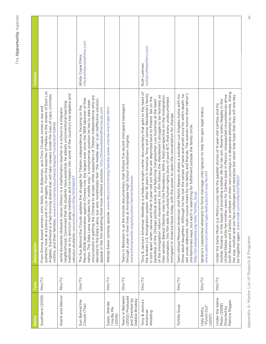| ne<br>Same                                                               | Type    | <b>Description</b>                                                                                                                                                                                                                                                                                                                                                                                                                                                                                                                                                                                                                                                                                                                                                                                                         | Contact                                       |
|--------------------------------------------------------------------------|---------|----------------------------------------------------------------------------------------------------------------------------------------------------------------------------------------------------------------------------------------------------------------------------------------------------------------------------------------------------------------------------------------------------------------------------------------------------------------------------------------------------------------------------------------------------------------------------------------------------------------------------------------------------------------------------------------------------------------------------------------------------------------------------------------------------------------------------|-----------------------------------------------|
| Southland (2009)                                                         | film/TV | authentic look at a police unit in Los Angeles. From the beaches of Malibu to the streets of East Los<br>Angeles, Southland is a fast-moving drama that will take viewers inside the lives of cops, criminals,<br>From Emmy Award winners John Wells, Ann Biderman, and Chris Chulack comes a raw and<br>victims, and their families. www.tnt.tv/series/southland/display/?contentId=53849                                                                                                                                                                                                                                                                                                                                                                                                                                 |                                               |
| Stand and Deliver                                                        | film/TV | members and no-hopers into some of the country's top algebra and<br>his students have potential, he adopts unconventional teaching<br>Jaime Escalante (Edward James Olmos) is a mathematics teacher in a school in a Hispanic<br>calculus students. www.imdb.com/title/tt0094027<br>neighborhood. Convinced that<br>methods to try and turn gang                                                                                                                                                                                                                                                                                                                                                                                                                                                                           |                                               |
| Sun Behind the<br>Clouds (The)                                           | film/TV | unsuccessful in getting the Chinese to accept, while supporters of Tibetan independence who are<br>March 2008 demonstration against Chinese rule, the largest ever since the 1959 takeover of that<br>devoted to the Dalai Lama, but who nonetheless feel "the middle way" is an ineffective solution,<br>nation. The Dalai Lama explicates his "middle way," a compromise position he has to date been<br>The Sun Behind the Clouds updates the struggle for Tibetan independence, focusing on the<br>appear in the film detailing their more militant position. http://thesunbehindtheclouds.com                                                                                                                                                                                                                         | info@whitecranefilms.com<br>White Crane Films |
| Sykes, Wanda:<br>I'ma Be Me<br>(2009)                                    | film/TV | www.hbo.com/comedy/wanda-sykes-ima-be-me/index.html<br>Wanda Sykes comedy special.                                                                                                                                                                                                                                                                                                                                                                                                                                                                                                                                                                                                                                                                                                                                         |                                               |
| Teens in Between<br>(2002) Produced<br>and Directed by<br>Debbie Brodsky | film/TV | Teens in Between is an 84-minute documentary that follows five recent immigrant teenagers<br>through a year in their lives at Annandale High School in Northern Virginia.<br>www.mhznetworks.org/education/teensinbetween                                                                                                                                                                                                                                                                                                                                                                                                                                                                                                                                                                                                  |                                               |
| Tony & Janina's<br>American<br>Wedding                                   | film/TV | Tony & Janina's American Wedding is a feature length verite' documentary that gets to the heart of<br>the broken U.S. immigration system. After 18 years in America, Tony and Janina Wasilewski's family<br>of the immigration reform movement, this film follows the Wasilewski's struggle to be reunited, as<br>their senator, Barack Obama, rises to the Presidency. With a fresh perspective on the immigration<br>their 6-year-old son Brian are deported back to Poland. Set on the<br>conversation, this film tells the untold human rights story of post-9/11, that every undocumented<br>backdrop of the Chicago political scene, and featuring Congressman Luis Gutierrez at the heart<br>immigrant in America faces today, with the power to open the conversation for change.<br>is torn apart when Janina and | ruth@ruthlessfilms.com<br>Ruth Leitman        |
| Tortilla Soup                                                            | film/TV | still cooks elaborate, multi-course meals for his family and friends. The women humor their father's<br>three adult daughters. Although he has lost the senses of taste and smell since his wife's death, he<br>Semi-retired Mexican-American chef Martin Naranjo shares a suburban Los Angeles home with his<br>old-fashioned ways, but each is searching for fulfillment outside the family circle.<br>http://en.wikipedia.org/wiki/Tortilla_Soup                                                                                                                                                                                                                                                                                                                                                                        |                                               |
| "Punch Out"<br>Ugly Betty,<br>(2007)                                     | film/TV | gnacio's caseworker attempts to force marriage onto Ignacio to help him gain legal status.<br>www.casttv.com/shows/ugly-betty/punch-out/fwvt1i1                                                                                                                                                                                                                                                                                                                                                                                                                                                                                                                                                                                                                                                                            |                                               |
| Under the Same<br>Patricia Riggen<br>Moon (2008)<br>Directed by          | film/TV | both Rosario and Carlitos to embark on their own journeys in a desperate attempt to reunite. Along<br>the way, mother and son face challenges and obstacles but never lose hope that they will one day<br>United States while her mother cares for Carlitos back in Mexico. Unexpected circumstances drive<br>mother, Rosario. In the hopes of providing a better life for her son, Rosario works illegally in the<br>Under the Same Moon (La Misma Luna) tells the parallel stories of 9-year-old Carlitos and his<br>be together again. www.imdb.com/title/tt0796307                                                                                                                                                                                                                                                     |                                               |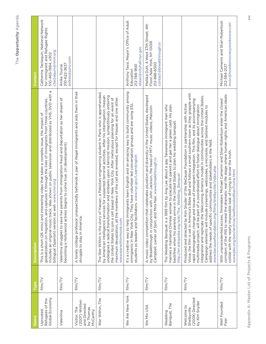| τ<br>ነ                                |
|---------------------------------------|
| ۹<br>ĺ<br>I.<br>٦<br>s.<br>ı          |
| Ļ<br>ľ<br>ı<br>y.<br>ı<br>ı<br>ŀ<br>١ |

| Name                                                                    | Type    | <b>Description</b>                                                                                                                                                                                                                                                                                                                                                                                                                                                                                                                                                                                                                                                                                                                          | <b>Contact</b>                                                                                                          |
|-------------------------------------------------------------------------|---------|---------------------------------------------------------------------------------------------------------------------------------------------------------------------------------------------------------------------------------------------------------------------------------------------------------------------------------------------------------------------------------------------------------------------------------------------------------------------------------------------------------------------------------------------------------------------------------------------------------------------------------------------------------------------------------------------------------------------------------------------|-------------------------------------------------------------------------------------------------------------------------|
| Global Economy<br>Refugees of the<br>Uprooted:                          | film/TV | Includes an original music track. Was shown on public television and distributed as VHS, DVD with a<br>globalization on migration, and captures it through the lives of immigrants from three countries.<br>This is a short (26 mins) and interesting video that takes a complex issue, the impact of<br>bilingual (Spanish) version as well. www.nnirr.org                                                                                                                                                                                                                                                                                                                                                                                 | Catherine Tactaquin, National Network<br>for Immigrant and Refugee Rights<br>ctactaquin@nnirr.org<br>510-465-1984, x302 |
| Valentina                                                               | film/TV | parents from immigration fraud and deportation as her dream of<br>becoming a Hollywood actress begins to come true. (In development)<br>Valentina struggles to save her                                                                                                                                                                                                                                                                                                                                                                                                                                                                                                                                                                     | anikes@juno.com<br>310-622-3637<br>Anike Tourse                                                                         |
| (2007) Written<br>and Directed<br>Visitor, The<br>by Thomas<br>McCarthy | film/TV | A lonely college professor unexpectedly befriends a pair of illegal immigrants and aids them in their<br>struggle to stay in America.                                                                                                                                                                                                                                                                                                                                                                                                                                                                                                                                                                                                       |                                                                                                                         |
| War Within, The                                                         | film/TV | Hassan, a Pakistani engineering student in Paris who is apprehended<br>by American intelligence services for suspected terrorist activities. After his interrogation, Hassan<br>undergoes a radical transformation and embarks upon a terrorist mission, surreptitiously entering<br>based in New York City. After meticulous planning for an event of<br>maximum devastation, all the members of the cell are arrested, except for Hassan and one other.<br>the United States to join a cell<br>The War Within is the story of<br>www.warwithinmovie.com                                                                                                                                                                                   |                                                                                                                         |
| We Are New York                                                         | film/TV | It's a creative way to help immigrants learn English and an amazing way to build community among<br>immigrants in New York City. They have volunteer led conversation groups and are using ESL<br>students as leaders and facilitators. www.nyc.gov/LearnEnglish                                                                                                                                                                                                                                                                                                                                                                                                                                                                            | Anthony Tassi, Mayor's Office of Adult<br>atassi@cityhall.nyc.gov<br>212-788-9561<br>Education                          |
| We Mix USA                                                              | film/TV | A music video competition that celebrates pluralism and diversity in the United States, developed<br>by Breakthrough in conjunction with John Jackson, the head of MTV music videos, Malcolm<br>Campbell, owner of Spin, and Mira Nair. www.breakthrough.tv                                                                                                                                                                                                                                                                                                                                                                                                                                                                                 | Mallika Dutt, 4 West 37th Street, 4th<br>Floor, New York, NY 10018<br>contact@breakthrough.tv<br>212-868-6500           |
| Wedding<br>Banquet, The                                                 | film/TV | marries a mainland Chinese woman to placate his parents and get her a green card. His plan<br>The Wedding Banquet is a 1993 film by Ang Lee about a gay Taiwanese immigrant man who<br>backfires when his parents arrive in the United States to plan his wedding banquet.<br>http://en.wikipedia.org/wiki/The_Wedding_Banquet                                                                                                                                                                                                                                                                                                                                                                                                              |                                                                                                                         |
| (2009) Directed<br>by Kim Snyder<br>Welcome to<br>Shelbyville           | film/TV | Voice, the film is set in America's Bible Belt and follows a small southern town as they grapple with<br>integration and replicate the Welcoming America model in communities across the United States.<br>rapid demographic change and issues of immigrant integration. This film, and its accompanying<br>Snyder of the BeCause Foundation in partnership with Active<br>multimedia project, will be part of a coordinated effort to foster dialogue about immigration<br>Campaign elements will include screenings, webisodes, a microsite, and tailored modules to<br>address the needs of specific communities and stakeholders in the field.<br>www.becausefoundation.org/films/shelbyville/index.php<br>Produced and directed by Kim |                                                                                                                         |
| Well Founded<br>Fear                                                    | film/TV | corridors of the INS to reveal the dramatic real-life stage where human rights and American ideals<br>With unprecedented access, filmmakers Michael Camerini and Shari Robertson enter the closed<br>collide with the nearly impossible task of trying to know the truth.<br>www.pbs.org/pov/archive/wellfoundedfear/home.html                                                                                                                                                                                                                                                                                                                                                                                                              | Michael Camerini and Shari Robertson<br>mcsr@howdemocracyworksnow.com<br>212-594-2127                                   |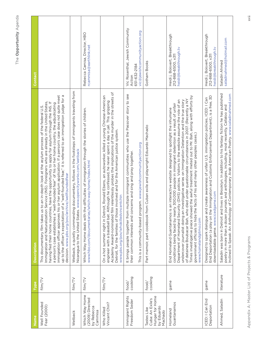| Name                                                                        | Type             | <b>Description</b>                                                                                                                                                                                                                                                                                                                                                                                                                                                                                                                                                                                                                                                                                    | Contact                                                                                    |
|-----------------------------------------------------------------------------|------------------|-------------------------------------------------------------------------------------------------------------------------------------------------------------------------------------------------------------------------------------------------------------------------------------------------------------------------------------------------------------------------------------------------------------------------------------------------------------------------------------------------------------------------------------------------------------------------------------------------------------------------------------------------------------------------------------------------------|--------------------------------------------------------------------------------------------|
| Well Founded<br>Fear (2000)                                                 | film/TV          | up to the officer's expectation of a "well-founded fear," it is referred to an immigration judge for a<br>immigration officer approves his or her asylum application. If a person's case does not quite meet<br>Service (INS). Foreigners who are already in the United States,<br>having fled their home countries, have the opportunity to apply for asylum through the INS. If<br>a person's case establishes a "well-founded fear" of his or her home country, the adjudicating<br>to an in-depth look at the asylum process of the federal U.S.<br>decision. www.pbs.org/pov/archive/wellfoundedfear<br>This documentary film takes us<br>Immigration and Naturalization                         |                                                                                            |
| Wetback                                                                     | film/TV          | Wetback, a quietly commanding documentary, follows in the footsteps of immigrants traveling from<br>Nicaragua to the United States. www.opencityworks.com/wetback                                                                                                                                                                                                                                                                                                                                                                                                                                                                                                                                     |                                                                                            |
| Which Way Home<br>(2009) Directed<br>by Rebecca<br>Cammisa                  | film/TV          | Which Way Home deals with the difficulties of immigration through the stories of children.<br>www.hbo.com/documentaries/which-way-home/index.html                                                                                                                                                                                                                                                                                                                                                                                                                                                                                                                                                     | Rebecca Camisa, Director, HBO<br>rcammisa@earthlink.net                                    |
| Vincent Chin?<br>Who Killed                                                 | film/TV          | Academy Award-nominated film relentlessly probes the implications of the murder in the streets of<br>Detroit, for the families of those involved and for the American justice system.<br>On a hot summer night in Detroit, Ronald Ebens, an autoworker, killed a young Chinese-American<br>engineer with a baseball bat. Although he confessed, he never spent a day in jail. This gripping<br>www.pbs.org/pov/whokilledvincentchin                                                                                                                                                                                                                                                                   |                                                                                            |
| Immigrant Rights<br>Freedom Seder                                           | cooking<br>food/ | multiple immigrant communities who use the Passover story to see<br>This is a community-based program. www.jewishcommunityaction.org<br>their common interests and concerns and sing and pray together.<br>It brings people together from                                                                                                                                                                                                                                                                                                                                                                                                                                                             | Vic Rosenthal, Jewish Community<br>vic@jewishcommunityaction.org<br>651-632-2184<br>Action |
| Hunger for Home<br>Cuba: An Exile's<br>by Eduardo<br>Tastes Like<br>Machado | cooking<br>food/ | Part memoir, part cookbook from Cuban exile and playwright Eduardo Machado                                                                                                                                                                                                                                                                                                                                                                                                                                                                                                                                                                                                                            | Gotham Books                                                                               |
| Guantanamos<br>Homeland                                                     | game             | Times investigative piece showed the awful treatment meted out to Mr. Bah, along with efforts by<br>of detainee Boubacar Bah, who died under questionable circumstances in 2007. (Recently a NY<br>Department of Homeland Security (DHS) policies. Visitors to the website assume the role of an<br>undercover journalist doing an investigative series on Immigration Detention and the true story<br>conditions being faced by nearly 300,000 people in immigrant detention as a result of unfair<br>End Homeland Guantanamos is an interactive website designed to spotlight the inhumane<br>government officials to hide the facts of his and many other peoples cases.)<br>www.homelandgitmo.com | Heidi j. Boisvert, Breakthrough<br>heidi@breakthrough.tv<br>212-868-6500, x311             |
| ICED: I Can End<br>Deportation                                              | game             | Designed to spark dialogue and create awareness of unfair U.S. immigration policies, ICED: I Can<br>End Deportation (a play on the Immigration and Customs Enforcement Department), is a free, 3D<br>game.com<br>downloadable game. www.iced                                                                                                                                                                                                                                                                                                                                                                                                                                                          | Heidi j. Boisvert, Breakthrough<br>heidi@breakthrough.tv<br>212-868-6500, x311             |
| Ahmed, Saladin                                                              | literature       | Saladin was born in Detroit and lives in Brooklyn. In addition to his fantasy fiction he has published<br>poetry in more than a dozen journals and anthologies, including, most recently, Callaloo and<br>Inclined to Speak: An Anthology of Contemporary Arab American Poetry. www.saladinahmed.com                                                                                                                                                                                                                                                                                                                                                                                                  | saladinahmed@hotmail.com<br>Saladin Ahmed                                                  |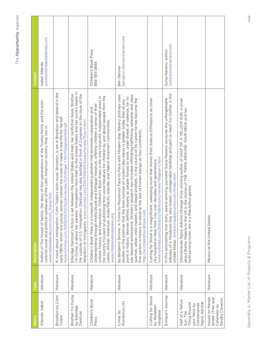| ecus<br>Name                                                                                | Type       | <b>Description</b>                                                                                                                                                                                                                                                                                                                                                                                                                                                                                                                                                                                                                               | Contact                                         |
|---------------------------------------------------------------------------------------------|------------|--------------------------------------------------------------------------------------------------------------------------------------------------------------------------------------------------------------------------------------------------------------------------------------------------------------------------------------------------------------------------------------------------------------------------------------------------------------------------------------------------------------------------------------------------------------------------------------------------------------------------------------------------|-------------------------------------------------|
| Allende, Isabel                                                                             | literature | the story of four generations of the Trueba family and the post-<br>colonial social and political upheavals of the Latin American country they live in.<br>frame.htm<br>Author of The House of Spirits,<br>www.isabelallende.com/roots_                                                                                                                                                                                                                                                                                                                                                                                                          | assistant@isabelallende.com<br>Isabel Allende   |
| Brooklyn by Colm<br>Tóibín                                                                  | literature | A novel about immigration, Colm Tóibín's sixth novel, Brooklyn, is set in Brooklyn and Ireland in the<br>early 1950s, when one young woman crosses the ocean to make a new life for herself.<br>www.nytimes.com/2009/05/03/books/review/Schillinger-t.html?pagewanted=all                                                                                                                                                                                                                                                                                                                                                                        |                                                 |
| Brother, I'm Dying<br>by Edwidge<br>Danticat                                                | literature | immigration from Haiti to the United States and her uncle's death in<br>Edwidge Danticat's fiction is set between the United States and Haiti; her nonfiction book, Brother<br>the custody of U.S. Immigration. Danticat has also testified in front of Congress on the issue of the<br>detention of immigrants. www.nytimes.com/2007/09/09/books/review/Row-t.html<br>I'm Dying, is about her parents'                                                                                                                                                                                                                                          |                                                 |
| Children's Book<br>Press                                                                    | literature | the country focused on publishing first-voice literature for children by and about people from the<br>culture, history, and importance. Children's Book Press is the only nonprofit, independent press in<br>understanding through multicultural and bilingual literature, offering children a sense of their<br>Children's Book Press is a nonprofit independent publisher that promotes cooperation and<br>Latino, African American, Asian/Pacific Islander, and Native American communities.<br>www.childrensbookpress.org                                                                                                                    | Children's Book Press<br>866-935-2665           |
| Monstrous (A)<br>Crime So                                                                   | literature | pay beyond subsistence. Skinner's research has included infiltrating trafficking networks and slave<br>By Benjamin Skinner, A Crime So Monstrous Face-to-Face with Modern-Day Slavery portrays case<br>slavery as people forced to work, under threat of violence, for no<br>quarries, urban child markets, and illegal brothels. In the course of his career he has become the<br>total number of modern-day slaves is greater today than at any<br>e the sale of human beings on four continents.<br>studies on the premise that the<br>point in history. Skinner defines<br>first person in history to observ<br>http://acrimesomonstrous.com | Ben Skinner<br>benjamin.skinner@gmail.com       |
| Cutting for Stone<br>by Abraham<br>Verghese                                                 | literature | Cutting for Stone is a magnificent, sweeping novel that moves from India to Ethiopia to an inner-<br>city hospital in New York City over decades and generations.<br>www.nytimes.com/2009/02/08/books/review/Wagner-t.html                                                                                                                                                                                                                                                                                                                                                                                                                       |                                                 |
| Enrique's Journey                                                                           | literature | odyssey of a Honduran boy who braves unimaginable hardship and peril to reach his mother in the<br>In this astonishing true story, award-winning journalist Sonia Nazario recounts the unforgettable<br>United States. www.enriquesjourney.com/index.html                                                                                                                                                                                                                                                                                                                                                                                        | sonia@sonianazario.com<br>Sonia Nazario, author |
| Half of a Yellow<br>Ngozi Adichie<br>Thing Around<br>Chimamanda<br>your Neck by<br>Sun, The | literature | Chimamanda Ngozi Adichie (Orange Prize winning author of HALF OF A YELLOW SUN, a novel<br>about Biafra; Nigeria to the US in the stories of THE THING AROUND YOUR NECK and her<br>forthcoming novel; she is a MacArthur genius                                                                                                                                                                                                                                                                                                                                                                                                                   |                                                 |
| House on Mango<br>Street (The) and<br>Sandra Cisneros<br>Caramelo by                        | literature | Mexico to the United States.                                                                                                                                                                                                                                                                                                                                                                                                                                                                                                                                                                                                                     |                                                 |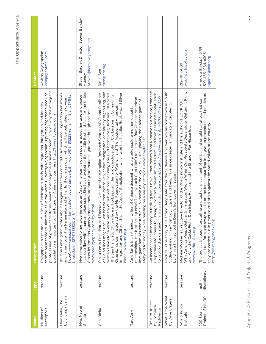| Name                                        | Type                   | <b>Description</b>                                                                                                                                                                                                                                                                                                                                                                                                                                                                                                                                                                                                                         | Contact                                                                        |
|---------------------------------------------|------------------------|--------------------------------------------------------------------------------------------------------------------------------------------------------------------------------------------------------------------------------------------------------------------------------------------------------------------------------------------------------------------------------------------------------------------------------------------------------------------------------------------------------------------------------------------------------------------------------------------------------------------------------------------|--------------------------------------------------------------------------------|
| Muslims of<br>Metropolis                    | literature             | photo essays of green-card stories meant to engage the business community on why the immigrant<br>formation in three Muslim families in the West. Currently Rajagapolan is putting together a book of<br>Rajagopalan's first book, Muslims of Metropolis, deals with migration, integration, and identity<br>population is important to the future of American business. http://kaviraj.typepad.com                                                                                                                                                                                                                                        | Kavitha Rajagopalan<br>kxraja@hotmail.com                                      |
| by Jhumpa Lahiri<br>Namesake, The           | literature             | hope). www.amazon.com/Namesake-Novel-Jhumpa-Lahiri/dp/0618485228/ref=sr_1_1?ie=UTF8&s=<br>Jhumpa Lahiri (who writes about Bengali characters coming to America and England in her stories<br>and in her novel, The Namesake, and in her forthcoming novel, which will be published next year l<br>books&qid=1274135552&sr=8-1                                                                                                                                                                                                                                                                                                              |                                                                                |
| Nye, Naomi<br>Shihab                        | literature             | that overflow with a humanitarian spirit. She has traveled to the Middle East and Asia for the United<br>Nye gives voice to her experience as an Arab American through poems about heritage and peace<br>States Information Agency three times, promoting international goodwill through the arts.<br>www.barclayagency.com/nye.html                                                                                                                                                                                                                                                                                                       | Steven Barclay, Director, Steven Barclay<br>Steven@barclayagency.com<br>Agency |
| Sen, Rinku                                  | literature             | of ColorLines magazine. Sen has written extensively about immigration, community organizing, and<br>women's lives for a wide variety of publications including The Huffington Post, Jack and Jill Politics,<br>Rinku Sen is President and Executive Director of the Applied Research Center (ARC) and Publisher<br>the Age of Globalization, which won the Nautilus Book Award Silver<br>The San Francisco Chronicle, and Forbes.com. Her books include Stir It Up: Lessons in Community<br>Organizing, commissioned by the Ms. Foundation for Women, and The Accidental American:<br>Immigration and Citizenship in<br>Medal. www.arc.org | rsen@arc.org<br>Rinku Sen                                                      |
| Tan, Amy                                    | literature             | relationships. Her best-selling novel The Joy Luck Club (1989) focuses on four Chinese-American<br>immigrant families who start a club known as "the Joy Luck Club," playing the Chinese game of<br>Amy Tan is is an American writer of Chinese descent whose works explore mother-daughter<br>Mahjong for money while feasting on a variety of foods. www.amytan.net                                                                                                                                                                                                                                                                      |                                                                                |
| Train to Trieste<br>by Domnica<br>Radulescu | literature             | thrilling debut novel-that moves from Romania to America, from the<br>Carpathian Mountains to Chicago, from totalitarianism to freedom, and from passionate infatuation<br>to profound understanding. www.randomhouse.com/catalog/display.pperl?isbn=9780307268235<br>An incandescent love story-at                                                                                                                                                                                                                                                                                                                                        |                                                                                |
| What is the What<br>by Dave Eggers          | literature             | Book tells the story of Valentino Deng's life after the Sudanese Civil war hits his hometown in South<br>Eggers and Deng have since created a foundation devoted to<br>building a high school in Deng's hometown in Sudan.<br>Sudan, making him a "lost boy."                                                                                                                                                                                                                                                                                                                                                                              |                                                                                |
| World Policy<br>Institute                   | literature             | Why America Keeps Getting Immigration Wrong When Our Prosperity Depends on Getting It Right<br>rector of the World Policy Institute and the author of LOCKOUT:<br>and Why the Cocks Fight: Dominicans, Haitians and the Struggle For Hispaniola.<br>Michele Wucker is Executive Dii<br>www.worldpolicy.org                                                                                                                                                                                                                                                                                                                                 | wpi@worldpolicy.org<br>212-481-5009                                            |
| Project of NNIRR<br>100 Stories             | disciplinary<br>multi- | be used to inform and sway people on the fence regarding immigration procedures and policies as<br>The project is about storytelling and tactical placement of critical and untold narratives that can<br>they are carried out in practice and often against the stated values of the country.<br>http://nnirr.org/index.php                                                                                                                                                                                                                                                                                                               | Arnoldo García, NNIRR<br>510-465-1984, x305<br>agarcia@nnirr.org               |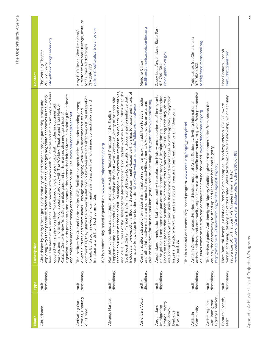| Jame                                                                               | <b>Type</b>            | <b>Description</b>                                                                                                                                                                                                                                                                                                                                                                                                                                                                                                                                                                                                                                                                                                                                                                        | Contact                                                                                                                                                        |
|------------------------------------------------------------------------------------|------------------------|-------------------------------------------------------------------------------------------------------------------------------------------------------------------------------------------------------------------------------------------------------------------------------------------------------------------------------------------------------------------------------------------------------------------------------------------------------------------------------------------------------------------------------------------------------------------------------------------------------------------------------------------------------------------------------------------------------------------------------------------------------------------------------------------|----------------------------------------------------------------------------------------------------------------------------------------------------------------|
| Abundance                                                                          | disciplinary<br>multi- | is nationwide interviews with billionaires and minimum wage workers<br>organizations, arts presenters, and communities across the United States in exploring the intimate<br>exploring ways that people of different classes, races, and ages negotiate economics in their daily<br>Abundance by Marty Pottenger is a community arts performance project gathering stories and<br>coupled with a year-long New York-based civic dialogue group that includes undocumented<br>workers and millionaires. A collaborative project with The Working Theatre and Snug Harbor<br>Cultural Center in New York City, the dialogues and performances also engage a host of<br>and collective impact of money and economics on our lives. www.abundanceproject.net<br>lives. The heart of Abundance | info@theworkingtheater.org<br>The Working Theater<br>212-539-5675                                                                                              |
| Stories, Creating<br>Activating Our<br>our Home                                    | disciplinary<br>multi- | communities, they utilize the powerful relationship between arts and effective cultural integration<br>to help build strong newcomer communities in diaspora from within and connect refugees and<br>The Institute for Cultural Partnerships (ICP) facilitates opportunities for understanding among<br>diverse cultures and communities. Through their ongoing work with newcomer artists and<br>ICP is a community-based organization. www.culturalpartnerships.org<br>mmigrants with their host communities.                                                                                                                                                                                                                                                                           | Director of Arts and Heritage, Institute<br>skillman@culturalpartnerships.org<br>Amy E. Skillman, Vice President,<br>for Cultural Partnerships<br>717-238-1770 |
| Alvarez, Maribel                                                                   | disciplinary<br>multi- | teaches courses on methods of cultural analysis with particular emphasis on objects, oral narratives,<br>and visual cultures of the United States-Mexico border. Through her work as Public Folklorist at The<br>includes an e-newsletter, a Blog, and several community-based partnerships to record and interpret<br>Southwest Center, Maribel is the Animator of BorderLore, a cultural documentation initiative that<br>Department and as Research Social Scientist at the Southwest Center, University of Arizona. She<br>vernacular knowledge in the borderlands. http://swctr.web.arizona.edu/folklore/dr-m-alvarez<br>Maribel Alvarez holds a dual appointment as Assistant Research Professor in the English                                                                     |                                                                                                                                                                |
| America's Voice                                                                    | disciplinary<br>multi- | Communications strategy for national immigration reform campaign. In addition to social media<br>culture initiatives for the national immigration reform campaign. http://americasvoiceonline.org<br>and other interactive media and communications activities, America's Voice works on arts and                                                                                                                                                                                                                                                                                                                                                                                                                                                                                         | mclifton@americasvoiceonline.org<br>Marjorie Clifton                                                                                                           |
| Station Poetry<br>Angel Island<br>Immigration<br>and Policy<br>Dialogue<br>Program | disciplinary<br>multi- | Angel Island Immigration Station uses poetry to explore the history and experience of immigrants<br>on Angel Island and open dialogue around contemporary U.S. immigration policies and detention.<br>are encouraged to reflect and share their opinions and experiences of contemporary immigration<br>Based on the poems that prisoners have carved into the barracks' walls during their stay, visitors<br>issues and explore how they can be involved in ensuring fair treatment for all in their own<br>This is a school and community-based program. www.cetel.org/angel_poetry.html<br>communities.                                                                                                                                                                                | Casey Lee, Angel Island State Park<br>Calee@parks.ca.gov<br>415-789-1384                                                                                       |
| Community<br>Artist in                                                             | disciplinary<br>multi- | artists, activists, and community organizers to a site-specific community to give a fresh perspective<br>Artist in Community uses the tried and tested model of Artist Residency, inviting international<br>on issues common to cities and communities around the world. www.artincommunity.org                                                                                                                                                                                                                                                                                                                                                                                                                                                                                           | Todd Lester, freeDimensional<br>todd@freedimensional.org<br>917-952-4933                                                                                       |
| Bigotry Coalition<br>Anti-immigrant<br>Artists Against                             | disciplinary<br>multi- | The Artists Against Anti-immigrant Bigotry Coalition gives artist communities from across the<br>country the opportunity to stand up and renounce hate and bigotry.<br>http://imagine2050.newcomm.org/artists-against-bigotry                                                                                                                                                                                                                                                                                                                                                                                                                                                                                                                                                             |                                                                                                                                                                |
| Bamuthi Joseph,<br>Marc                                                            | disciplinary<br>multi- | winner, and inaugural recipient of the United States Artists Rockefeller Fellowship, which annually<br>Marc Bamuthi Joseph is a National Poetry Slam champion, Broadway veteran, GOLDIE award<br>www.speakoutnow.org/userdata_display.php?modin=50&uid=165<br>recognizes 50 of the country's "greatest living artists."                                                                                                                                                                                                                                                                                                                                                                                                                                                                   | Marc Bamuthi Joseph<br>bamuthi@gmail.com                                                                                                                       |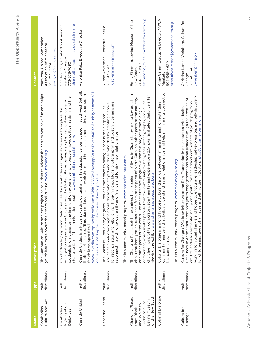| Í<br>i                          |
|---------------------------------|
| ï<br>r<br>p<br>ĺ<br>ı<br>٠<br>i |
| ı.<br>J.<br>1                   |

| Name                                                                                                   | Type                   | <b>Description</b>                                                                                                                                                                                                                                                                                                                                                                                                                                                                                                                                                    | Contact                                                                                                  |
|--------------------------------------------------------------------------------------------------------|------------------------|-----------------------------------------------------------------------------------------------------------------------------------------------------------------------------------------------------------------------------------------------------------------------------------------------------------------------------------------------------------------------------------------------------------------------------------------------------------------------------------------------------------------------------------------------------------------------|----------------------------------------------------------------------------------------------------------|
| Culture and Art<br>Cambodian                                                                           | disciplinary<br>multi- | project helps elders to release their stress and have fun and helps<br>youth learn more about their roots and culture. www.ucaminc.org<br>The Cambodian Culture and Art                                                                                                                                                                                                                                                                                                                                                                                               | Yorn Yan, United Cambodian<br>Association of Minnesota<br>yornyan@comcast.net<br>651-255-0724            |
| Im/migration<br>Cambodian<br>Dialogues                                                                 | disciplinary<br>multi- | students in dialogues on the immigration experience, why people move, political asylum, and the<br>immigration experience in Chicago and the United States by engaging high school and college<br>Cambodian Im/migration Dialogues use the Cambodian refugee experience to explore the<br>changing face of the immigration debate. www.cambodian-association.org                                                                                                                                                                                                      | charles@cambodian-association.org<br>Charles Daas, Cambodian American<br>Heritage Museum<br>773-878-7090 |
| Casa de Unidad                                                                                         | disciplinary<br>multi- | Casa de Unidad is a Hispanic/Latino cultural and arts education center located in southwest Detroit.<br>www.linkedin.com/ppl/webprofile?vmi=&id=5765518&pvs=pp&authToken=4FXS&authType=name&l<br>It offers art exhibits, films, dance classes, and workshops and holds a summer Latino arts program<br>ocale=en_US&trk=ppro_viewmore&lnk=vw_pprofile<br>for children ages 8 to 11.                                                                                                                                                                                    | Veronica Paiz, Executive Director                                                                        |
| Ceasefire Liberia                                                                                      | disciplinary<br>multi- | for reconciliation and rebuilding. Through video, blogs, photography, and poetry Liberians are<br>site helps break down myths about those who stayed and those who fled by creating a space<br>The Ceasefire Liberia project gives Liberians the space to dialogue across the diaspora. The<br>reconnecting with long-lost family and friends and forging new relationships.                                                                                                                                                                                          | Ruthie Ackerman, Ceasefire Liberia<br>ruackerman@yahoo.com<br>617-513-2613                               |
|                                                                                                        |                        | This is a community-based program. www.ceasefireliberia.com                                                                                                                                                                                                                                                                                                                                                                                                                                                                                                           |                                                                                                          |
| of the New South<br>Changing Places:<br>Levine Museum<br>Technicolor, at<br>and White to<br>from Black | disciplinary<br>multi- | The Changing Places exhibit examines the experience of living in Charlotte by asking key questions<br>churches, nonprofits, corporate departments) and experience a 2.5-hour facilitated dialogue after<br>about the immigration experience from other parts of North Carolina, other parts of the country,<br>e from the community to bring their intact groups (book clubs,<br>and other parts of the world. The most effective program within this project is the dialogic<br>viewing the exhibit. www.changingplacesproject.org<br>component, which invites peopl | ezimmern@museumofthenewsouth.org<br>Emily Zimmern, Levine Museum of the<br>704-333-1887<br>New South     |
| Colorful Dialogue                                                                                      | disciplinary<br>multi- | community members that builds understanding and relationships and helps immigrants connect to<br>Colorful Dialogue is a monthly cross-cultural dialogue between immigrants and long-standing<br>This is a community-based program. www.mankatoywca.org<br>the community.                                                                                                                                                                                                                                                                                              | Anne Ganey, Executive Director, YWCA<br>executivedirector@ywcamanakto.org<br>507-345-4629<br>Mankato     |
| Culture for<br>Change                                                                                  | disciplinary<br>multi- | working for social change and hopes to encourage leadership, self-expression, and self-discovery<br>Resources in Action that promotes youth engagement and social justice through the creation of<br>art. CfC endorses authentic inquiry and youth voice as critical components of youth programs<br>Culture for Change (CfC) is an initiative of the Barr Foundation in collaboration with Health<br>for children and teens of all races and ethnicities in Boston. http://cfc.barrexternal.org                                                                      | Christine Lamas Weinberg, Culture for<br>cweinberg@hria.org<br>617-461-5461<br>Change                    |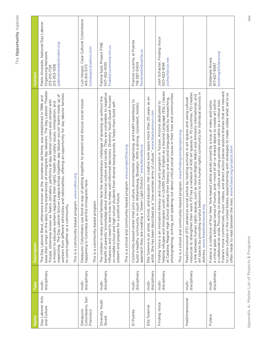| Name                                     | Type                   | <b>Description</b>                                                                                                                                                                                                                                                                                                                                                                                                                                                                                                                                                                                                                                                                                           | Contact                                                                                                               |
|------------------------------------------|------------------------|--------------------------------------------------------------------------------------------------------------------------------------------------------------------------------------------------------------------------------------------------------------------------------------------------------------------------------------------------------------------------------------------------------------------------------------------------------------------------------------------------------------------------------------------------------------------------------------------------------------------------------------------------------------------------------------------------------------|-----------------------------------------------------------------------------------------------------------------------|
| Day Laborer Arts<br>and Culture          | disciplinary<br>multi- | base their songs on the daily living experiences of immigrant day laborers. The Day Laborer Theater<br>workers from different ethnicities and nationalities, offering an opportunity for day laborer families<br>organizing. The Day Laborer Soccer League brings together day laborer soccer teams made up of<br>The Day Laborer Band, otherwise known as the Jornaleros del Norte, was established in 1996 and<br>Troupe, otherwise known as Teatro Jornalero, performs at day laborer corners and centers with<br>a mission to educate workers regarding their rights, health and safety issues, immigration, and<br>This is a community-based program. www.ndlon.org<br>to come together as a community. | Pablo Alvarado, National Day Laborer<br>pabloalvarado@ndlon.org<br>Organizing Network<br>213-353-1336<br>213-210-7124 |
| Colombiano, San<br>Desayuno<br>Francisco | disciplinary<br>multi- | Desayuno Colombiano use food as way of getting together to present and discuss social issues<br>happening in Colombia and the immigrants here.<br>This is a community-based program.                                                                                                                                                                                                                                                                                                                                                                                                                                                                                                                         | Casa Cultural Colombiana<br>luisvasgoz@yahoo.com<br>415-310-5173<br>Luis Vasgoz,                                      |
| Diversity Youth<br>Quest                 | disciplinary<br>multi- | benefit of parents' knowledge about American culture and society. They are vulnerable to negative<br>influences and need to learn how to make well-informed decisions. Diversity Youth Quest focuses<br>The children in newly arrived families face the extraordinary challenge of growing up without the<br>on middle school and high school students from diverse backgrounds. It helps them build self-<br>This is a school and community-based program. www.projectfine.org<br>esteem and prepare for a positive future.                                                                                                                                                                                 | Fatima Said, Project FINE<br>Fsaid@co.winona.mn.us<br>507-452-4100                                                    |
| El Puente                                | disciplinary<br>multi- | Community-based center that joins culture, environmental organizing, and health seamlessly to<br>build a healthy community in south Williamsburg, Brooklyn. With a strong, consistent, holistic<br>approach they are creating a "Green Light District." www.elpuente.us                                                                                                                                                                                                                                                                                                                                                                                                                                      | Frances Lucerna, el Puente<br>flucerna@elpuente.us<br>718-387-0404                                                    |
| Ella Turenne                             | disciplinary<br>multi- | Ella Turenne is an artist, activist, and educator. Her creative work spans more than 20 years as an<br>artist. She has been described as a "one-woman army of culture." www.blackwomyn.com                                                                                                                                                                                                                                                                                                                                                                                                                                                                                                                   |                                                                                                                       |
| Finding Voice                            | disciplinary<br>multi- | helping refugee and immigrant youth in LEARN Center English as a Second Language (ESL) classes<br>photographing, writing, and speaking out about critical social issues in their lives and communities.<br>at Catalina Magnet High School develop their literacy and second language skills by researching,<br>literacy and visual arts program in Tucson, Arizona dedicated to<br>This is a school and community-based program. www.findingvoiceproject.org<br>Finding Voice is an innovative                                                                                                                                                                                                               | Josh Schacter, Finding Voice<br>joshsch@cox.net<br>520-622-8194                                                       |
| freeDimensional                          | disciplinary<br>multi- | art spaces by providing surplus bedrooms to the human rights community for individual activists in<br>resources to strengthen their work. FD has a network of 400 art spaces in 70 countries. FD creates<br>a link between human rights spaces, such as Human Rights Watch and Amnesty International, and<br>freeDimensional (FD) advances social justice by hosting activists in art spaces and using cultural<br>distress. www.freedimensional.org                                                                                                                                                                                                                                                         |                                                                                                                       |
| Fulana                                   | disciplinary<br>multi- | Fulana's mock commercials, music videos, and direct action pieces explore themes that are relevant<br>to Latino cultures in the United States, experimenting with strategies to make visible what we're so<br>a critical gaze, a bilingual sense of humor, and-most of all-a shared desire to create art within<br>a collaborative onda. Focusing on popular culture and using parody and satire as a critical tool,<br>Fulana is a collective of four New York-based Latina artists joined by a love of video and satire,<br>often made to read between the lines. www.fulana.org/projects.html                                                                                                             | booking@fulana.org<br>Soldanela Rivera<br>917-627-9097                                                                |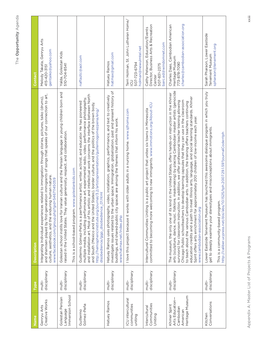| )              |
|----------------|
| i)             |
|                |
|                |
| ۹              |
| ۱              |
|                |
| í.             |
| l              |
| ٠              |
|                |
| ı              |
| ١              |
| ı              |
| y.<br>ı.       |
| Í<br>J.        |
|                |
| $\circledcirc$ |
|                |
|                |
|                |

| Name                                                                        | Type                   | <b>Description</b>                                                                                                                                                                                                                                                                                                                                                                                                                                                                                                                                                                                                                                                                                                                                  | Contact                                                                                                                     |
|-----------------------------------------------------------------------------|------------------------|-----------------------------------------------------------------------------------------------------------------------------------------------------------------------------------------------------------------------------------------------------------------------------------------------------------------------------------------------------------------------------------------------------------------------------------------------------------------------------------------------------------------------------------------------------------------------------------------------------------------------------------------------------------------------------------------------------------------------------------------------------|-----------------------------------------------------------------------------------------------------------------------------|
| Creative Works<br>Genryu Arts                                               | disciplinary<br>multi- | and shamisen played by first-generation immigrants of songs that speaks of our connection to art,<br>Integrating Individual experiences related to immigration through stories, pictures, taiko (drums),<br>culture, aesthetics, and the enduring human nature.<br>www.facebook.com/group.php?gid=54671145059                                                                                                                                                                                                                                                                                                                                                                                                                                       | Melody Takata, Genryu Arts<br>gentaiko@yahoo.com<br>415-420-3151                                                            |
| Immersion School<br>Golestan Persian<br>Language                            | disciplinary<br>multi- | Golestan school instills love for Iranian culture and the Persian language in young children born and<br>raised in the United States. They value generosity, respect, and collaboration.<br>This is a school-based program. www.golestankids.com                                                                                                                                                                                                                                                                                                                                                                                                                                                                                                    | Yalda, Golestan Kids<br>510-704-8541                                                                                        |
| Gómez-Peña<br>Guillermo                                                     | disciplinary<br>multi- | and installation art. Most of his artistic and intellectual work concerns the interface between North<br>multiple media, including performance art, experimental radio, video, performance photography,<br>Guillermo Gómez-Peña is a performance artist, writer, activist, and educator. He has pioneered<br>and South (Mexico and the United States), border culture, and the politics of the brown body.<br>http://hemisphericinstitute.org/journal/3.2/artistspresentation/guillermogomezpena/eng/<br>disobedience/ggp_disobedience_01.html                                                                                                                                                                                                      | naftaztc@aol.com                                                                                                            |
| Hatuey Ramos                                                                | disciplinary<br>multi- | investigate issues related to the urban space. Immigration, globalization, past and present history of<br>Hatuey Ramos uses photography, video, installation, graphics, performance, and text to creatively<br>buildings, and shared-public city spaces are among the themes that inform his work.<br>www.hatmax.net/index.php                                                                                                                                                                                                                                                                                                                                                                                                                      | hatmax@gmail.com<br>Hatuey Ramos                                                                                            |
| ICU intercultural<br>communities<br>uniting                                 | disciplinary<br>multi- | I love this project because it works with older adults in a nursing home. www.sjlhome.com                                                                                                                                                                                                                                                                                                                                                                                                                                                                                                                                                                                                                                                           | Terri Holman, St. John Lutheran Home/<br>holman@newulmtel.net<br>507-723-6794<br><b>CU</b>                                  |
| Communities<br>Intercultural<br>Uniting                                     | disciplinary<br>multi- | welcoming to new immigrants. www.immotions.org/About-ICU<br>Intercultural Communities Uniting is a public art project that unites six towns in Minnesota<br>committed to becoming more                                                                                                                                                                                                                                                                                                                                                                                                                                                                                                                                                              | Director, Business Arts & Recreation<br>Cathy Peterson, Education/Events<br>barc.ed@windomnet.com<br>507-831-2375<br>Center |
| Heritage Museum<br>Arts Education-<br>Khmer Spirit<br>Cambodian<br>American | disciplinary<br>multi- | arts (sculpture, dance, music, folklore, maskmaking) by placing Cambodian master artists (genocide<br>The museum, the only one of its kind in the United States, offers hands-on instruction in the Khmer<br>education credits and a path to meet Illinois arts, language, and social learning standards. Khmer<br>Chicago Public schoolteachers to develop learning capsules that they can use in the classroom<br>survivors) for classroom instruction. In addition, we offer professional teacher training allowing<br>to teach about the various Cambodian arts. In addition, the training offers teachers continuing<br>Spirit offers arts enrichment for approximately 200 children of low-income each year.<br>www.cambodian-association.org | charles@cambodian-association.org<br>Charles Daas, Cambodian American<br>Heritage Museum<br>773-878-7090                    |
| Conversations<br>Kitchen                                                    | disciplinary<br>multi- | Lower Eastside Tenement Museum has launched this awesome dialogue program in which you truly<br>get to deeply examine your stereotypes and misconceptions about immigrants.<br>http://caliber.ucpress.net/doi/abs/10.1525/tph.2007.29.1.59?journalCode=tph<br>This is a community-based program.                                                                                                                                                                                                                                                                                                                                                                                                                                                    | Sarah Pharaon, Lower Eastside<br>spharaon@tenement.org<br>Tenement Museum                                                   |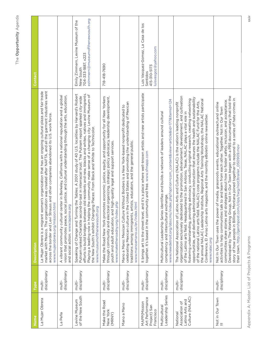| Vane                                                                | <b>Type</b>            | <b>Description</b>                                                                                                                                                                                                                                                                                                                                                                                                                                                                                                                                                                                                                                                                                                                                                                                                    | Contact                                                                                                    |
|---------------------------------------------------------------------|------------------------|-----------------------------------------------------------------------------------------------------------------------------------------------------------------------------------------------------------------------------------------------------------------------------------------------------------------------------------------------------------------------------------------------------------------------------------------------------------------------------------------------------------------------------------------------------------------------------------------------------------------------------------------------------------------------------------------------------------------------------------------------------------------------------------------------------------------------|------------------------------------------------------------------------------------------------------------|
| La Mujer Obrera                                                     | disciplinary<br>multi- | market with Mexico. The organization was created after NAFTA, and all the garment industries went<br>across the border and Levi Strauss and other companies abandoned its U.S. work force.<br>La Mujer Obrera is a migrant women's organization that has an ongoing cultural plaza and fair trade<br>www.mujerobrera.org/mission.html                                                                                                                                                                                                                                                                                                                                                                                                                                                                                 |                                                                                                            |
| La Peña                                                             | disciplinary<br>multi- | A vibrant community cultural center in Berkeley, California with a national reputation and a global<br>vision that promotes peace, social justice, and cultural understanding through the arts, education,<br>and social action. www.lapena.org                                                                                                                                                                                                                                                                                                                                                                                                                                                                                                                                                                       |                                                                                                            |
| of the New South<br>Levine Museum                                   | disciplinary<br>multi- | Speaking of Change and Turning the Tables: A 2001 study of 40 U.S. localities by Harvard's Robert<br>Putnam ranked Charlotte second-to-last in interracial trust. The Putnam report sparked city-wide<br>efforts to build bridges between old residents and new, blacks and whites, natives and immigrants.<br>Playing a leading role in helping the community make sense of a changing city: Levine Museum of<br>the New South's exhibit Changing Places: From Black and White to Technicolor.<br>www.museumofthenewsouth.org                                                                                                                                                                                                                                                                                        | ezimmern@museumofthenewsouth.org<br>Emily Zimmern, Levine Museum of the<br>704-333-1887, x223<br>New South |
| Make the Road<br>New York<br>(MRNY)                                 | disciplinary<br>multi- | through community and electoral organizing, strategic policy advocacy, leadership development,<br>Make the Road New York promotes economic justice, equity, and opportunity for all New Yorkers<br>youth and adult education, and high-quality legal and support services.<br>www.maketheroadny.org/index.php                                                                                                                                                                                                                                                                                                                                                                                                                                                                                                         | 718-418-7690                                                                                               |
| Mano a Mano                                                         | disciplinary<br>multi- | celebrating Mexican culture in the United States and promoting the understanding of Mexican<br>Mano a Mano: Mexican Culture Without Borders is a New York-based nonprofit dedicated to<br>artists, educators, and the general public.<br>www.manoamano.us/en/index.html<br>traditions among immigrants,                                                                                                                                                                                                                                                                                                                                                                                                                                                                                                               |                                                                                                            |
| Art Performance<br><b>MAPP(Mission</b><br>Project) San<br>Francisco | disciplinary<br>multi- | and it's a place where well-known artists and new artists participate<br>together. It's based in the community and free. www.sfmapp.com<br>It brings art to the street level,                                                                                                                                                                                                                                                                                                                                                                                                                                                                                                                                                                                                                                         | Luis Vasquez-Gomez, La Casa de los<br>luisvasgoz@yahoo.com<br>415-310-5173<br>Sentidos                     |
| Leadership Series<br>Multicultural                                  | disciplinary<br>multi- | index.php?option=com_content&view=article&id=177&Itemid=124<br>Multicultural Leadership Series identifies and builds a network of leaders around cultural<br>exchange<br>competency and intercultural<br>www.newdetroit.org/obscms/                                                                                                                                                                                                                                                                                                                                                                                                                                                                                                                                                                                   |                                                                                                            |
| Culture (NALAC)<br>Latino Arts and<br>Association of<br>National    | disciplinary<br>multi- | organization exclusively dedicated to the promotion, advancement, development, and cultivation<br>opportunities, and delivering administrative instruction that ensures the health and sustainability<br>fostering understanding, providing advocacy, conducting original research, creating networking<br>the annual NALAC Leadership Institute, Regional Arts Training Workshops, the NALAC National<br>of the national Latino arts field. NALAC's core programs include the NALAC Fund for the Arts,<br>The National Association of Latino Arts and Culture (NALAC) is the nation's leading nonprofit<br>of the Latino arts field. Headquartered in San Antonio, Texas, NALAC plays a vital role in<br>ts magazine, and the monthly eBoletin online newsletter.<br>Conference, El Aviso Latino ar<br>www.nalac.org |                                                                                                            |
| Not in Our Town<br>III                                              | disciplinary<br>multi- | communities share stories and strategies about how to foster safety, inclusion, and acceptance.<br>Developed by The Working Group, Not In Our Town began with a PBS documentary that told the<br>story of how people in Billings, Montana joined together to respond to a series of hate crimes in<br>Not In Our Town uses the power of media, grassroots events, educational outreach,and online<br>activities to help communities talk to and learn from each other. Together, Not In Our Town<br>their town. http://gershpost.com/clips/twg/niot3trailer_050909.mov                                                                                                                                                                                                                                                |                                                                                                            |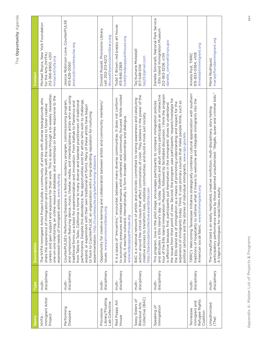| Vame                                                      | <b>Type</b>            | <b>Description</b>                                                                                                                                                                                                                                                                                                                                                                                                                                                                                                                                                                                                                                                                                                                                                                                               | Contact                                                                                                                          |
|-----------------------------------------------------------|------------------------|------------------------------------------------------------------------------------------------------------------------------------------------------------------------------------------------------------------------------------------------------------------------------------------------------------------------------------------------------------------------------------------------------------------------------------------------------------------------------------------------------------------------------------------------------------------------------------------------------------------------------------------------------------------------------------------------------------------------------------------------------------------------------------------------------------------|----------------------------------------------------------------------------------------------------------------------------------|
| Immigrant Artist<br>Project<br>NYFA                       | disciplinary<br>multi- | exposure for their work. This is done through a bi-weekly newsletter,<br>one-on-one mentoring, an online resource database, and workshops on themes responsive to the<br>The NYFA Immigrant Artist Project builds a community of artists with diverse backgrounds who<br>share the experience of immigration and connects them with the resources to foster creative<br>expressed needs of immigrant artists. www.nyfa.org<br>careers and gain support and                                                                                                                                                                                                                                                                                                                                                       | Michael Royce, New York Foundation<br>212-366-6900, x201<br>for the Arts (NYFA)<br>mroyce@nyfa.org                               |
| Performing<br>Diaspora                                    | disciplinary<br>multi- | and symposium featuring dance, music, theater, media, and interdisciplinary artists who are using<br>CounterPULSE's Performing Diaspora is a festival, residency program, commissioning program,<br>performance. Despite this abundance, few opportunities exist for artists who wish to challenge,<br>is home to many diverse and talented practitioners of traditional<br>traditional forms as a basis for experimentation and innovation. From Kathak to Flamenco and<br>expand, or experiment with their own traditional art forms. Many of these artists have begun<br>to flock to CounterPULSE, an organization with a long-standing reputation for nurturing<br>experimentation. http://counterpulse.org/performing-diaspora<br>from Tabla to Taiko, California                                           | Jessica Robinson Love, CounterPULSE<br>jessica@counterpulse.org<br>415-626-2060                                                  |
| _ibrary/Floating<br>ab Collective<br>Provisions           | disciplinary<br>multi- | Opportunity for creative learning and collaboration between artists and community members/<br>issues. www.provisionslibrary.org                                                                                                                                                                                                                                                                                                                                                                                                                                                                                                                                                                                                                                                                                  | Donald Russell, Provisions Library<br>drussell@provisionslibrary.org<br>cell: 202-213-6272                                       |
| Red Poppy Art<br>House                                    | disciplinary<br>multi- | to economic pressures and instead remains artist-centered and community focused. While rooted<br>It is a space of "encuentro," encounter, between many diverse communities. It does not conform<br>locally, it reaches outward, internationally, to form broader relationships and dialogue.<br>www.redpoppyarthouse.org                                                                                                                                                                                                                                                                                                                                                                                                                                                                                         | Todd T. Brown, red poppy art house<br>todd@redpoppyarthouse.org<br>415-846-2369                                                  |
| Collective (BAC)<br>Sassy Sisters of<br>Blackout Arts     | disciplinary<br>multi- | action around the critical issues that affect communities of color. They believe in the power of the<br>BAC is a national network of artists and activists committed to raising awareness and catalyzing<br>creative process to transform lives, mobilize communities, and build a more just society.<br>http://blackoutartscollective.eventbrite.com                                                                                                                                                                                                                                                                                                                                                                                                                                                            | Taij Kumarie Moteelall<br>taij23@gmail.com<br>917-548-5116                                                                       |
| Immigration<br>Speaking of                                | multi-<br>disciplinary | tour of the Ellis Island Immigration Museum, followed by facilitated discussion. I think the program<br>and attitudes in Ellis Island's day vs. today. Students and adult visitors participate in an interactive<br>view. Second, the program uses participants' respect/nostalgia for<br>This program, now in the pilot stage, encourages participants to compare immigration policies<br>experience of immigrants today. Third, it uses primary sources that make people think, such as<br>the Ellis Island era of immigration as a means of promoting understanding and respect for the<br>is effective because, first, participants put themselves in the immigrants' shoes to understand<br>political cartoons and the stories of individual immigrants. www.nps.gov/elis<br>the issues from their point of | Danelle Simonelli, National Park Service<br>- Ellis Island Immigration Museum<br>danelle_simonelli@nps.gov<br>212-363-3206, x134 |
| Refugee Rights<br>Immigrant and<br>Tennessee<br>Coalition | disciplinary<br>multi- | TIRRC's Welcoming Tennessee Initiative strategically combines cultural appreciation with southern<br>traditions of hospitality to reframe what it means to welcome and integrate immigrants into the<br>nimmigrant.org<br>American social fabric. www.t                                                                                                                                                                                                                                                                                                                                                                                                                                                                                                                                                          | Amelia@tnimmigrant.org<br>615-833-0384, x108<br>Amelia Post, TIRRC                                                               |
| Unauthorized<br>(The)                                     | disciplinary<br>multi- | participatory performance piece by those deemed unauthorized: "illegals, queer and criminal kids."<br>A Vagina Monologues for racial/class equity.<br>replicated, creative nonfiction, multi-disciplinary, story-telling<br>The Unauthorized is an easily                                                                                                                                                                                                                                                                                                                                                                                                                                                                                                                                                        | maria@floridaimmigrant.org<br>Maria Rodriguez                                                                                    |

The Opportunity Agenda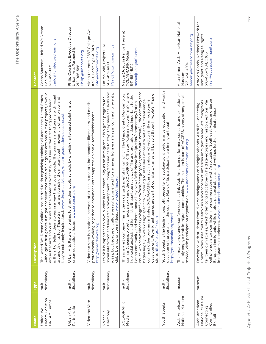| ۱                           |
|-----------------------------|
| r.<br>í<br>ı<br>٦<br>í<br>í |
| ı.<br>ı<br>I.               |

| Name                                                                     | Type                   | <b>Description</b>                                                                                                                                                                                                                                                                                                                                                                                                                                                                                                                                                                                                                                                                                                                                                                                                                           | Contact                                                                                                                  |
|--------------------------------------------------------------------------|------------------------|----------------------------------------------------------------------------------------------------------------------------------------------------------------------------------------------------------------------------------------------------------------------------------------------------------------------------------------------------------------------------------------------------------------------------------------------------------------------------------------------------------------------------------------------------------------------------------------------------------------------------------------------------------------------------------------------------------------------------------------------------------------------------------------------------------------------------------------------|--------------------------------------------------------------------------------------------------------------------------|
| Dream Coalition -<br>DREAM Camps<br>United We                            | disciplinary<br>multi- | Although at first glance it might not seem that these trainings are arts and culture projects, I would<br>The United We Dream Coalition has started to do organizing trainings all across the United States.<br>in a way that moves people. The trainings are often rife with visual<br>art and singing, too. These trainings are founding the migrant youth movement of tomorrow and<br>at the center of what they do. One of the first thing people learn<br>they're extremely inspirational. www.dreamactivist.org/dream-graduations-coast-coast<br>argue that arts and culture are<br>is the art of telling their stories                                                                                                                                                                                                                | Carlos Saavedra, United We Dream<br>carlos@unitedwedream.org<br>617-459-1935<br>Coalition                                |
| Partnership<br><b>Urban Arts</b>                                         | disciplinary<br>multi- | strengthen public schools by providing arts-based solutions to<br>urbanarts.org<br>Urban Arts Partnership aims to<br>urban educational issues. www                                                                                                                                                                                                                                                                                                                                                                                                                                                                                                                                                                                                                                                                                           | Philip Courtney, Executive Director,<br>Urban Arts Partnership<br>Philip@urbanarts.org<br>212-966-5881                   |
| Video the Vote                                                           | disciplinary<br>multi- | Video the Vote is a national network of citizen journalists, independent filmmakers, and media<br>professionals working together to document voter suppression and disenfranchisement.<br>http://videothevote.org                                                                                                                                                                                                                                                                                                                                                                                                                                                                                                                                                                                                                            | Video the Vote, 2887 College Ave<br>#369, Berkeley, CA 94705<br>info@videothevote.org                                    |
| Harmony<br>Voices in                                                     | disciplinary<br>multi- | p development. Immigrants are here to stay. They have the skills and<br>ideas, but because of culture reasons, some tend to shy away from engaging in community events,<br>I think it is important to have a voice in the community as an immigrant. It is a great program for<br>clubs, boards, or committees. www.projectfine.org<br>social interaction and leadershi                                                                                                                                                                                                                                                                                                                                                                                                                                                                      | Fatima Said, Project FINE<br>507-452-4100<br>FSaid@co.winona.mn.us                                                       |
| <b>XOLAGRAFIK</b><br>Media                                               | disciplinary<br>multi- | issues web show videos (xolagrafik.com/mira/category/vids/news-with-nezua/)-the company that<br>springs (theunapologeticmexican.org) and the XOLAGRAFIK Theater (xolagrafik.com/mira), where<br>development. Pro-migrant games are part of our plans; games will be sold through Apple's iPhone<br>This is my art company. This is the undergirding entity from which The Unapologetic Mexican blog<br>I do racial analysis and feminist critique-type reviews of film and promote videos important to the<br>began largely in web design specifically catering to sites like LatinaLista.net and CitizenOrange.<br>com and other pro-migrant sites. XOLAGRAFIK as such is also involved currently in videogame<br>post all my News With Nezua immigration/commentary/Latino<br>Latino community and where I<br>store. http://xolagrafik.com | Nezua (Joaquín Ramón Herrera),<br>nezua@xolagrafik.com<br><b>XOLAGRAFIK Media</b><br>541-954-5212                        |
| Youth Speaks                                                             | disciplinary<br>multi- | Youth Speaks is the leading nonprofit presenter of spoken-word performance, education, and youth<br>development programs in the country. Many of its participants are immigrant youth.<br>http://youthspeaks.org/word                                                                                                                                                                                                                                                                                                                                                                                                                                                                                                                                                                                                                        |                                                                                                                          |
| National Museum<br>Arab American                                         | museum                 | deeply engage Arab immigrant communities. The museum is part of ACCESS, a very strong social<br>Their many programs-conferences that link Arab American performers, concerts and exhibitions<br>service, civic participation organization. www.arabamericanmuseum.org                                                                                                                                                                                                                                                                                                                                                                                                                                                                                                                                                                        | Anan Ameri, Arab American National<br>aameri@accesscommunity.org<br>313-624-0200<br>Museum                               |
| National Museum<br>Arab American<br>Communities<br>Connecting<br>Exhibit | museum                 | cell phone, visitors can listen in on conversations with Arab, Latino, Southeast Asian, and Eastern<br>tell their own stories, which often contradict broadly held stereotypes and misconceptions. Via<br>Communities uses metro Detroit as a microcosm of American immigration and lets immigrants<br>diverse backgrounds and neighborhoods, AANM's Connecting<br>European immigrants while photos, personal objects, and writings further illuminate these<br>immigrants' experiences. www.arabamericanmuseum.org<br>Developed with students from                                                                                                                                                                                                                                                                                          | Arnoldo Garcia, National Network for<br>Immigrant and Refugee Rights<br>jfreij@accesscommunity.org<br>510-465-1984, x305 |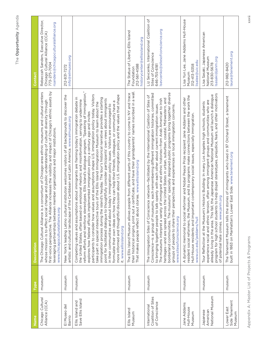| Name                                                 | Polo   | <b>Description</b>                                                                                                                                                                                                                                                                                                                                                                                                                                                                                                                                                                                                                                                                                                                                                                                                                                                                                                                                                                                                                                                                                                                                     | Contact                                                                                                                          |
|------------------------------------------------------|--------|--------------------------------------------------------------------------------------------------------------------------------------------------------------------------------------------------------------------------------------------------------------------------------------------------------------------------------------------------------------------------------------------------------------------------------------------------------------------------------------------------------------------------------------------------------------------------------------------------------------------------------------------------------------------------------------------------------------------------------------------------------------------------------------------------------------------------------------------------------------------------------------------------------------------------------------------------------------------------------------------------------------------------------------------------------------------------------------------------------------------------------------------------------|----------------------------------------------------------------------------------------------------------------------------------|
| Chicago Cultural<br>Alliance (CCA)                   | museum | first-voice perspective. The Alliance increases the visibility and impact of Chicago's ethnic assets by<br>s a consortium of Chicago-area ethnic museums and cultural centers<br>whose mission is to effect social change and public understanding of cultural diversity through<br>leveraging partnerships between member organizations and major institutions.<br>www.chicagoculturalalliance.org<br>The Chicago Cultural Alliance                                                                                                                                                                                                                                                                                                                                                                                                                                                                                                                                                                                                                                                                                                                   | Rebeccah Sanders, Executive Director,<br>rsanders@chicagoculturalalliance.org<br>Chicago Cultural Alliance (CCA)<br>773-275-7004 |
| El Museo del<br>Barrio                               | museum | New York's leading Latino cultural institution welcomes visitors of all backgrounds to discover the<br>artistic and cultural landscape of the Caribbean and Latin America. www.elmuseo.org                                                                                                                                                                                                                                                                                                                                                                                                                                                                                                                                                                                                                                                                                                                                                                                                                                                                                                                                                             | info@elmuseo.org<br>212-831-7272                                                                                                 |
| Ellis Island and<br>Save Ellis Island                | museum | reform efforts and reinforce stereotypes. Ellis Island's dialogue program, "Speaking of Immigration,"<br>participants to consider how values and assumptions shape U.S. immigration policy today. Visitors<br>discussion about U.S. immigration policy and the values that shape<br>Competing values and assumptions about immigrants are framing today's immigration debate in<br>immigration process during the island's heyday. The tour's historical narrative provides a starting<br>point for facilitated dialogue to thoughtfully consider participants' own views about immigrants<br>the United States, often based on emotional rhetoric and misinformation, serving to undermine<br>formulate their own ideas on how they can help their friends, colleagues, or community have a<br>take part in special interactive tours of the Ellis Island Immigration Museum to learn about the<br>in their communities and about today's immigration policy issues. Visitors are encouraged to<br>explores how federal officials implemented immigration policy a century ago and invites<br>more informed and thoughtful<br>it. www.ellisisland.org |                                                                                                                                  |
| Ellis Island<br>Museum                               | museum | their historical origins, print out a certificate, and have their grandparents' names inscribed in a wall.<br>people from different parts of this country to come to NY and trace<br>That makes people reflect about stories. www.ellisisland.org<br>The Ellis Island Museum allows                                                                                                                                                                                                                                                                                                                                                                                                                                                                                                                                                                                                                                                                                                                                                                                                                                                                    | The Statue of Liberty-Ellis Island<br>historycenter@ellisisland.org<br>212-561-4588<br>Foundation                                |
| Coalition of Sites<br>of Conscience<br>International | museum | borderland communities. The museums' specially designed public programs bring together diverse<br>Conscience-is a group of museums, each remembering different immigration histories, committed<br>The Immigration Sites of Conscience network-facilitated by the International Coalition of Sites of<br>heritages—and are spread across the United States in urban, suburban, coastal, Midwestern, and<br>The museums interpret a variety of immigrant and ethnic histories-from Arab American to Irish<br>to bringing together people to talk openly with each other about current immigration issues.<br>groups of people to share their perspectives and experiences on local immigration concerns.<br>www.sitesofconscience.org                                                                                                                                                                                                                                                                                                                                                                                                                   | Liz Sevcenko, International Coalition of<br>Isevcenko@sitesofconscience.org<br>Sites of Conscience<br>646-755-6181               |
| Jane Addams<br>Hull-House<br>Museum                  | museum | resident social reformers, the Museum, and its programs make connections between the work the<br>reformer and Nobel Peace Prize recipient Jane Addams and other<br>Hull-House residents and important contemporary social issues, especially immigration.<br>A dynamic memorial to social<br>www.uic.edu/jaddams/hull                                                                                                                                                                                                                                                                                                                                                                                                                                                                                                                                                                                                                                                                                                                                                                                                                                  | Lisa Yun Lee, Jane Addams Hull-House<br>lisalee@uic.edu<br>312-413-5358<br>Museum                                                |
| National Museum<br>Japanese<br>American              | museum | program for high school students to help dispel stereotypes, prejudice, fears, and other motivators<br>already living in the area. This fall, the Japanese American National Museum will launch a dialogue<br>experience racial and ethnic tension, often among immigrant groups and communities who are<br>'s Historic Building: In many Los Angeles high schools, students<br>of potential hate crimes. www.janm.org<br>Tour Reflection at the Museum                                                                                                                                                                                                                                                                                                                                                                                                                                                                                                                                                                                                                                                                                                | Lisa Sasaki, Japanese American<br>National Museum<br>sasaki@janm.org<br>213-830-5678                                             |
| Side Tenement<br>Lower East<br>Museum                | museum | The Tenement Museum tells the stories of immigrants who lived in 97 Orchard Street, a tenement<br>built in 1863 on Manhattan's Lower East Side. www.tenement.org                                                                                                                                                                                                                                                                                                                                                                                                                                                                                                                                                                                                                                                                                                                                                                                                                                                                                                                                                                                       | laura@tenement.org<br>212-982-8420                                                                                               |

The Opportunity Agenda

Appendix A: Master List of Projects & Programs Appendix A: Master List of Projects & Programs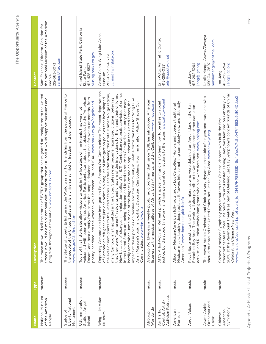| λ           |
|-------------|
|             |
| ٦<br>1<br>ı |
| L<br>î<br>I |
| 1<br>п      |

| Name                                                 | Type   | <b>Description</b>                                                                                                                                                                                                                                                                                                                                                                                                                                                                                                                                                                                                                                                                                                                                                                                                                                                                                                                                                                                                                                  | Contact                                                                                                                  |
|------------------------------------------------------|--------|-----------------------------------------------------------------------------------------------------------------------------------------------------------------------------------------------------------------------------------------------------------------------------------------------------------------------------------------------------------------------------------------------------------------------------------------------------------------------------------------------------------------------------------------------------------------------------------------------------------------------------------------------------------------------------------------------------------------------------------------------------------------------------------------------------------------------------------------------------------------------------------------------------------------------------------------------------------------------------------------------------------------------------------------------------|--------------------------------------------------------------------------------------------------------------------------|
| National Museum<br>of the American<br>People         | museum | The museum would tell the stories of EVERY group that has migrated or immigrated to the United<br>States. It would be a major national cultural institution in DC and it would support museums and<br>programs throughout the nation. www.nmap2015.com                                                                                                                                                                                                                                                                                                                                                                                                                                                                                                                                                                                                                                                                                                                                                                                              | the National Museum of the American<br>Sam Eskenazi, Director, Coalition for<br>samesk@aol.com<br>212-663-3073<br>People |
| Liberty National<br>Monument<br>Statue of            | museum | The Statue of Liberty Enlightening the World was a gift of friendship from the people of France to<br>the people of the United States and is a universal symbol of freedom and democracy.<br>www.nps.gov/stli/index.htm                                                                                                                                                                                                                                                                                                                                                                                                                                                                                                                                                                                                                                                                                                                                                                                                                             |                                                                                                                          |
| U.S. Immigration<br>Station, Angel<br>Island         | museum | America. Participants learn about the obstacles to the "American<br>Dream" and hear directly from some the people detained, sometimes for weeks or months, from<br>poetry inscribed into the wooden walls between 1910 and 1940. www.parks.ca.gov/angelisland<br>visitors to walk in the footsteps of immigrants that were not<br>welcomed with open arms into<br>Tours of this historic site allow                                                                                                                                                                                                                                                                                                                                                                                                                                                                                                                                                                                                                                                 | Angel Island State Park, California<br>aiusis@parks.ca.gov<br>415-435-5537<br>State Parks                                |
| Wing Luke Asian<br>Museum                            | museum | Deporting Cambodians: How Immigration Policy Shapes Our Communities: The recent deportations<br>Now because of changes in immigration policy after 9/11, Cambodian nationals convicted of crimes<br>the lives of immigrants to the United States. Decades after fleeing the brutal Khmer Rouge regime,<br>that they were "permanent" residents and unaware of the implications for them and their children.<br>of Cambodian refugees are just one point in a long line of immigration policies that have shaped<br>in the United States never became naturalized citizens, believing<br>impact of these policies on families and the community in Seattle forms the basis for Wing Luke<br>in the United States are being deported and forced to return to Cambodia, a country that many<br>hardly remember. Home to one of the largest Cambodian populations in the United States, the<br>Asian Museum's poignant exhibit Deporting Cambodians: How Immigration Policy Shapes Our<br>Communities. www.wingluke.org<br>many Cambodians that settled | Cassie Chinn, Wing Luke Asian<br>cchinn@wingluke.org<br>206-623-5124, x131<br>Museum                                     |
| Worldwide<br>Afropop                                 | music  | Afropop Worldwide is a weekly public radio program that, since 1988, has introduced American<br>listeners to the musical cultures of Africa, Latin America, and the Caribbean. www.afropop.org                                                                                                                                                                                                                                                                                                                                                                                                                                                                                                                                                                                                                                                                                                                                                                                                                                                      |                                                                                                                          |
| Activism Retreats<br>Control: Artist-<br>Air Traffic | music  | justice, build a support network, and gain personal connections to the issues. www.atctower.net<br>provide a space for musicians to learn how to be allies to social<br>ATC's Artist-Activism Retreats                                                                                                                                                                                                                                                                                                                                                                                                                                                                                                                                                                                                                                                                                                                                                                                                                                              | Erin Potts, Air Traffic Control<br>erin@atcotwer.net<br>415-255-0331                                                     |
| American<br>Horizon                                  | music  | Mexican music, tapping deep roots as it flowers into something completely new, and distinctly<br>Album by Mexican-American folk-roots group Los Cenzoltes. "Honors and upends traditional<br>American." www.themockingbirds.info                                                                                                                                                                                                                                                                                                                                                                                                                                                                                                                                                                                                                                                                                                                                                                                                                    |                                                                                                                          |
| Angel Voices                                         | music  | Pays tribute mostly to the Chinese immigrants who were detained on Angel Island in the San<br>Francisco Bay Area. The work will also pay tribute to Karl Yoneda, Japanese-American labor<br>activist, and Russian Jewish immigrants who also were detained. www.jonjang.com                                                                                                                                                                                                                                                                                                                                                                                                                                                                                                                                                                                                                                                                                                                                                                         | 415-292-5264<br>jjang@igc.org<br>Jon Jang                                                                                |
| Orchetsra and<br>Aswat Arabic<br>Choir               | music  | The Aswat Arabic Orchestra and Choir is a very dynamic ensemble of singers and musicians who<br>States, not just the Bay Area. www.zawaya.org<br>should tour around the United                                                                                                                                                                                                                                                                                                                                                                                                                                                                                                                                                                                                                                                                                                                                                                                                                                                                      | Nabila Mango, Aswat/Zawaya<br>nabilamango@hotmail.com<br>650-341-3697                                                    |
| Symphony<br>American<br>Chinese                      | music  | 2008 at the Paramount Theatre as part of Oakland East Bay Symphony's concert Sounds of China:<br>transcontinental railroad. The piece, with erhu master Jiebing Chen, was featured on February 22,<br>www.chsa.org/events/art.php?event_id=214&PHPSESSID=8d4afec7e7e5c047f4583e9df040dee2<br>Chinese American Symphony pays tribute to the Chinese laborers who built the first<br>Celebrating Chinese New Year.                                                                                                                                                                                                                                                                                                                                                                                                                                                                                                                                                                                                                                    | 415-292-5264<br>jjang@igc.org<br>Jon Jang                                                                                |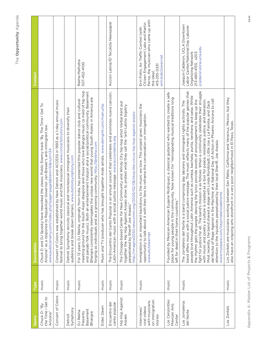| Name                                                                       | Type  | <b>Description</b>                                                                                                                                                                                                                                                                                                                                                                                                                                                                                                                                                                                                                                                                                                                                                                                                                                                                                                                                      | Contact                                                                                                                                                               |
|----------------------------------------------------------------------------|-------|---------------------------------------------------------------------------------------------------------------------------------------------------------------------------------------------------------------------------------------------------------------------------------------------------------------------------------------------------------------------------------------------------------------------------------------------------------------------------------------------------------------------------------------------------------------------------------------------------------------------------------------------------------------------------------------------------------------------------------------------------------------------------------------------------------------------------------------------------------------------------------------------------------------------------------------------------------|-----------------------------------------------------------------------------------------------------------------------------------------------------------------------|
| the Time I Get to<br>Chuck D: "By<br>Arizona"                              | music | reworked the classic Public Enemy track "By The Time I Get To<br>Arizona" as a response to Republican Governor Jan Brewer's anti-immigrant law.<br>www.publicenemy.com/index.php?page=page5&item=10#=34<br>Chuck D and DJ Spooky have                                                                                                                                                                                                                                                                                                                                                                                                                                                                                                                                                                                                                                                                                                                   |                                                                                                                                                                       |
| Concert of Colors                                                          | music | Concert of Colors was established by New Detroit and ACCESS in 1993 as a 1-day annual music<br>festival to bring together world music and folk musicians. www.concertofcolors.com                                                                                                                                                                                                                                                                                                                                                                                                                                                                                                                                                                                                                                                                                                                                                                       |                                                                                                                                                                       |
| Symphony<br>Detroit                                                        | music | Detroit Symphony recruits classical and nonclassical immigrant musicians to diversify their<br>audience and break down barriers. www.detroitsymphony.com                                                                                                                                                                                                                                                                                                                                                                                                                                                                                                                                                                                                                                                                                                                                                                                                |                                                                                                                                                                       |
| Basement<br>DJ Rekha<br>Presents<br>Bhangra                                | music | meeting ground for the South Asian diaspora and those who love Bhangra music (a meld of hip hop<br>and panjabi folk music). Both an entertainment hotspot and a social/political community, Basement<br>Bhangra consistently interrogates the unique new world that young South Asians in America are<br>For 13 years, DJ Rekha, originally from India, has presented this popular dance club and cultural<br>forging as individuals and as a growing community. http://djrekha.com                                                                                                                                                                                                                                                                                                                                                                                                                                                                     | Rekha Malhotra<br>507-452-4100                                                                                                                                        |
| Elder, Dawn                                                                | music | Music and TV producer who has brought together Arab artists. www.demgmt.com/main.php                                                                                                                                                                                                                                                                                                                                                                                                                                                                                                                                                                                                                                                                                                                                                                                                                                                                    |                                                                                                                                                                       |
| canto popular<br>Encuentro del                                             | music | The Encuentro del Canto Popular is an annual concert that celebrates and promotes nueva canción,<br>Latin-American music with a social justice message. www.accionlatina.org                                                                                                                                                                                                                                                                                                                                                                                                                                                                                                                                                                                                                                                                                                                                                                            | Accion Latina/El Tecolote Newspaper                                                                                                                                   |
| Hip Hop Against<br>Arpaio                                                  | music | The Chicago-based Center for New Community and Windy City hip-hop artist Verbal Kent put<br>together the Hip Hop Against Arpaio show to protest what they call the "anti-Latino bigotry<br>http://imagine2050.newcomm.org/2009/02/08/stop-the-circus-hip-hop-against-arpaio<br>perpetrated by Sheriff Joe Arpaio."                                                                                                                                                                                                                                                                                                                                                                                                                                                                                                                                                                                                                                      |                                                                                                                                                                       |
| on immigration<br>with musicians<br>viral videos<br>Interviews/<br>stories | music | Immigration is an important backstory to the music we love. This project gives musicians the<br>opportunity to talk about it with their fans to reframe the conversation on immigration.<br>www.atctower.net                                                                                                                                                                                                                                                                                                                                                                                                                                                                                                                                                                                                                                                                                                                                            | Perna, the musician who came up with<br>Citizen Engagement Labs and Martin<br>Erin Potts, Air Traffic Control (with<br>erin@atctower.net<br>415-255-0331<br>the idea) |
| Los Cenzontles<br>Mexican Arts<br>Center                                   | music | Founded by Mexican-American Eugene Rodriguez, a classical guitarist who wanted to create a safe<br>community. Now known for "reinvigorating musical traditions long<br>eft for dead in their home countries."<br>place for young people in the                                                                                                                                                                                                                                                                                                                                                                                                                                                                                                                                                                                                                                                                                                          |                                                                                                                                                                       |
| Los Jornaleros<br>del Norte                                                | music | fight for justice for all. The band's mission is as follows: When a community celebrates their struggle<br>band offers music with a social justice message. The music reflects many of the popular genres that<br>people love throughout Latin America such as cumbia, bachata, punta, ranchera, and salsa. While<br>the rhythm gets the people dancing the lyrics provide words of encouragement to keep up the<br>with music and poetry a culture is created as a tool for peace, resistance, justice, and liberation.<br>del Rocka of Rage Against in the Machine at a National Day of Action in Phoenix Arizona to call<br>The Jornaleros del Norte is a band comprising day laborers and immigrant rights activists. The<br>Most recently, the band shared a stage with Linda Rondstadt, Little Joe y La Familia, and Zack<br>attention to the injustices perpetuated by their local Sheriff, Joe Arpaio.<br>www.myspace.com/losjornalerosdelnorte | Joaquin Calderon, UCLA Downtown<br>Labor Center/National Day Laborer<br>jcalderon@irle.ucla.edu<br>213-480-4155, x203<br>Organizing Network                           |
| Los Zontels                                                                | music | Los Zontels are musicians working between San Pablo, California and Veracruz, Mexico, but they<br>also have an ongoing arts storefront in a very poor neighborhood in El Paso, Texas.                                                                                                                                                                                                                                                                                                                                                                                                                                                                                                                                                                                                                                                                                                                                                                   |                                                                                                                                                                       |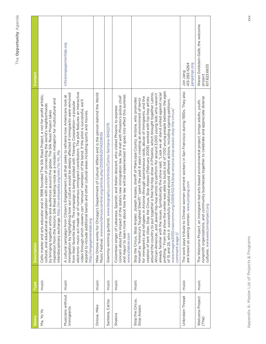| Name                            | Type  | <b>Description</b>                                                                                                                                                                                                                                                                                                                                                                                                                                                                                                                                                                                                                                                                                                                                                                                                                                                                                                                                                                                                                                              | Contact                                                      |
|---------------------------------|-------|-----------------------------------------------------------------------------------------------------------------------------------------------------------------------------------------------------------------------------------------------------------------------------------------------------------------------------------------------------------------------------------------------------------------------------------------------------------------------------------------------------------------------------------------------------------------------------------------------------------------------------------------------------------------------------------------------------------------------------------------------------------------------------------------------------------------------------------------------------------------------------------------------------------------------------------------------------------------------------------------------------------------------------------------------------------------|--------------------------------------------------------------|
| Ma, Yo Yo                       | music | and in 1998 founded The Silk Road Project, a not-for-profit artistic,<br>Road trading route as a modern metaphor for multicultural and<br>cultural, and educational organization with a vision of connecting the world's neighborhoods<br>by bringing together artists and audiences around the globe. The Silk Road Project takes<br>interdisciplinary exchange. http://en.wikipedia.org/wiki/Yo-Yo_Ma<br>inspiration from the historic Silk<br>Cello master and arts educator                                                                                                                                                                                                                                                                                                                                                                                                                                                                                                                                                                                 |                                                              |
| Musicians without<br>Immigrants | music | electronic music act made up of numerous immigrant contributors. The pilot features an interactive<br>immigration by highlighting how our culture would be deeply affected if immigrants were removed<br>A cultural campaign from Citizen's Engagement Lab that seeks to reframe how Americans look at<br>video through which viewers can "remove" members of the band. If the pilot is successful, we'll<br>from their favorite bands. The campaign is being piloted with Thievery Corporation—a popular<br>expand to include additional bands and other cultural areas including sports and movies<br>http://engagementlab.org                                                                                                                                                                                                                                                                                                                                                                                                                                | info@engagementlab.org                                       |
| Orlove, Mike                    | music | Mike Orlove works for Chicago's Department of Cultural Affairs and is the person behind the World<br>Music Festival. www.worldmusiccentral.org/article.php/20060625114239555                                                                                                                                                                                                                                                                                                                                                                                                                                                                                                                                                                                                                                                                                                                                                                                                                                                                                    |                                                              |
| Santana, Carlos                 | music | Grammy-winning guitarist. www.biography.com/articles/Carlos-Santana-9542276                                                                                                                                                                                                                                                                                                                                                                                                                                                                                                                                                                                                                                                                                                                                                                                                                                                                                                                                                                                     |                                                              |
| Shakira                         | music | how the law will be implemented if it goes into effect this summer.<br>concern about the impact of the state's new immigration law. She met with Phoenix's police chief<br>Spanish, and Italian descent, who visited Phoenix to express<br>and mayor to learn more about<br>Colombian singer of Lebanese,<br>www.shakira.com                                                                                                                                                                                                                                                                                                                                                                                                                                                                                                                                                                                                                                                                                                                                    |                                                              |
| Stop the Circus,<br>Stop Arpaio | music | profiling." From the show the center was able to build a list of 1,100 young people between the ages<br>around the country to put together a free hip-hop show in Phoenix, which brought together Latino,<br>Symbolically the show said, "Look we all stand united against racial<br>African-American, and Jewish hip-hop artists to perform for around 3,000 young kids who weren't<br>Arizona through spontaneous raids, abuse of immigrants, and the<br>Circus, Stop Arpaio (February 2009) worked with hip-hop artists<br>Stop the Circus, Stop Arpaio: Joseph Arpaio, sheriff of Maricopa County, Arizona, who promotes<br>Sheriff," spent the past 6 years creating an environment of terror<br>of 15 and 25, who it successfully mobilized around different actions, including signing petitions.<br>w ww.imagine2050.new.comm.org/2009/02/04/stop-arizona-stop-arpaio-stop-the-circus,<br>creation of tent cities. Stop the<br>already familiar with the issues.<br>himself as "America's Toughest<br>for immigrants and refugees in<br>comment-page-1, |                                                              |
| Unbroken Thread                 | music | The work pays tribute to Chinese women garment workers in San Francisco during 1930s. They also<br>are known as sewing women. www.jonjang.com                                                                                                                                                                                                                                                                                                                                                                                                                                                                                                                                                                                                                                                                                                                                                                                                                                                                                                                   | 415-292-5264<br>jjang@igc.org<br>Jon Jang                    |
| Welcome Project<br>(The)        | music | nonprofit organizations, and community businesses together to celebrate and appreciate diverse<br>The Welcome Project, an immigrant-led arts-based environmental project, brings adults, youth,<br>cultures. www.welcomeproject.org                                                                                                                                                                                                                                                                                                                                                                                                                                                                                                                                                                                                                                                                                                                                                                                                                             | Waren Goldstein-Gelb, the welcome<br>617.623.6633<br>project |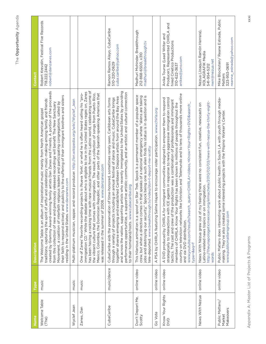| Name                                   | Type         | <b>Description</b>                                                                                                                                                                                                                                                                                                                                                                                                                                                                                                                                                                                                                                                | Contact                                                                                                                             |
|----------------------------------------|--------------|-------------------------------------------------------------------------------------------------------------------------------------------------------------------------------------------------------------------------------------------------------------------------------------------------------------------------------------------------------------------------------------------------------------------------------------------------------------------------------------------------------------------------------------------------------------------------------------------------------------------------------------------------------------------|-------------------------------------------------------------------------------------------------------------------------------------|
| Welcome Table<br>(The)                 | music        | created by Grammy Award-winning family artists Dan Zanes and Friends. A portion of the proceeds<br>their faith to respond actively and publicly to the suffering of their immigrant brothers and sisters<br>of artful and celebratory music-making among family and friends<br>Movement, a coalition of interfaith religious leaders and participating congregations, called by<br>from this collection of new and previously released recordings will benefit The New Sanctuary<br>The Welcome Table is an album of inspirational music mainly from North American gospel<br>residing in the United States. www.danzanes.com<br>traditions, capturing the spirit | Robert Krevolin, Festival Five Records<br>robert@danzanes.com<br>718.222.2442                                                       |
| Wyclef Jean                            | music        | Multi-platinum musician, rapper, and record producer. http://en.wikipedia.org/wiki/Wyclef_Jean                                                                                                                                                                                                                                                                                                                                                                                                                                                                                                                                                                    |                                                                                                                                     |
| Zanes, Dan                             | music        | has been having a rocking time with new musical friends from the Latino world, celebrating some of<br>immigration CD." While the debate about who is eligible to live in the United States rages on, Zanes<br>the vibrant culture that comes with immigration. The result: a collection of songs from Puerto Rico,<br>One of Zanes' favorite recording projects is iNueva York!, or what he is often heard calling his "pro-<br>Mexico, Colombia, the Dominican Republic, and other parts of the Spanish-speaking Americas that<br>2008. www.danzanes.com<br>was released in the summer of                                                                        |                                                                                                                                     |
| CubaCaribe                             | music/dance  | and across the nation, supporting artists who recently immigrated to the United States by providing<br>performance opportunities, a supportive artistic community, and an artistic and cultural connection<br>together diverse emerging and established Caribbean Diaspora artists from around the Bay Area<br>through a variety of projects including an annual festival of dance and music. CubaCaribe brings<br>CubaCaribe aids the preservation of time-honored, sometimes rarely seen, Caribbean arts forms<br>to their homeland/roots. www.cubacaribe.org                                                                                                   | Ramon Ramos Alayo, CubaCaribe<br>cuba.caribe@yahoo.com<br>510-220-0629                                                              |
| Don't Deport Me,<br>Scotty             | online video | This hilarious animation is a spoof on Star Trek. Spock is a permanent member of a popular space<br>jobs and destroying our security," Spock being one such alien finds his status is in question and is<br>crew, but when a directive comes in that speaks of a national emergency where "aliens are taking<br>tele-deported. www.breakthrough.tv/video/don-t-deport-me-scotty                                                                                                                                                                                                                                                                                   | Madhuri Mohindar, Breakthrough<br>madhuri@breakthrough.tv<br>212-868-6500, x310                                                     |
| Go Vote                                | online video | PSA by CHIRLA featuring Salma Hayek to encourage voter participation. www.chirla.org<br>$\prec$                                                                                                                                                                                                                                                                                                                                                                                                                                                                                                                                                                   |                                                                                                                                     |
| Know Your Rights<br>DVD                | online video | country on television networks like Univision and Telemundo and to tens of thousands more online<br>strategically to interactions with ICE agents in response to newly aggressive immigration control<br>A DVD produced by CHIRLA for immigrant communities designed to empower them to respond<br>tactics. The cast and crew of the production was a combination of professionals and immigrant<br>members of CHIRLA. Know Your Rights has been shown to millions of people throughout the<br>www.youtube.com/results?search_query=CHIRLA+videos,+Know+Your+Rights+DVD&search_<br>and via DVD distribution.<br>$type = \&$ aq=f                                  | Producer), Represented CHIRLA and<br>Anike Tourse (Lead Writer and<br>hired Cinetico Productions<br>anikes@juno.com<br>310-622-3637 |
| News With Nezua                        | online video | http://theunapologeticmexican.org/elmachete/2010/02/03/news-with-nezua-the-thirty-eight-<br>my feeing there were no consistent fun, creative, newscasts on<br>Latino-related news topics or on immigration.<br>News With Nezua grew out of<br>words                                                                                                                                                                                                                                                                                                                                                                                                               | Nezua (Joaquín Ramón Herrera),<br><b>XOLAGRAFIK Media</b><br>nwn@nezua.net<br>541-954-5212                                          |
| Public Matters/<br>Makeovers<br>Market | online video | Public Matters does interesting work about public health in South LA with youth through media-<br>making. They've also created some interesting projects with the Pilipino Worker's Center.<br>www.publicmattersgroup.com                                                                                                                                                                                                                                                                                                                                                                                                                                         | Mike Blockstein/ Reane Estrada, Public<br>reanne_estrada@yahoo.com<br>323-953-0691<br>Matters                                       |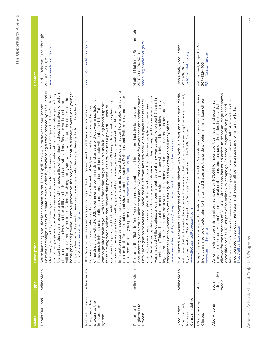| I.           |
|--------------|
|              |
|              |
| ۰            |
|              |
|              |
| ١<br>I.<br>I |
| ı<br>I.      |
| š            |
|              |
|              |
| ı            |
|              |
| I            |
|              |
| 11           |
|              |
|              |

| lame                                                                           | <b>Type</b>                     | <b>Description</b>                                                                                                                                                                                                                                                                                                                                                                                                                                                                                                                                                                                                                                                                                                                                                                                                                                                                                                                                                                                                                                                                   | Contact                                                                         |
|--------------------------------------------------------------------------------|---------------------------------|--------------------------------------------------------------------------------------------------------------------------------------------------------------------------------------------------------------------------------------------------------------------------------------------------------------------------------------------------------------------------------------------------------------------------------------------------------------------------------------------------------------------------------------------------------------------------------------------------------------------------------------------------------------------------------------------------------------------------------------------------------------------------------------------------------------------------------------------------------------------------------------------------------------------------------------------------------------------------------------------------------------------------------------------------------------------------------------|---------------------------------------------------------------------------------|
| Remix Our Land                                                                 | online video                    | Fairness campaign. Users will create a music video by downloading a track inspired by "This Land Is<br>the contest, the rules, messaging around the issue, a list of prominent judges (filmmakers, directors,<br>et al), prize incentives, and the ability to both upload and rate videos. Because we hope the project<br>home page and provide us ample promotion, the project will capture a broad, diverse, and younger<br>target audience and serve to mainstream and celebrate the issue, thereby building broader support<br>Our Land," which they can remix, add new lyrics to, and overlay visual imagery. Both the YouTube-<br>sponsored page and our Restore Fairness site will house a trailer with a celeb or celebs promoting<br>will be sponsored by YouTube's Video for Change program, which will feature the contest on the<br>contest on YouTube (April-May 2010) to advance our Restore<br>We're launching a music video<br>for CIR. www.breakthrough.tv                                                                                                          | Heidi j. Boisvert, Breakthrough<br>heidi@breakthrough.tv<br>212-868-6500, x311  |
| Restore Fairness:<br>bring back due<br>process to the<br>immigration<br>system | online video                    | immigration stories, a screening guide that aims to foster dialogue, an action hub, a blog for voicing<br>and sharing content such as Delicious and Twitter links, and online<br>government allowing raids and arrests without warrants, holding<br>documentary produced by Breakthrough in association with 26 key partners featuring leading<br>campaign site provides you with tools for action, so you can join us in building broad support<br>fairness to our immigration system. In the aftermath of 9-11, immigrants have borne the brunt<br>The Restore Fairness campaign is calling on the U.S. government to restore due process and<br>for fair immigration policies that respect due process. The site includes a powerful 9-minute<br>thousands in inhumane detention conditions, and deporting people without a fair trial. This<br>voices on the issue and compelling personal testimonies, a video channel with additional<br>resources to keep you up on the issue. www.restorefairness.org<br>opinion, tools for contributing<br>of harsh policies, with the U.S. | madhuri@breakthrough.tv                                                         |
| Restoring the<br>Right to Due<br>Process                                       | online video                    | documentary video stories, animations and PSAs, that advocate for awareness and action around<br>directly affected by detention and deportation policies-including a pregnant Latina women who<br>was shackled while detained, a legal permanent resident army war veteran who spent 3 years in<br>unfair immigration policies and uphold the beliefs that America should be a place that respects<br>detention, a Trinidadian legal permanent resident teenager who detained for smoking a joint, a<br>egal permanent resident HIV-positive Pakistani man denied medical treatment in detention, a<br>due process and basic human rights. The main focus of the videos are people who have been<br>Restoring the Right to Due Process campaign contains multimedia products including short<br>transgender Latina woman who was sexually abused in detention and many others.<br>www.breakthrough.tv/learn/campaign/restore-the-right-to-due-process                                                                                                                                | Madhuri Mohindar, Breakthrough<br>madhuri@breakthrough.tv<br>212 868 6500, x310 |
| Census Initiative<br>"Be Counted<br>Voto Latino<br>Represent"                  | online video                    | "Be Counted, Represent!" is comprised of multi-platform web, mobile, direct, and traditional media<br>initiatives that will elevate the census in the minds of Latinos, who were among the undercounted,<br>by an estimated 700,000 in just Los Angeles County alone in the 2000 Census.<br>www.BeCountedRepresent.com                                                                                                                                                                                                                                                                                                                                                                                                                                                                                                                                                                                                                                                                                                                                                               | Josh Norek, Voto Latino<br>josh@votolatino.org<br>323-496-9662                  |
| US Citizenship<br>Classes                                                      | other                           | Preparing and assisting individuals to be ready for the U.S. Naturalizaion process and exam. Giving<br>individuals a sense of belonging to the United States and the pride of being an American citizen.<br>www.projectfine.org                                                                                                                                                                                                                                                                                                                                                                                                                                                                                                                                                                                                                                                                                                                                                                                                                                                      | Fatima Said, Project FINE<br>FSaid@co.winona.mn.us<br>507-452-4100              |
| Alto Arizona                                                                   | interactive<br>social/<br>media | allowed for the formation of SB 1070. Alto Arizona has called artists to create an image that shows<br>later as prints to generate revenue for this campaign with artist consent. Alto Arizona has also<br>An online-driven organizing effort launched by NDLON to mount political, legal, and economic<br>pressure to restore Arizona's constitutional protections and to change the federal policy that<br>opposition to SB 1070 as part of an online viral campaign. Selected images will be published<br>incorporated video documentation and music in all demonstrations and organizing efforts.<br>http://altoarizona.com                                                                                                                                                                                                                                                                                                                                                                                                                                                      |                                                                                 |

Appendix A: Master List of Projects & Programs Appendix A: Master List of Projects & Programs

xxxii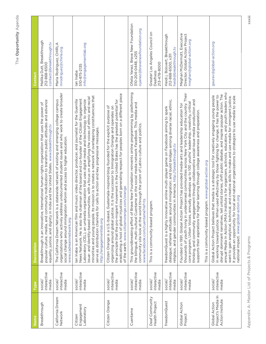| Name                                                    | Type                                        | <b>Description</b>                                                                                                                                                                                                                                                                                                                                                                                                                                                                                                                                                                                                                                                                      | Contact                                                                                    |
|---------------------------------------------------------|---------------------------------------------|-----------------------------------------------------------------------------------------------------------------------------------------------------------------------------------------------------------------------------------------------------------------------------------------------------------------------------------------------------------------------------------------------------------------------------------------------------------------------------------------------------------------------------------------------------------------------------------------------------------------------------------------------------------------------------------------|--------------------------------------------------------------------------------------------|
| Breakthrough                                            | interactive<br>media<br>social/             | popular culture, media, and community mobilization to transform public attitudes and advance<br>international human rights organization that uses the power of<br>equality, justice, and dignity in India and the United States. www.breakthrough.tv<br>Breakthrough is an innovative,                                                                                                                                                                                                                                                                                                                                                                                                  | Mallika Dutt, Breakthrough<br>contact@breakthrough.tv<br>212-868-6500                      |
| California Dream<br>Network                             | social/<br>interactive<br>media             | organizations who actively address undocumented student issues and who work to create broader<br>The California Dream Network is a statewide network of existing and emerging college campus<br>social change around immigration reform and access to higher education.<br>www.cadreamnetwork.org                                                                                                                                                                                                                                                                                                                                                                                       | Maria Rodriguez, CHIRLA<br>mrodriguez@chirla.org                                           |
| Engagement<br>Laboratory<br>Citizen                     | social/<br>interactive<br>media             | Its mission is to create a network of overlapping constituencies that<br>issue- and identity-based communities, with a focus on amplifying the voices of ethnic and racial<br>chairman of the board and co-founder of the Citizen Engagement<br>lan Inaba is an American film and music video director, producer, and journalist for the Guerrilla<br>Laboratory (CEL), an umbrella organization that uses digital media and technology to organize<br>for calls to action and key progressive messages.<br>serve as distribution channels<br>News Network. He is also the<br>minorities and young people.<br>http://engagementlab.org                                                  | info@engagementlab.org<br>510-875-2135<br>lan Inaba                                        |
| Citizen Orange                                          | interactive<br>social/<br>media             | eradicating a host of global injustices and generating respect for peoples born on a different piece<br>the principle that the pro-migrant movement in the United States has the greatest potential for<br>Citizen Orange is a U.S.-based, Guatemala-inspired blog founded for the explicit purpose of<br>organizing around global justice. It is the successor to Immigration Orange and operates on<br>of the earth. www.citizenorange.com/orange                                                                                                                                                                                                                                     |                                                                                            |
| Cuentame                                                | interactive<br>media<br>social/             | Brave New Foundation reinvents online programming by platforming<br>the bilingual, multi-cultural Cuentame on the social media network FaceBook. This media and<br>community site look at the world through the prism of Latino culture and politics.<br>www.facebook.com/cuentame?ref=ts<br>This groundbreaking effort of                                                                                                                                                                                                                                                                                                                                                              | Ofelia Yanez, Brave New Foundation<br>oyanez@bravenewfoundation.org<br>310-204-0448, x255  |
| Deaf Community<br>Health Project                        | social/<br>interactive<br>media             | This is a community-based program.                                                                                                                                                                                                                                                                                                                                                                                                                                                                                                                                                                                                                                                      | Greater Los Angeles Council on<br>213-478-8000<br>Deafness                                 |
| freedomQuest                                            | interactive<br>media<br>social <sub>/</sub> | dialogue; reframe attitudes around immigration; and build bridges among diverse racial, ethnic,<br>freedomQuest is a highly innovative online multi-player game on Facebook aiming to spark<br>religious, and gender communities in America. http://breakthrough.tv                                                                                                                                                                                                                                                                                                                                                                                                                     | Heidi j. Boisvert, Breakthrough<br>heidi@breakthrough.tv<br>212-868-6500, x311             |
| Global Action<br>Project                                | interactive<br>social/<br>media             | thousands of youth living in underserved communities across New York City and the country. Their<br>thinking, and community engagement through collaborative social-issue media production and<br>core program, Urban Voices, annually develops up to 100 youths' leadership, creativity, critical<br>Founded in 1991, Global Action Project has provided media-arts and leadership education for<br>higher learning through college awareness and preparation.<br>This is a community-based program. www.global-action.org<br>supports their aspirations for                                                                                                                           | Meghan McDermott, Executive<br>Director, Global Action Project<br>meghan@global-action.org |
| Project's Media In<br>Action Institute<br>Global Action | interactive<br>social/<br>media             | Institute is for organizers, activists, educators, and youth leaders who<br>disrupt dominant narratives, tell untold stories, shift public debate, and inspire popular action. The<br>in working toward justice. When used effectively by those fighting for change, it has the power to<br>Global Action Project believes that media is a strategic tool for creatively engaging young people<br>want to gain analytical, technical, and creative skills to make and use media for immigrant justice.<br>It provides an opportunity for local and national organizations to strategize to use media to scale<br>national impact. www.global-action.org<br>annual Media In Action (MIA) | gaurav@global-action.org                                                                   |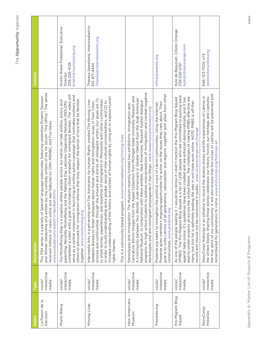| Name                        | Type                            | <b>Description</b>                                                                                                                                                                                                                                                                                                                                                                                                                                                                                                                                                                                                                                                                                 | Contact                                                                                  |
|-----------------------------|---------------------------------|----------------------------------------------------------------------------------------------------------------------------------------------------------------------------------------------------------------------------------------------------------------------------------------------------------------------------------------------------------------------------------------------------------------------------------------------------------------------------------------------------------------------------------------------------------------------------------------------------------------------------------------------------------------------------------------------------|------------------------------------------------------------------------------------------|
| La Pasion de la<br>Decision | interactive<br>media<br>social, | and Wilmer Valderama and written by the comedy writers of the hit sitcom "The Office." The series<br>This PSA series is a parody of Spanish language telenovelas featuring celebrities Rosario Dawson<br>received millions of views online and was featured on CNN, MSNBC, and Fox News.<br>www.youtube.com/watch?v=9pcBzK14VrU                                                                                                                                                                                                                                                                                                                                                                    |                                                                                          |
| Moms Rising                 | interactive<br>social/<br>media | completed a video with a goal of increasing citizen empathy for immigrant families. The video will<br>serve as a central component in launching an online action campaign that motivates mothers and<br>others to advocate for immigration reforms that truly respect the bonds of love that tie families<br>The MomsRising blog is a soapbox where people across our nation can talk politics, policy, and<br>parenting. Recently MomsRising and the National Day Laborers Organizing Network (NDLON)<br>together. www.momsrising.org                                                                                                                                                             | Kristin Rowe-Finkbeiner, Executive<br>kristin@momsrising.org<br>206-226-4126<br>Director |
| Moving Lives                | interactive<br>social/<br>media | increase understanding of the history and context of human rights by using art to explore human<br>schools and communities through the artwork and stories of immigrant artists. Our goals are (1)<br>to share stories, experiences, and expertise of immigrants in Minnesota with other communities<br>Intermedia Arts in partnership with The Advocates for Human Rights created The Moving Lives<br>in order to build understanding and a greater sense of inter-cultural connectedness, and (2) to<br>Speakers Bureau to foster dialogues about human rights and immigration issues in Twin Cities<br>This is a community-based program. www.intermediaarts.org/moving-lives<br>rights themes. | Theresa Sweetland, IntermediaArts<br>Theresa@IntermediaArts.org<br>612-871-4444          |
| New Americans<br>Museum     | interactive<br>media<br>social, | programs for high school students to address misconceptions of immigration and combat negative<br>Caricature: Ethnic Images from the Appel Collection from Michigan State University Museum and<br>A Community between Two Worlds: Arab Americans in Greater Detroit from the Arab American<br>National Museum. In conjunction with these exhibits, New Americans Museum hosted dialogue<br>Stereotypes and Immigration: The Museum recently hosted two exhibitions: Immigration and<br>propaganda in San Diego. www.newamericansmuseum.org<br>stereotypes and anti-immigrant                                                                                                                      |                                                                                          |
| Presente.org                | interactive<br>media<br>social/ | goal is to unite Latinos of all generations, nationalities, and regions, together with allies from other<br>Presente gives members ongoing opportunities for action on the issues they care about. Their<br>Presente.org seeks to strengthen the political voice of Latino communities. Using the Internet,<br>communities. www.presente.org                                                                                                                                                                                                                                                                                                                                                       | info@presente.org                                                                        |
| Pro-Migrant Blog<br>Squad   | interactive<br>social/<br>media | (PMBS). The Pro-Migrant Blog Squad is a list of 1,200 people who are committed to pushing back<br>lead to similar projects all across the United States. The challenges of making PMBS effective are<br>against hate online. It's guidelines have been created and are enforced democratically, and it has<br>I would be remiss if I didn't mention the Pro-Migrant Blog Squad<br>many, but this list is definitely leading the way in anti-hate work online. NOTE: PMBS is off-the-<br>record and should not be mentioned in public. www.citizenorange.com/orange<br>As one of the people leading it,                                                                                             | Kyle de Beausset, Citizen Orange<br>kyle@citizenorange.com<br>339-226-0761               |
| StoryCorps<br>Historias     | interactive<br>social/<br>media | the true spirit of our community. It will also ensure that the voices of Latinos will be preserved and<br>StoryCorps Historias is an initiative to record the diverse stories and life experiences of Latinos in<br>the United States. Sharing these stories celebrates our history, honors our heritage, and captures<br>come. www.storycorps.org/historias-en<br>remembered for generations to                                                                                                                                                                                                                                                                                                   | west@storycorps.org<br>646-723-7020, x73                                                 |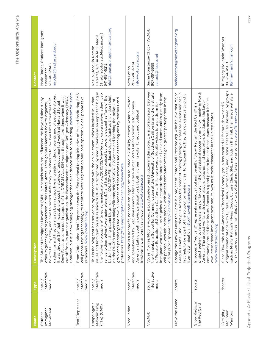| lame                                        | <b>Type</b>                                 | <b>Description</b>                                                                                                                                                                                                                                                                                                                                                                                                                                                                                                                                                                                                                                                                                                                                                                                                   | <b>Contact</b>                                                                                                                          |
|---------------------------------------------|---------------------------------------------|----------------------------------------------------------------------------------------------------------------------------------------------------------------------------------------------------------------------------------------------------------------------------------------------------------------------------------------------------------------------------------------------------------------------------------------------------------------------------------------------------------------------------------------------------------------------------------------------------------------------------------------------------------------------------------------------------------------------------------------------------------------------------------------------------------------------|-----------------------------------------------------------------------------------------------------------------------------------------|
| Movement<br>Immigrant<br>Student            | interactive<br>media<br>social/             | Coalition, but it is now emerging stronger then ever, despite little to no funding. www.simforus.com<br>been supportive in creating video of events and of people's stories.<br>cut off from its parent organization, the Massachusetts Immigrant and Refugee Advocacy (MIRA)<br>Drew Faust to come out in support of the DREAM Act. SIM went through hard times when it was<br>how to tell my story, and how to record SIM's story for others to follow. I've filmed countless SIM<br>The Student Immigrant Movement (SIM) in Massachusetts has influenced me beyond almost any<br>It was through SIM that I was able to use the stories of undocumented youth at Harvard to get<br>other migrant rights organization in the United States. Through SIM I learned how to organize,<br>gatherings and they've always | Mario Rodas, Student Immigrant<br>mrodas@fas.harvard.edu<br>617-461-2846<br>Movement                                                    |
| Text2Represent                              | interactive<br>media<br>social <sub>/</sub> | From Voto Latino, Text2Represent was the first national texting initiative of its kind instituting SMS<br>cell phone texting technology to facilitate voter registration and participation via cell phone text<br>reminders. www.votolatino.org                                                                                                                                                                                                                                                                                                                                                                                                                                                                                                                                                                      |                                                                                                                                         |
| Unapologetic<br>Mexican Blog<br>(The) (UMX) | interactive<br>media<br>social/             | issues and Immigration issues since 2006. It is recognized by media makers as an important blog in<br>the "brown blogosphere" (mediachannel.org/blog/2010/02/why-'legacy'-progressive-media-must-<br>reinvent-themselves-to-remain-relevant/) and has been praised by brownviews.net as "one of the<br>better, hard-hitting xicano blogs" online. XOLAGRAFIK-produced videos (such as the video I shot<br>This is the blog that has served as my connection with the online communities involved in Latino<br>grain-and-periphery/) are now in libraries and classrooms used as teaching aids by teachers and<br>on the DNCO8 convention xolagrafik.com/mira/2009/01/12/veneer-and-loathing-the-pollatix-of-<br>professors. http://theunapologeticmexican.org/elmachete                                              | nlxj@theunapologeticmexican.org<br>(The Unapologetic Mexican.org)<br>Herrera), XOLAGRAFIK Media<br>Nezua (Joaquín Ramón<br>541-954-5212 |
| Voto Latino                                 | interactive<br>media<br>social/             | Voto Latino is a nonprofit, nonpartisan organization founded in 2004 by actress Rosario Dawson<br>and spearheaded by Executive Director Maria-Teresa Kumar. Voto Latino's vision is to increase<br>American Latino youth's civic participation by both increasing voter turnout and political<br>involvement among this group. www.votolatino.org                                                                                                                                                                                                                                                                                                                                                                                                                                                                    | info@votolatino.org<br>202-386-6374<br>Voto Latino                                                                                      |
| VozMob                                      | interactive<br>social <sub>/</sub><br>media | a Los Angeles-based citizen media project, is a collaboration between<br>the Annenberg School for Communication at the University of Southern California and the Institute<br>immigrant workers in Los Angeles to create stories about their lives and communities directly from<br>cell phones. VozMob helps people with limited computer access gain greater participation in the<br>of Popular Education of Southern California. In its own words, Mobile Voices is "a platform for<br>digital public sphere." http://vozmob.net<br>Voces Móviles/Mobile Voices,                                                                                                                                                                                                                                                  | Sasha Constanza-Chock, VozMob<br>schock@riseup.net<br>607-351-5559                                                                      |
| Move the Game                               | sports                                      | League Baseball shouldn't give Arizona the honor of hosting prestigious baseball events and can in<br>Change the Law or Move the Game is a project of Fenton and Presente.org. who believe that Major<br>fact help to be a part of the solution by making clear to Arizona that they do not deserve to profit<br>from discrimination. http://movethegame.org                                                                                                                                                                                                                                                                                                                                                                                                                                                         | makecontact@movethegame.org                                                                                                             |
| Show Raciscm<br>the Red Card                | sports                                      | project seeking to raise awareness of bigotry in the professional soccer community, mainly in North<br>community around these issues. Soccer is a good place to look at these issues because it has its<br>America. The project works with soccer players, coaches, and supporters to educate the larger<br>In soccer, a "red card" represents a serious foul and penalty. "Show Racism the Red Card" is a<br>own international immigrant base and its own multiracial character in the United States.<br>www.theredcardna.org                                                                                                                                                                                                                                                                                       |                                                                                                                                         |
| 18 Mighty<br>Mountain<br>Warriors           | theater                                     | original collaborations with Culture Clash, Campo Santo, and Latina Theatre Lab. Inspired by groups<br>such as Monty Python's Flying Circus, Culture Clash, SNL, and Kids in the Hall, their irreverent style<br>Since 1994, this Asian American Theatrical Comedy group has created 12 feature shows and 3<br>of skit comedy ranges from slapstick to political and takes no prisoners. www.18mmw.com                                                                                                                                                                                                                                                                                                                                                                                                               | 18 Mighty Mountain Warriors<br>18mmw.mail@gmail.com<br>818-754-4500                                                                     |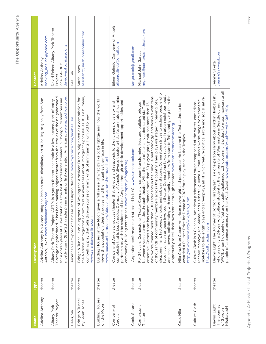| Name                                                    | Type    | <b>Description</b>                                                                                                                                                                                                                                                                                                                                                                                                                                                                                                                                                                                                                                                                                                                                                                                                                                                                     | Contact                                                                               |
|---------------------------------------------------------|---------|----------------------------------------------------------------------------------------------------------------------------------------------------------------------------------------------------------------------------------------------------------------------------------------------------------------------------------------------------------------------------------------------------------------------------------------------------------------------------------------------------------------------------------------------------------------------------------------------------------------------------------------------------------------------------------------------------------------------------------------------------------------------------------------------------------------------------------------------------------------------------------------|---------------------------------------------------------------------------------------|
| Adelina Anthony                                         | theater | Adelina Anthony is a Xicana-Indígena lesbian multi-disciplinary artist, hailing originally from San<br>Antonio, Texas. www.adelinaanthony.com                                                                                                                                                                                                                                                                                                                                                                                                                                                                                                                                                                                                                                                                                                                                          | booking_adelina@yahoo.com<br>Adelina Anthony                                          |
| Albany Park<br>Theater Project                          | theater | mostly young (8th-12th graders) immigrants or first-generation Americans. www.aptpchicago.org<br>Chicago neighborhood. It has been making original theater from the stories of the neighborhood<br>for a dozen years at a level that rivals the best professional theaters in Chicago. Its members are<br>Albany Park Theater Project (APTP) is a youth theater ensemble in a low-income, port-of-entry                                                                                                                                                                                                                                                                                                                                                                                                                                                                                | David Feiner, Albany Park Theater<br>david@aptpchicago.org<br>773-866-0875<br>Project |
| Beau, Sia                                               | theater | American slam-poet of Chinese and Filipino descent. www.myspace.com/iambeausia                                                                                                                                                                                                                                                                                                                                                                                                                                                                                                                                                                                                                                                                                                                                                                                                         | Beau Sia                                                                              |
| Bridge & Tunnel<br>by Sarah Jones                       | theater | the National Immigration Forum to raise awareness about immigrant rights issues. It is a humane,<br>Bridge & Tunnel is an outgrowth of Waking the American Dream, originated as a commission for<br>compelling play that tells diverse stories of many kinds of immigrants, from old to new.<br>www.sarahjonesonline.com                                                                                                                                                                                                                                                                                                                                                                                                                                                                                                                                                               | assistant@sarahjonesonline.com<br>Sarah Jones                                         |
| Building Houses<br>on the Moon                          | theater | gives a full sense of what it's like to be Igbtqai and how the world<br>views this population, their struggles, and the inequities they face in life.<br>www.housesonthemoon.org/about-houses-on-the-moon.html<br>Building Houses on the Moon                                                                                                                                                                                                                                                                                                                                                                                                                                                                                                                                                                                                                                          |                                                                                       |
| Company of<br>Angels                                    | theater | complexity that is Los Angeles. Company of Angels' diverse theater artists foster mutual learning<br>partnerships with the residents of Los Angeles through artistic development opportunities and<br>Company of Angels produces theater that reflects and responds to the richness, diversity, and<br>community-building enterprises. www.companyofangels.org                                                                                                                                                                                                                                                                                                                                                                                                                                                                                                                         | Eileen Galindo, Company of Angels<br>eileengalindo@gmail.com                          |
| Cook, Susana                                            | theater | based in NYC. www.susanacook.com<br>Argentine performance artist                                                                                                                                                                                                                                                                                                                                                                                                                                                                                                                                                                                                                                                                                                                                                                                                                       | tango.cook@gmail.com                                                                  |
| Cornerstone<br>Theater                                  | theater | shopping malls, factories, schools, and subway stations. Cornerstone strives to include people who<br>have never seen or been involved in theater. Cornerstone takes residence in urban neighborhoods<br>and small towns, collaborating with community members from start to finish and giving them the<br>new works, trained more than 2000 students in their unique methodology, and worked with tens<br>of thousands of community members across the country. Their plays are staged in parking lots,<br>between diverse communities through theater. With the help of a small yet dedicated staff and<br>For 24 years, Cornerstone Theater Company has been transforming lives and building bridges<br>ensemble, Cornerstone has commissioned more than 50 playwrights, produced more than 75<br>opportunity to tell their own stories through theater. www.cornerstonetheater.org | mgarces@cornerstonetheater.org<br>Michael John Garces                                 |
| Cruz, Nilo                                              | theater | Nilo Cruz is an Cuban-American playwright and pedagogue. He became the first Latino to be<br>awarded a Pulitzer Prize for Drama in 2003 for his play Anna in the Tropics.<br>http://en.wikipedia.org/wiki/Nilo_Cruz                                                                                                                                                                                                                                                                                                                                                                                                                                                                                                                                                                                                                                                                    |                                                                                       |
| Culture Clash                                           | theater | sketches to full-length plays and screenplays, all of which feature political satire and social satire.<br>Richard Montoya, Ric Salinas, and Herbert Sigüenza. Culture Clash's works range from comedic<br>Culture Clash is a Chicano-American performance troupe composed of the writer-comedians<br>http://cultureclash.com                                                                                                                                                                                                                                                                                                                                                                                                                                                                                                                                                          |                                                                                       |
| Dawns Light:<br>The Journey<br>Hirabayashi<br>of Gordon | theater | and legally challenged U.S. government orders to mass incarcerate all<br>Dawns Light: The Journey of Gordon Hirabayashi is a one-person show about Gordon Hirabayashi,<br>who was only a 24-year-old college student at the University of Washington in Seattle during<br>people of Japanese ancestry on the West Coast. www.youtube.com/watch?v=wtMKd6kHfsg<br>WWII, when he openly defied                                                                                                                                                                                                                                                                                                                                                                                                                                                                                            | JeanneSak@aol.com<br>Jeanne Saketa                                                    |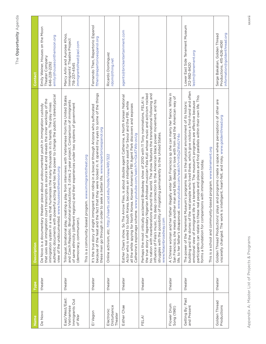| )                           |
|-----------------------------|
| ۹<br>l<br>I<br>I.<br>ī      |
| ١<br>ı.<br>ì<br>ł<br>١<br>U |

| Name                                                      | Type    | <b>Description</b>                                                                                                                                                                                                                                                                                                                                                                                                                                                                                                                                  | Contact                                                                                                 |
|-----------------------------------------------------------|---------|-----------------------------------------------------------------------------------------------------------------------------------------------------------------------------------------------------------------------------------------------------------------------------------------------------------------------------------------------------------------------------------------------------------------------------------------------------------------------------------------------------------------------------------------------------|---------------------------------------------------------------------------------------------------------|
| De Novo                                                   | theater | erful acting and has the power to change the public's stereotypical<br>that uses real immigration court transcripts as source text and reveals the inner workings of the<br>at humanizes the many thousands in its hands. The play mixes<br>De Novo is a documentary theater piece about undocumented youth in immigration custody<br>view of the undocumented. www.housesonthemoon.org<br>immigration system in a way th<br>authentic documents with pow                                                                                           | Emily Weiner, Houses on the Moon<br>emily@housesonthemoon.org<br>Theater Company<br>646-228-2292        |
| East/West/East:<br>Immigrants Out<br>Vietnamese<br>of War | theater | Trilingual, binational play, creating a play from interviews with Vietnamese from the United States<br>productions; 3 cities; 2-year project. Comparison of immigrants<br>of same ethnicity (different regions) and their experiences under two systems of government<br>This is a community-based program. www.immigrantstheat.org<br>and Czech Republic. Binational<br>(democracy, communism).                                                                                                                                                    | Marcy Arlin and Aurorae Khoo,<br>Immigrants' Theatre Project<br>immigrantstheat@aol.com<br>718-237-4545 |
| El Vagon                                                  | theater | because of the heat and the fact that they were locked in. It opened my eyes to some of the things<br>It's the true story of eight immigrant men riding in a boxcar through Arizona who suffocated<br>to seek a better life. www.repertorioespanol.org<br>these men go through in order                                                                                                                                                                                                                                                             | Fernando Then, Repertorio Espanol<br>fthen@repertorioespanol.org                                        |
| Disturbance<br>Electronic<br>Theater                      | theater | Online activism, etc. http://visarts.ucsd.edu/node/view/491/322                                                                                                                                                                                                                                                                                                                                                                                                                                                                                     | Ricardo Domínguez<br>rdom@thing.net                                                                     |
| Esther Chae                                               | theater | Esther Chae's show, So The Arrow Flies, is about double agent Catherine, a North Korean National<br>Actor who is exiled to South Korea, becomes an intelligence asset for Seoul and the FBI, while<br>all the while spying for North Korea. Korean American FBI Agent Park discovers and exposes<br>Catherine's espionage scheme. www.youtube.com/watch?v=GkATWb-zxUg                                                                                                                                                                               | agents@brickentertainment.com                                                                           |
| FELA!                                                     | theater | the true story of legendary Nigerian Afrobeat musician Fela Kuti whose music and activism rocked<br>his nation with reverberations around the world. The show features the transnational following and<br>Perhaps the most critically acclaimed Broadway show of 2010 with 11 Tony nominations, FELA! is<br>influence of Fela's music, his deep connection to the American black power movement, and his<br>struggles with the possibility of migrating permanently to the United States.<br>www.felaonbroadway.com                                 |                                                                                                         |
| Flower Drum<br>Song (1961)                                | theater | A Chinese woman and her father illegally enter San Francisco sp she can marry her fiance. While in<br>her man and falls deeply in love with him and the American way of<br>life, to her father's disapproval. www.youtube.com/watch?v=XGy2WxlUY4o<br>San Francisco, she meets anoth                                                                                                                                                                                                                                                                 |                                                                                                         |
| Getting By: Past<br>and Present                           | theater | real people who lived there, which give visitors a first-hand and often<br>participants can relate to these real people and places and find parallels within their own life. This<br>emotional view of immigrant life in a tenement. The museum's programs are effective because<br>The power of the Tenement Museum's programs lies in the physical environment of its historic<br>This is a school and community-based program. www.tenement.org<br>forms a foundation for comparisons with immigration today.<br>building and the stories of the | Lower East Side Tenement Museum<br>lestm@tenement.org<br>212-982-8420                                   |
| Golden Thread<br>Productions                              | theater | Golden Thread Productions' plays and programs create a space where perceptions of other are<br>viscerally changed. The work is intelligent, heart-felt, and risky. www.goldenthread.org                                                                                                                                                                                                                                                                                                                                                             | information@goldenthread.org<br>Serge Bakalian, Golden Thread<br>Productions, 415-626-4061              |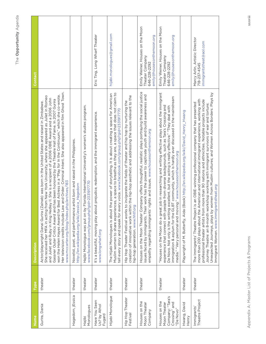| Name                                                                            | Type    | <b>Description</b>                                                                                                                                                                                                                                                                                                                                                                                                                                                                                                                                                                                                                                           | Contact                                                                                          |
|---------------------------------------------------------------------------------|---------|--------------------------------------------------------------------------------------------------------------------------------------------------------------------------------------------------------------------------------------------------------------------------------------------------------------------------------------------------------------------------------------------------------------------------------------------------------------------------------------------------------------------------------------------------------------------------------------------------------------------------------------------------------------|--------------------------------------------------------------------------------------------------|
| Gurira, Dania                                                                   | theater | Her television credits include Law and Order: Criminal Intent. She also appeared in film Ghost Town.<br>won the Helen Hayes Award for Best Actress in a "Play for In the Continuum," which she co-wrote.<br>She received her MFA in acting from New York University, where she appeared as Juliet in Romeo<br>and Juliet and Ruby in King Hedley II. She is a recipient of a 2006 OBIE Award and a 2006 John<br>Gassner Outer Critics Award and has been honored by the Theatre Hall of Fame. In 2007 Gurira<br>Actor/playwright Danai Gurira (Zainab) was born in the United States and raised in Zimbabwe.<br>www.mccarter.org/blog/index.php/archives/183 |                                                                                                  |
| Hagedorn, jEssica                                                               | theater | be artist born and raised in the Philippines.<br>http://en.wikipedia.org/wiki/Jessica_Hagedorn<br>Novelist, poet, and performanc                                                                                                                                                                                                                                                                                                                                                                                                                                                                                                                             |                                                                                                  |
| Monologues<br>Hajibi                                                            | theater | Hajibi Monologue was put on by Florida International University's women's studies program.<br>www.facebook.com/group.php?gid=2331917770                                                                                                                                                                                                                                                                                                                                                                                                                                                                                                                      |                                                                                                  |
| Have You Seen<br>Us? by Athol<br>Fugard                                         | theater | It's a beautiful, moving play about prejudice, redemption, and the immigrant experience.<br>www.longwharf.org                                                                                                                                                                                                                                                                                                                                                                                                                                                                                                                                                | Eric Ting, Long Wharf Theater                                                                    |
| Hijabi Monologue                                                                | theater | Muslim women to share experiences, a space to breathe as they are, a space that does not claim to<br>The Hijabi Monologues is about the power of storytelling. It is about creating a space for American<br>tell every story and speak for every voice. www.facebook.com/group.php?gid=2331917770                                                                                                                                                                                                                                                                                                                                                            | hijabi.monologues@gmail.com                                                                      |
| Hip Hop Theater<br>Festival                                                     | theater | creation of innovative work within the hip-hop aesthetic and addressing the issues relevant to the<br>Hip Hop Theater Festival works to invigorate the fields of theater and hip hop by nurturing the<br>hip-hop generation. www.hhtf.org                                                                                                                                                                                                                                                                                                                                                                                                                    |                                                                                                  |
| Houses on the<br>Moon Theater<br>Company                                        | theater | Houses on the Moon Theater Company offers thoughtful, realistic plays portraying the social justice<br>issues faced by immigrants. Their work has the power to captivate youth and build awareness and<br>empathy regarding immigrants' rights and issues. www.housesonthemoon.org                                                                                                                                                                                                                                                                                                                                                                           | Emily Weiner, Houses on the Moon<br>emily@housesonthemoon.org<br>Theater Company<br>646-228-2292 |
| Company: "Tara's<br>Houses on the<br>Crossing" and<br>Moon Theater<br>"De Novo" | theater | "Houses on the Moon do a great job in researching and writing effective plays about the immigrant<br>immigration & asylum for the GLBT community, which is hardly ever discussed in the mainstream<br>experience that connect with people from diverse backgrounds, such as Tara's Crossing and<br>De Novo. Not only is the writing excellent, but the acting is really effective." "They deal with<br>media." "Very personal and moving." www.housesonthemoon.org                                                                                                                                                                                           | Emily Weiner, Houses on the Moon<br>emily@housesonthemoon.org<br>Theater Company<br>646-228-2292 |
| David<br>Hwang,<br>Henry                                                        | theater | Playwright of M. Butterfly, Aida (Book) http://en.wikipedia.org/wiki/David_Henry_Hwang                                                                                                                                                                                                                                                                                                                                                                                                                                                                                                                                                                       |                                                                                                  |
| Theatre Project<br>Immigrants'                                                  | theater | Unexpected Journeys, plays by women from Muslim cultures; and Women Across Borders: Plays by<br>more than 200 plays about the American and international immigrant experience, working with<br>professional theater artists from more than 90 nations and ethnicities. Notable projects include<br>The Immigrants' Theatre Project is an OBIE-winning professional company that has presented<br>Journey Theatre: an 8-month workshop working with immigrant survivors of war and torture;<br>Immigrant Women. www.immigrantstheat.org                                                                                                                       | Marcy Arlin, Artistic Director<br>immigrantstheat@aol.com<br>718-237-4545                        |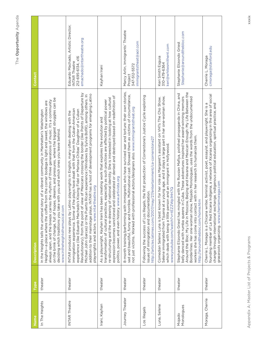| 1                |
|------------------|
| ۹                |
| ī                |
| I<br>ı<br>٦<br>ı |
| J<br>I<br>1<br>q |
|                  |

| Name                 | Type    | <b>Description</b>                                                                                                                                                                                                                                                                                                                                                                                                                                                                                                                                                                                                                           | Contact                                                                                                       |
|----------------------|---------|----------------------------------------------------------------------------------------------------------------------------------------------------------------------------------------------------------------------------------------------------------------------------------------------------------------------------------------------------------------------------------------------------------------------------------------------------------------------------------------------------------------------------------------------------------------------------------------------------------------------------------------------|---------------------------------------------------------------------------------------------------------------|
| In The Heights       | theater | on the brink of change, full of hopes, dreams, and pressures, where the biggest struggles can be<br>always open, and the breeze carries the rhythm of three generations of music. It's a community<br>Heights-a place where the coffee from the corner bodega is light and sweet, the windows are<br>In the Heights tells the universal story of a vibrant community in Manhattan's Washington<br>deciding which traditions you take with you and which ones you leave behind.<br>www.intheheightsthemusical.com                                                                                                                             |                                                                                                               |
| <b>INTAR Theatre</b> | theater | Revolutionary), from the point of view of Mexicans crossing the border (like Points of Departure by<br>addition to their mainstage plays, INTAR has a host of development programs for emerging Latino<br>Michael John Garces) or the Puerto Rican experience (Windows by Sylvia Bofill), among others. In<br>of the plays have dealt with that from the Cuban-American<br>experience (like Eduardo Machado's Kissing Fidel or Marissa Chibas' Daughter of a Cuban<br>INTAR produces new plays by Latino playwrights in English, many often dealing with the<br>playwrights and actors. www.intartheatre.org<br>immigration experience. Some | Eduardo Machado, Artistic Director,<br>emachado@intartheatre.org<br>212-695-6134, x16<br><b>INTAR Theatre</b> |
| Irani, Kayhan        | theater | expression becomes sanctioned and celebrated or denied and destroyed based on redefinition of<br>re-structuring and the re-drawing of national identity. She is interested in looking at how cultural<br>transformation of cultural practices, especially as such practices are affected by political power<br>As a playwright, Kayhan Irani has been creating work that explores the evolution and<br>politics, power, and even history. www.artivista.org                                                                                                                                                                                  | Kayhan Irani                                                                                                  |
| Journey Theater      | theater | 8-month training/performing with immigrants who have survived war and torture: their own stories,<br>sad and beautiful, funny and horrible. Multinational cast. Showed them as victims of circumstance,<br>not just victims. Worked with professional actors/designers also. www.immigrantstheat.org                                                                                                                                                                                                                                                                                                                                         | Marcy Arlin, Immigrants' Theatre<br>immigrantstheat@aol.com<br>347-512-5572<br>Project                        |
| Los Illegals         | theater | Following the success of Los Illegals, the first production of Cornerstone's Justice Cycle exploring<br>http://articles.latimes.com/2007/may/27/entertainment/ca-cornerstone27<br>issues of immigration and documentation.                                                                                                                                                                                                                                                                                                                                                                                                                   |                                                                                                               |
| Luna, Selene         | theater | Selene immigrated from Tijuana at a young age, and it plays a large part in her one-woman show,<br>Comedian Selene Luna is best known for her role as Margaret's assistant on VH1's The Cho Show.<br>which deals with being a little person and an immigrant in Hollywood.<br>www.youtube.com/watch?v=tEZZWp1HH7Q                                                                                                                                                                                                                                                                                                                            | keri@whitesmithent.com<br>Keri Smith Esguia<br>310-479-6364                                                   |
| Monologues<br>Mojado | theater | Around the Bloc: My Life in Moscow, Beijing and Havana and Mexican Enough: My Life Between the<br>Stephanie Elizondo Griest has mingled with the Russian Mafiya, polished propaganda in China, and<br>belly danced with rumba queens in Cuba. These adventures inspired her award-winning memoirs<br>Borderlines. Her one-woman show, Mojado Monologues, uses the words from the undocumented<br>workers she has come into contact with in her research to humanize them.<br>http://aroundthebloc.com/home.htm                                                                                                                               | Stephanie@aroundthebloc.com<br>Stephanie Elizondo Griest                                                      |
| Moraga, Cherrie      | theater | founding member of La Red Xicana Indígena, a network of Xicanas organizing in the area of social<br>writer, feminist activist, poet, essayist, and playwright. She is a<br>change through international exchange, indigenous political education, spiritual practice, and<br>grassroots organizing. www.cherriemoraga.com<br>Cherrie L. Moraga is a Chicana                                                                                                                                                                                                                                                                                  | cmoraga@stanford.edu<br>Cherrie L. Moraga                                                                     |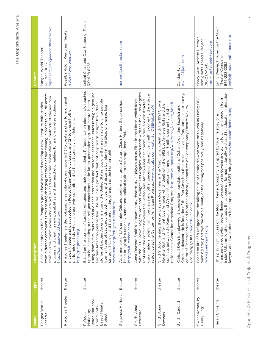| ١                     |
|-----------------------|
| ١<br>i<br>ı<br>٦<br>í |
| í<br>ı                |
| I                     |

| Name                                                                              | Type    | <b>Description</b>                                                                                                                                                                                                                                                                                                                                                                                                                                                                                                                                                                                                                                                                                                                   | Contact                                                                                                  |
|-----------------------------------------------------------------------------------|---------|--------------------------------------------------------------------------------------------------------------------------------------------------------------------------------------------------------------------------------------------------------------------------------------------------------------------------------------------------------------------------------------------------------------------------------------------------------------------------------------------------------------------------------------------------------------------------------------------------------------------------------------------------------------------------------------------------------------------------------------|----------------------------------------------------------------------------------------------------------|
| Pangea World<br>Theatre                                                           | theater | theater, changing methods of auditioning in order to include artists<br>are not trained in the traditional Western methods of the audition<br>process, and creating new possibilities and new aesthetic realities for a more diverse audience.<br>Since its inception in 1995, Pangea's goals have included creating a new literature with stories<br>from different communities for<br>from diverse communities who<br>http://pangeaworldtheater.org                                                                                                                                                                                                                                                                                | dipankar@pangeaworldtheater.org<br>Pangea World Theater<br>612-822-0015                                  |
| Pregones Theater                                                                  | theater | Pregones Theater is a Bronx-based ensemble whose mission is (1) to create and perform original<br>musical theater and plays rooted in Puerto Rican/Latino cultures, and (2) to present other<br>performing artists who share our twin commitment to the arts and civic enrichment.<br>http://pregones.org                                                                                                                                                                                                                                                                                                                                                                                                                            | Rosalba Rolón, Pregones Theater<br>rrolon@pregones.org                                                   |
| Teada, National<br>based Theater<br>Community-<br>Nation by<br>Refugee<br>Project | theater | Based on the stories of Laotian refugees and their descendents, Refugee Nation eloquently touches<br>using drama, film, music, and audience interaction and personalizes these issues through a genuine<br>stories of Laotian Americans around the United States, but one that also is able to unite people<br>upon issues relating to the refugee experience, assimilation, generation gap, and mental health<br>Laotian-American perspective. The result is a product that not only brings to light the hidden<br>ethnicities, and histories by relaying the ideas of change, loss,<br>struggle, healing, and the unrelenting strength of the human spirit.<br>www.teada.org/refugee-nation.html<br>from all types of backgrounds, | Leilani Chan and Ova Saopeng, Teada<br>310-998-8765                                                      |
| Siguenza, Herbert                                                                 | theater | As a member of LA's premier Chicano performance group Culture Clash, Herbert Siguenza has<br>been bringing his uncanny humor and political satire to the stage since 1984.<br>http://cultureclash.com                                                                                                                                                                                                                                                                                                                                                                                                                                                                                                                                | herbert@cultureclash.com                                                                                 |
| Smith, Anna<br>Deaveare                                                           | theater | with the 1991 Crown Heights Riot, and Twilight: Los Angeles, which dealt with the 1992 Los Angeles<br>using material solely from interviews and other pieces of the archive. Smith is currently the artist in<br>Anna Deavere Smith's "documentary theatre-style" plays such as Fires in the Mirror, which dealt<br>Riots and the conflict between the Korean and African-American communities, are constructed<br>residence at the Center for American Progress. www.youtube.com/watch?v=DBEHuko6abM                                                                                                                                                                                                                                |                                                                                                          |
| Smith, Anna<br>Deveare                                                            | theater | Smith's documentary theater plays include Fires in the Mirror, which dealt with the 1991 Crown<br>residence at Center for American Progress. http://en.wikipedia.org/wiki/Anna_Deveare_Smith<br>Heights Riot, and Twilight: Los Angeles, which dealt with the 1992 Los Angeles Riots and the<br>conflicts between the Korean and African-American communities. Smith is currently artist in                                                                                                                                                                                                                                                                                                                                          |                                                                                                          |
| Svich, Caridad                                                                    | theater | Croatian descent. He is founder of the Pan-American theatre collective NoPassport, is contributing<br>Caridad Svich is a playwright-songwriter-translator-editor of Cuban-Argentine-Spanish and<br>editor of TheatreForum, and is on the advisory committee of Contemporary Theatre Review<br>(Routledge/UK). caridadsvich.com                                                                                                                                                                                                                                                                                                                                                                                                       | csvich21@aol.com<br>Caridad Svich                                                                        |
| Sweet Karma, by<br>Henry Ong                                                      | theater | the killing fields of Cambodia who went on to win an Oscar; OBIE<br>e reality of the immigrant positively and negatively.<br>Based on life of a refugee from<br>winning star; portrays the whol<br>www.sweetkarma.org                                                                                                                                                                                                                                                                                                                                                                                                                                                                                                                | Marcy Arlin, Artistic Director,<br>Immigrants Theatre Project<br>immigrantstheat@aol.com<br>718-237-4545 |
| Tara's Crossing                                                                   | theater | inside U.S. immigration custody. It has been performed nationally and used to educate immigration<br>transgendered asylum seeker fleeing persecution in Guyana and trying to win her freedom from<br>awyers and law students on issues specific to LGBT refugees. www.housesonthemoon.org<br>This play from Houses on The Moon Theater Company is inspired by true life story of a                                                                                                                                                                                                                                                                                                                                                   | Emily Weiner, Houses on the Moon<br>emily@housesonthemoon.org<br>Theater Company<br>646-228-2292         |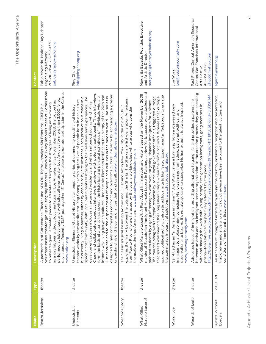| ľ      |
|--------|
|        |
|        |
| v      |
|        |
|        |
| ١      |
| ĺ<br>ļ |
| ١      |
|        |
|        |
| ï      |
| í      |
| 1      |
|        |
|        |
|        |
|        |

| Jame                              | <b>Type</b> | <b>Description</b>                                                                                                                                                                                                                                                                                                                                                                                                                                                                                                                                                                                                                                                                                                                                                                                                                                                                                                                                                                                                                                                                                                             | Contact                                                                                                                            |
|-----------------------------------|-------------|--------------------------------------------------------------------------------------------------------------------------------------------------------------------------------------------------------------------------------------------------------------------------------------------------------------------------------------------------------------------------------------------------------------------------------------------------------------------------------------------------------------------------------------------------------------------------------------------------------------------------------------------------------------------------------------------------------------------------------------------------------------------------------------------------------------------------------------------------------------------------------------------------------------------------------------------------------------------------------------------------------------------------------------------------------------------------------------------------------------------------------|------------------------------------------------------------------------------------------------------------------------------------|
| Teatro Jornalero                  | theater     | volunteer-based theater group utilizing day laborers. Twelve to 15 day laborers meet at Cornerstone<br>day laborers. Recently TJSF put together "El Censo," a piece to promote participation in the Census.<br>performed at job centers and work sites all over greater Los Angeles for more than 3,000 fellow<br>as a day laborer without documentation in Los Angeles. Since November 2008, the troupe has<br>to rehearse guerilla theater pieces to educate and explore the struggles of living and working<br>Theater and NDLON, Teatro Jornalero Sin Fronteras (TJSF) is a<br>A partnership of Cornerstone<br>www.ndlon.org                                                                                                                                                                                                                                                                                                                                                                                                                                                                                               | Pablo Alvarado, National Day Laborer<br>213-210-7124, 213-353-1336<br>pabloalvarado@ndlon.org<br>Organizing Network                |
| Undesirable<br>Elements           | theater     | Chong and collaborators conduct intensive interviews with potential participants. These interviews<br>designed to help communities confront and overcome cultural insularity by encouraging a greater<br>in some way living between cultures. Undesirable Elements testifies to the history of the 20th and<br>form the basis of a script that covers the historical and personal narratives of individuals who are<br>21st centuries and to the displacements of people and cultures in the modern world. The series is<br>but currently living in another, either by choice or by circumstance. Each production is made in a<br>specific host community, with local participants testifying to their real lives and experiences. The<br>theater works by theater director Ping Chong examining the lives of people born in one culture<br>an extended residency and rehearsal period during which Ping<br>History is an ongoing series of community-specific oral history<br>understanding of the commonalities that bind us all. www.undesirableelements.org<br>development process includes<br>Undesirable Elements/Secret | info@pingchong.org<br>Ping Chong                                                                                                   |
| West Side Story                   | theater     | explores the rivalry between the Jets and the Sharks. The Sharks are first-generation Americans<br>The classic musical based on Romeo and Juliet and set in New York City in the mid-1950s. It<br>from Puerto Rico, who are harassed by the Jets, a working-class white group who consider<br>themselves the true Americans. www.broadwaywestsidestory.com                                                                                                                                                                                                                                                                                                                                                                                                                                                                                                                                                                                                                                                                                                                                                                     |                                                                                                                                    |
| Marcelo Lucero?<br>What Killed    | theater     | murder of Ecuadorian immigrant Marcelo Lucero in Patchogue, New York. Lucero was attacked and<br>What Killed Marcelo Lucero?: A Play About Immigration and Hate is based on the November 2008<br>spurred political action, it also stirred local artists like Teatro Experimnental Yerbabruja to engage<br>that spread well beyond the Long Island village where the crime occurred. Whereas that outrage<br>The murder, along with the tepid response by some local government officials, triggered outrage<br>stabbed to death by a gang of teenagers who were targeting Hispanic immigrants for violence.<br>the community in search of solutions. www.teatroyerbabruja.org                                                                                                                                                                                                                                                                                                                                                                                                                                                 | Margarita Espada, Founder, Executive<br>margarita@teatroyerbabruja.org<br>and Artistic Director                                    |
| Wong, Joe                         | theater     | observational to bizarre. It's not always easy to categorize his humor, but it is always inspired.<br>immigrant," Joe Wong came a long way from a rosy-eyed new<br>immigrant to a blossoming comedian. His jokes range from ethnic, personal, political, and<br>Self-titled as an "all American<br>www.joewongcomedy.com                                                                                                                                                                                                                                                                                                                                                                                                                                                                                                                                                                                                                                                                                                                                                                                                       | joe@joewongcomedy.com<br>Joe Wong                                                                                                  |
| Wounds of Izote                   | theater     | between an artist and an immigrant service organization. In the creation process they are speaking<br>http://blogs.myspace.com/index.cfm?fuseaction=blog.view&friendId=113118158&blogId=518350144<br>Addresses issues of immigration, providing alternatives to gang life, and provides a partnership<br>with and sharing the work with young people, first-generation immigrants, gang members in<br>prison-folks who can be positively affected by the piece.                                                                                                                                                                                                                                                                                                                                                                                                                                                                                                                                                                                                                                                                | Paul Flores, Central American Resource<br>Center, San Francisco International<br>pflo55@yahoo.com<br>415-350-9775<br>Arts Festival |
| Artists Without<br><b>Borders</b> | visual art  | An art show of immigrant artists from around the country, including a reception and presentation,<br>that drew an audience who might not otherwise have been exposed to the talent, culture, and<br>conditions of immigrant artists. www.nnirr.org                                                                                                                                                                                                                                                                                                                                                                                                                                                                                                                                                                                                                                                                                                                                                                                                                                                                             | agarcia@nnirr.org                                                                                                                  |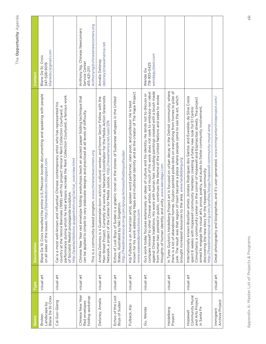| Name                                                           | Type       | Contact<br><b>Description</b>                                                                                                                                                                                                                                                                                                                                                                                                                                                                                                        |                                                                                                   |
|----------------------------------------------------------------|------------|--------------------------------------------------------------------------------------------------------------------------------------------------------------------------------------------------------------------------------------------------------------------------------------------------------------------------------------------------------------------------------------------------------------------------------------------------------------------------------------------------------------------------------------|---------------------------------------------------------------------------------------------------|
| Blane De St Croix<br>Landscape by<br>Broken                    | visual art | entire U.S./Mexican border documenting and speaking with people<br>blanedestcroix.blogspot.com<br>on all sides of the issues. http://<br>Blane De St Croix travelled the                                                                                                                                                                                                                                                                                                                                                             | blanedsc@gmail.com<br>Blane De St. Croix<br>347-526-9019                                          |
| Cai Guo-Qiang                                                  | visual art | performance during which he had artisans recreate the Rent Collection Courtyard, a famous work<br>Cai is a most well-known and influential Chinese contemporary artist who has represented his<br>country at the Venice Biennale (1999) with his project Venice's Rent Collection Courtyard, a<br>http://pastexhibitions.guggenheim.org/cai/cai_overview.html<br>sculpture.<br>of Socialist Realist propaganda                                                                                                                       |                                                                                                   |
| Chinese New Year<br>folding workshop<br>Red envelopes          | visual art | Chinese New Year red envelope folding workshops teach an ancient paper folding technique that<br>can be applied to simple to very elaborate designs and practiced at all levels of difficulty.<br>This is a community-based program. www.chinesenewcomers.org                                                                                                                                                                                                                                                                        | Anthonyng@chinesenewcomers.org<br>Anthony Ng, Chinese Newcomers<br>Service Center<br>415-421-2111 |
| Deloney, Amalia                                                | visual art | Main Street Project. Currently she works as Network Coordinator for the Media Action Grassroots<br>Amalia Deloney is a Guatemalan-born activist, cultural worker, and former Senior Fellow with the<br>Network, a project of the Center for Media Justice. http://newamerica.net/user/274                                                                                                                                                                                                                                            | deloney@newamerica.net<br>Amalia Deloney                                                          |
| Echos of the Lost<br>Boys of Sudan                             | visual art | a graphic novel on the stories of Sudanese refugees in the United<br>http://freedimensional.ning.com/group/echoesoflostboysofsudan<br>Echos of Lost Boys of Sudan is a gra<br>States, illustrated by Niki Singleton.                                                                                                                                                                                                                                                                                                                 |                                                                                                   |
| Fulbeck, Kip                                                   | visual art | Hapa and multiracial identity and as the creator of The Hapa Project.<br>Kip Fulbeck is an American artist, spoken word performer, slam poet, and professor. He is best<br>www.seaweedproductions.com<br>known for his work addressing                                                                                                                                                                                                                                                                                               |                                                                                                   |
| Gu, Wenda                                                      | visual art | against Chinese traditions. His work with human hair, including paintings created with a brush made<br>compare himself to other Chinese artists, and much of his work does not seek to embrace nor rebel<br>Gu's work today focuses extensively on ideas of culture and his identity. He tends not to discuss or<br>from human hair, painted in public, continues the theme of the United Nations and seeks to evoke<br>thoughts of human identity and unity. www.wendagu.com                                                        | wendagu@aol.com<br>718-935-0425<br>Wenda Gu                                                       |
| Heidelberg<br>Project                                          | visual art | In Tyree Guyton's Heidelberg Project art is focused on urban decay in the Detroit community, where<br>there is a lot of abandoned homes. Guyton painted polka dots on everything from homes to piles of<br>of town became a place where people came to see the art, which<br>brought increased resources to the area. www.heidelberg.org<br>junk. The result was that region                                                                                                                                                         |                                                                                                   |
| Community Mural<br>and Arts Project<br>in Santa Fe<br>Hopewell | visual art | artists Jonatas Rodrigues dos Santos and Everaldo da Silva Costa<br>Comunitario, a community center on the corner of Hopewell and Espinacitas streets. The project<br>aimed to engage the visual arts, prose, poetry, and audio to foster community involvement,<br>spent 6 weeks with Hopewell community members creating a funky new look for El Centro<br>http://freedimensional.ning.com/profiles/blogs/hopewell-community-mural-amp<br>discovering the new story for the Hopewell community.<br>Internationally known Brazilian |                                                                                                   |
| Archive Project<br>Immigrant                                   | visual art | Great photography and biographies, and it's user-generated. www.immigrantarchiveproject.com/                                                                                                                                                                                                                                                                                                                                                                                                                                         |                                                                                                   |
|                                                                |            |                                                                                                                                                                                                                                                                                                                                                                                                                                                                                                                                      |                                                                                                   |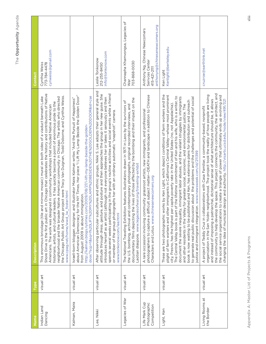| Name                                         | Type       | <b>Description</b>                                                                                                                                                                                                                                                                                                                                                                                                                                                                                                                                                                                                                                                                                                                                                                                                                                                                          | Contact                                                                                            |
|----------------------------------------------|------------|---------------------------------------------------------------------------------------------------------------------------------------------------------------------------------------------------------------------------------------------------------------------------------------------------------------------------------------------------------------------------------------------------------------------------------------------------------------------------------------------------------------------------------------------------------------------------------------------------------------------------------------------------------------------------------------------------------------------------------------------------------------------------------------------------------------------------------------------------------------------------------------------|----------------------------------------------------------------------------------------------------|
| Indian Land<br>Dancing                       | visual art | Shore Drive is the first public art in Chicago that celebrates the history and contributions of Native<br>project were Tracy Van Duignan, Todd Osborne, and Cynthia Weiss.<br>This enormous bricolage (tile and mirrow mosaic) mural on both sides of a viaduct beneath Lake<br>neighborhood and the broader Native American community in Chicago. The artists who directed<br>leaders. It has quickly become a point of enormous pride to the<br>Americans. The work was designed in community workshops that included Native American<br>www.cpag.net/home/wwd_lw_foster.html<br>the Chicago Public Art Group<br>historians, artists, and cultural                                                                                                                                                                                                                                        | cynweiss@gmail.com<br>Cynthia Weiss<br>773-784-4478                                                |
| Kalman, Maira                                | visual art | about American Democracy for the NY Times. Her piece "I Lift My Lamp Beside the Golden Door"<br>door/?scp=1&sq=1%20LIFT%20MY%20LAMP%20BESIDE%20THE%20GOLDEN%20DOOR&st=cse<br>and illustrator Maira Kalman writes "And the Pursuit of Happiness"<br>http://kalman.blogs.nytimes.com/2009/08/27/i-lift-my-lamp-beside-the-golden-<br>from August 2009 is about immigration.<br>Israeli-born blogger, designer,                                                                                                                                                                                                                                                                                                                                                                                                                                                                                |                                                                                                    |
| Lee, Nikki                                   | visual art | After observing particular subcultures and ethnic groups, Nikki S. Lee adopts their general style and<br>spends several weeks participating in the group's routine activities and social events while a friend<br>attitude through dress, gesture, and posture and then approaches the group in her new guise. She<br>introduces herself as an artist (although not everyone believes her or takes it seriously) and then<br>graphs her with an ordinary automatic "snapshot" camera.<br>or member of the group photo<br>www.tonkonow.com/lee.html                                                                                                                                                                                                                                                                                                                                          | info@tonkonow.com<br>Leslie Tonkonow<br>212-255-8450                                               |
| Legacies of War                              | visual art | documentary films depicting the lives of those affected by the bombing and their impact on the<br>The National Traveling Exhibition features illustrations drawn in 1971 in Laos by the survivors of<br>the U.S. bombing, archival and contemporary photographs, original recorded interviews, and<br>Laotian diaspora. www.legaciesofwar.org/traveling-exhibit                                                                                                                                                                                                                                                                                                                                                                                                                                                                                                                             | Channapha Khamvongsa, Legacies of<br>703-868-0030<br>War                                           |
| Life Mark Cup<br>Photographic<br>Competition | visual art | photographers to capture a difficult subject matter—DEATH and landscape in addition to Chinese<br>Characters and Lotus. www.chinesenewcomers.org<br>A rare occassion invloving community grassroot artists, new immigrants, and professional                                                                                                                                                                                                                                                                                                                                                                                                                                                                                                                                                                                                                                                | anthonyng@chinesenewcomers.org<br>Anthony Ng, Chinese Newcomers<br>Serivces Center<br>415-421-2111 |
| Light, Ken                                   | visual art | These are two photographic works by Ken Light, which depict conditions of farm workers and the<br>plight of farm workers and other immigrants in California's Central Valley—whose most prominent<br>of the lifetime commitment of Ken and his wife, who is a writer, to<br>document the severe inequality, immigrant labor abuses, and the valiant struggles by immigrants<br>to generate real public discussion about the problems and the challenges and potential of social<br>book is now waiting to be published and Ken, has extensive plans for distribution and outreach<br>city, Fresno, has the highest per capita poverty rate in the United States (no, not Appalachia).<br>and other residents in the Valley for greater social, economic, and environmental justice. The<br>justice and immigrant integration. www.newsweek.com/id/211399<br>The Central Valley book is part | Kenlight@berkeley.edu<br>Ken Light                                                                 |
| Living Rooms at<br>the Border                | visual art | the community to help develop the space. This project connects the community, the architect, and<br>organization in the San Ysidro neighborhood. The project took the reality of how people are living<br>the social service organizations to create a triangle of power that ultimately ends up evolving and<br>and instead of imposing a patriarchal, dictatorial sense of what architecture should be, it allows<br>design and authority. http://visarts.ucsd.edu/node/view/491/321<br>aborations with Casa Familiar, a community-based, nonprofit<br>changing the idea of municipal<br>A project of Teddy Cruz in coll                                                                                                                                                                                                                                                                  | cruzroe@earthlink.net                                                                              |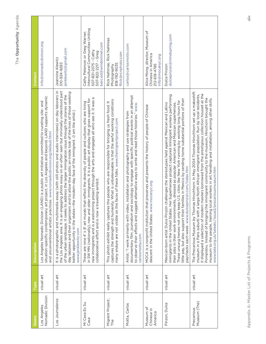| lame                               | Per        | <b>Description</b>                                                                                                                                                                                                                                                                                                                                                                                                                                                                                                                                                   | Contact                                                                                                                                     |
|------------------------------------|------------|----------------------------------------------------------------------------------------------------------------------------------------------------------------------------------------------------------------------------------------------------------------------------------------------------------------------------------------------------------------------------------------------------------------------------------------------------------------------------------------------------------------------------------------------------------------------|---------------------------------------------------------------------------------------------------------------------------------------------|
| Nomadic Division<br>Los Angeles    | visual art | situation-specific contemporary art project, in Los Angeles and beyond. LAND supports dynamic<br>(LAND) is a public art initiative committed to curating site- and<br>and unconventional artistic practices. www.nomadicdivision.org/default.html<br>Los Angeles Nomadic Division                                                                                                                                                                                                                                                                                    | info@nomadicdivision.org                                                                                                                    |
| Los Journaleros                    | visual art | It is a photographic and multimedia essay (with still photos and audio interviews) on day laborers in<br>the Los Angeles area. It is an engaging photo essay on an often seen but minimally understood part<br>day laborers and their organizers and to allow the public an inside look of the lives of those seeking<br>of the urban landscape. It seeks to address the larger immigration issue through the stories of the<br>better opportunity in the states-the modern-day face of the immigrant. (I am the artist.)<br>www.jenklewitz.com                      | jenklewitz@gmail.com<br>Jeannine Klewitz<br>310-924-9283                                                                                    |
| Mi Casa Es Su<br>Casa              | visual art | new immigrants and is a welcoming project through the arts and engages all who see it. It was a<br>in SW MN (nationally), new and older immigrants. It is a public art display that gives support for<br>These are nine $4' \times 8'$ art murals that reflect the diversity of people and cultures who are living<br>a traveling exhibit.<br>collaborative effort and is now                                                                                                                                                                                        | Intercultural Communities Uniting<br>Cathy Peterson or Greg Warner,<br>barc.ed@windomnet.com<br>507-831-2375 - Cathy<br>507-822-2217 - Greg |
| Migrant Project,<br>The            | visual art | captures the strength and humanity. What is unbelieveable is that the awful working conditions<br>This photo exhibit really captures the people who are responsible for bringing us fresh food. It<br>the faces of these folks. www.themigrantproject.com<br>many endure are not visible on                                                                                                                                                                                                                                                                          | Rick Nahmias<br>Rick@rcnphoto.com<br>Rick Nahmias,<br>818-782-9035<br>Photography                                                           |
| Motta, Carlos                      | visual art | documentary film, journalism and sociology to engage with specific political events in an attempt<br>to observe their effects and suggest alternative ways to write and read those histories." www.<br>Artist: "I work primarily with video, installation and photography and use strategies from<br>carlosmotta.com                                                                                                                                                                                                                                                 | carlos@carlosmotto.com                                                                                                                      |
| Museum of<br>Chinese in<br>America | visual art | MOCA is a nonprofit institution that preserves and presents the history of people of Chinese<br>descent in the United States. www.mocanyc.org                                                                                                                                                                                                                                                                                                                                                                                                                        | Alice Mong, director, Museum of<br>Chinese in America<br>info@mocanyc.org<br>212-619-4785                                                   |
| Pinzon, Dulce                      | visual art | immigrants in the United States. Her Superheroes project captured immigrant workers performing<br>little pay, but also support their families in Mexico by sending home substantial portions of their<br>keep U.S. cities like New York running by working long hours for<br>their jobs in their work environments, dressed as popular American and Mexican superheroes.<br>Mexican-born artist Dulce Pinzón challenges the stereotypes held against Mexican and Latino<br>paychecks each week. www.dulcepinzon.com/index.htm<br>These unsung heroes not only        | dulcepinzon@mindspring.com<br>Dulce Pinzon                                                                                                  |
| Museum (The)<br>Precarious         | visual art | The Precarious Museum by Thomas Hirschhorn: In May 2004 Thomas Hirschhorn set up a makeshift<br>it displayed a selection of modern masters borrowed from the prestigious collection housed at the<br>a large North African immigrant population. Run by local residents,<br>Pompidou. Instead of bringing the immigrant community to the museum, Hirschorn brought the<br>museum to the people, training local workers in art handling and installation, among other skills.<br>www.tate.org.uk/tateetc/issue2/precariousmuseum.htm<br>museum in a Paris suburb with |                                                                                                                                             |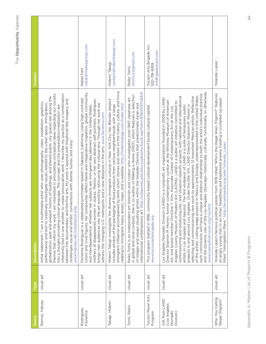| Name                                                  | Type       | <b>Description</b>                                                                                                                                                                                                                                                                                                                                                                                                                                                                                                                                                                                                                                                                                                                                                                                                                                                                                                                                                                                                                                                                                                                                   | Contact                                                        |
|-------------------------------------------------------|------------|------------------------------------------------------------------------------------------------------------------------------------------------------------------------------------------------------------------------------------------------------------------------------------------------------------------------------------------------------------------------------------------------------------------------------------------------------------------------------------------------------------------------------------------------------------------------------------------------------------------------------------------------------------------------------------------------------------------------------------------------------------------------------------------------------------------------------------------------------------------------------------------------------------------------------------------------------------------------------------------------------------------------------------------------------------------------------------------------------------------------------------------------------|----------------------------------------------------------------|
| Ramos, Hatuey                                         | visual art | inherently tied to one another to create provocative work. I describe my practice as a combination<br>am interested in articulating conceptual ideas regarding our society<br>globalization, past and present history of buildings, and shared-public city spaces are among the<br>between the documentary and the fine arts. My work is layered with theatrical-like imagery and<br>Artist statement: "I am a multimedia artist who uses photography, video, installation, graphics,<br>performance and text to creatively investigate issues related to the urban space. Immigration<br>into a thought provoking critical language. The concept and the presentation/realization are<br>challenges social and artistic conventions with drama, humor, and irony."<br>www.hatmax.net/installation.php<br>themes that inform my work.                                                                                                                                                                                                                                                                                                                |                                                                |
| Rodriguez,<br>Favianna                                | visual art | colors and vivid figures, her composites reflect literal and imaginative migration, global community,<br>Favianna Rodriguez is a celebrated printmaker based in Oakland, California. Using high-contrast<br>mothers of disappeared women in Juárez, Mexico, or her own abstract self-portraits, Rodriguez<br>brings new audiences into the art world by refocusing the cultural lens. Through her work we<br>and interdependence. Whether her subjects are immigrant day laborers in the United States,<br>witness the changing U.S. metropolis and a new diaspora in the arts. www.favianna.com                                                                                                                                                                                                                                                                                                                                                                                                                                                                                                                                                     | natali@mateagroup.com<br>Natali Fani                           |
| Takagi, Hidemi                                        | visual art | immigrant influence accompanied by texts (short stories and notes on the history, culture, and trivia<br>Hidemi Takagi investigates the diverse immigrant cultures in New York City. Her Blender project<br>relating to immigrant-heavy areas), maps, and a website. http://hidemitakagi.com/index.html<br>includes photos of the packaging of food products from various neighborhoods with a large                                                                                                                                                                                                                                                                                                                                                                                                                                                                                                                                                                                                                                                                                                                                                 | contact@hidemitakagi.com<br>Hidemi Takagi                      |
| Tomii, Reiko                                          | visual art | t.http://yalepress.yale.edu/yupbooks/book.asp?isbn=9780300126341<br>in global and local contexts. She is co-author of Making a Home (1007), which features a selection<br>Reiko Tomii is an independent art historian and curator who investigates post-1945 Japanese art<br>of images and essays situating artists within the broader themes that predominate Asian and<br>nternational contemporary ar                                                                                                                                                                                                                                                                                                                                                                                                                                                                                                                                                                                                                                                                                                                                             | rtomii.js@gmail.com<br>Reiko Tomii                             |
| Tucson Mural Arts<br>Program                          | visual art | community-based cultural development builds cultural capital.<br>This program started in 1996,<br>www.tucsonartsbrigade.org                                                                                                                                                                                                                                                                                                                                                                                                                                                                                                                                                                                                                                                                                                                                                                                                                                                                                                                                                                                                                          | Tucson Arts Brigade Inc.<br>ArtBrigade@aol.com<br>520-791-9359 |
| VIA from LAND<br>(Los Angeles<br>Nomadic<br>Division) | visual art | and the dynamic site of the Los Angeles cityscape-historically, culturally, functionally, or otherwise.<br>each commission will have a unique and distinct relationship to both the artist's individual practice<br>commissioning and producing site- and situation-specific projects with national and international<br>of the artists' cutting-edge projects in Mexico and Europe, underrepresented in the United States,<br>selecting and commissioning new work by approximately 12 important Mexican artists. Reflective<br>(LAND) is a nonprofit art organization founded in 2009 by LAND<br>Director Shamim M. Momin, former contemporary curator at the Whitney Museum of American<br>Angeles County Museum of Modern Art (LACMA). LAND is a public art initiative committed to<br>projects in and around Los Angeles. Under the title VIA, LAND Director Shamim M. Momin is<br>artists in Los Angeles and beyond. The first endeavor of LAND is a suite of temporary public<br>Art, and board member Christine Y. Kim, Associate Curator of Contemporary Art at the Los<br>www.nomadicdivision.org/via.html<br>Los Angeles Nomadic Division |                                                                |
| Who You Calling<br>Illegal, Pilgram?                  | visual art | Yolanda Lopez's famous political poster from 1978 titled "Who's the Illegal Alien, Pilgrim?" features<br>an angry young man in an Aztec headdress and traditional jewelry holding a crumpled-up paper<br>titled "Immigration Plans." http://en.wikipedia.org/wiki/Yolanda_Lopez                                                                                                                                                                                                                                                                                                                                                                                                                                                                                                                                                                                                                                                                                                                                                                                                                                                                      | Yolanda Lopez                                                  |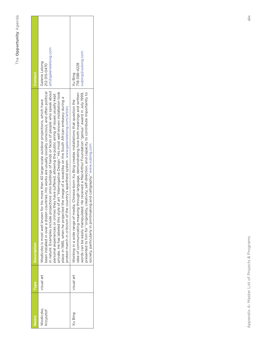| Vame                   | <b>Type</b> | <b>Description</b>                                                                                                                                                                                                                                                                                                                                                                                                                                                                                                                                                                                                                                                                                                               | <b>Contact</b>                                        |
|------------------------|-------------|----------------------------------------------------------------------------------------------------------------------------------------------------------------------------------------------------------------------------------------------------------------------------------------------------------------------------------------------------------------------------------------------------------------------------------------------------------------------------------------------------------------------------------------------------------------------------------------------------------------------------------------------------------------------------------------------------------------------------------|-------------------------------------------------------|
| Wodiczko,<br>Krzysztof | visual art  | in nature. Examples include projections onto buildings of hands or faces of people who speak about<br>private. He has labeled this style of art "Interrogative Design." His most well-known installation took<br>countries. His works are usually sonscious, and often political<br>personal experiences or crimes they have suffered, allowing the public airing of issues usually kept<br>place in 1985, when he projected the image of a swastika on the South African embassy during a<br>for his more than 40 large-scale outdoor projections, which have<br>protest march in criticism of the country's apartheid system. www.galerielelong.com/artists<br>been installed in over a dozen<br>Wodiczko is most well known f | art@galerieleng.com<br>Galerie Lelong<br>212-315-0470 |
| Xu Bing                | visual art  | presented to him for "originality, creativity, self-direction, and capacity to contribute importantly to<br>idea of communicating meaning through language, demonstrating how both meanings and written<br>words can be easily manipulated. He received a MacArthur Foundation "genius" award in July 1999,<br>Working in a wide range of media, Chinese-born Xu Bing creates installations that question the<br>society, particularly in printmaking and calligraphy." www.xubing.com                                                                                                                                                                                                                                           | xubing@xubing.com<br>718-388-4228<br>Xu Bing          |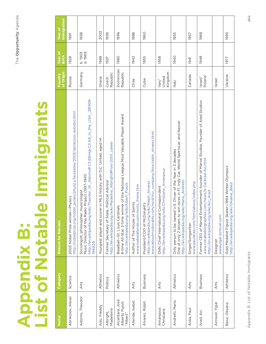# **Appendix B:<br>List of Notable Immigrants List of Notable Immigrants Appendix B:**

| Name                                          | Category  | Reason for Renown                                                                                                                                                                                 | of Origin<br>Country                 | Year of<br>Birth   | Immigration<br>Year of |
|-----------------------------------------------|-----------|---------------------------------------------------------------------------------------------------------------------------------------------------------------------------------------------------|--------------------------------------|--------------------|------------------------|
| Abrikosov, Alexei                             | Science   | http://nobelprize.org/nobel_prizes/physics/laureates/2003/abrikosov-autobio.html<br>Physics<br>2003 Nobel Prize winner-                                                                           | Russia                               | 1928               | 1991                   |
| Adorno, Theodor                               | Arts      | http://en.wikipedia.org/wiki/Theodor_W._Adorno#.C3.89migr.C3.A9_in_the_USA_.281938-<br>Music Director of the Radio Project (1937-1941)<br>Sociologist, philosopher, musicologist<br>1949.29       | Germany                              | b. 1903<br>d. 1969 | 1938                   |
| Adu, Freddy                                   | Athletics | Youngest player and scorer in MLS history with D.C. United, aged 14                                                                                                                               | Ghana                                | 1989               | 2003                   |
| Madeleine<br>Albright,                        | Politics  | http://en.wikipedia.org/wiki/Madeline_Albright#Post-2001_career<br>Political Advisor<br>Former Secretary of State,                                                                                | Republic<br>Czech                    | 1937               | 1938                   |
| Alcántara, José<br>Alberto Pujols<br>"Albert" | Athletics | 8-time All-Star, 3-time winner of the National League Most Valuable Player Award<br>http://en.wikipedia.org/wiki/Albert_Pujols<br>Baseball-St. Louis Cardinals                                    | Dominican<br>Republic                | 1980               | 1996                   |
| Allende, Isabel                               | Arts      | www.isabelallende.com/roots_frame.htm<br>Author of The House of Spirits                                                                                                                           | Chile                                | 1942               | 1988                   |
| Alvarez, Ralph                                | Business  | www.aboutmcdonalds.com/mcd/our_company/bios/ralph_alvarez.html<br>http://en.wikipedia.org/wiki/Ralph_Alvarez<br>President/COO of McDonald's                                                       | Cuba                                 | 1955               | 1960                   |
| Amanpour,<br>Christiane                       | Arts      | http://en.wikipedia.org/wiki/Christiane_Amanpour<br>CNN, Chief International Correspondent                                                                                                        | Kingdom<br>United<br>$\mathsf{ran}/$ | 1958               |                        |
| Andretti, Mario                               | Athletics | One of only 2 drivers to win races in F1, Indy Car, World Sportscar, and Nascar<br>U.S. Driver of the Year in 3 decades<br>http://en.wikipedia.org/wiki/Mario_Andretti<br>Only person to be named | <b>Italy</b>                         | 1940               | 1955                   |
| Anka, Paul                                    | Arts      | www.paulanka.com/html/about/index.php<br>Singer/Songwriter                                                                                                                                        | Canada                               | 1941               | 1957                   |
| Arad, Avi                                     | Business  | Former CEO of Marvel Entertainment, founder of Marvel Studios, founder of Arad Studios<br>www.notablebiographies.com/news/A-Ca/Arad-Avi.html<br>http://en.wikipedia.org/wiki/Avi_Arad             | Poland<br>$\frac{1}{\sqrt{2}}$       | 1948               | 1968                   |
| Azrouel, Yigal                                | Arts      | www.yigal-azrouel.com<br>Designer                                                                                                                                                                 | Israel                               |                    |                        |
| Baiul, Oksana                                 | Athletics | Gold Medalist Figure Skater-1994 Winter Olympics<br>http://en.wikipedia.org/wiki/Oksana_Baiul                                                                                                     | Ukraine                              | 1977               | 1995                   |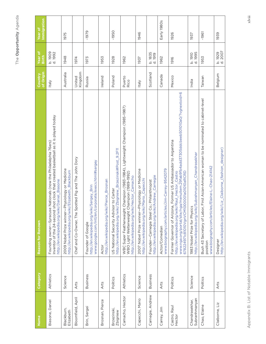| Name                            | Category    | Reason for Renown                                                                                                                                                                                                                                 | of Origin<br>Country | Year of<br><b>Birth</b>   | Immigration<br>Year of |
|---------------------------------|-------------|---------------------------------------------------------------------------------------------------------------------------------------------------------------------------------------------------------------------------------------------------|----------------------|---------------------------|------------------------|
| Biasone, Daniel                 | Athletics   | Inventor of the 24-second shot clock that created basketball as it is played today<br>Founding owner-Syracuse Nationals (now the Philadelphia 76ers)<br>http://en.wikipedia.org/wiki/Daniel_Biasone                                               | <b>Italy</b>         | b. 1909<br>d. 1992        |                        |
| Blackburn,<br>Elizabeth         | Science     | 2009 Nobel Prize winner-Physiology or Medicine<br>http://en.wikipedia.org/wiki/Elizabeth_Blackburn                                                                                                                                                | Australia            | 1948                      | 1975                   |
| Bloomfield, April               | Arts        | Chef and Co-Owner, The Spotted Pig and The John Dory                                                                                                                                                                                              | Kingdom<br>United    | 1974                      |                        |
| Brin, Sergei                    | Business    | www.google.com/intl/en/corporate/execs.html#sergey<br>http://en.wikipedia.org/wiki/Sergey_Brin<br>Founder of Google                                                                                                                               | Russia               | 1973                      | $-1979$                |
| Brosnan, Pierce                 | <b>Arts</b> | http://en.wikipedia.org/wiki/Pierce_Brosnan<br>Actor                                                                                                                                                                                              | Ireland              | 1953                      |                        |
| Brzezinski,<br>Zbigniew         | Politics    | http://en.wikipedia.org/wiki/Zbigniew_Brzezinski#Post_9.2F11<br>US National Security Advisor to Carter                                                                                                                                            | Poland               | 1928                      | $-1950$                |
| Camacho, Hector                 | Athletics   | WBC Super Featherwaight Champion (1983-1994), Lightweight Champion (1985-1987)<br>WBO Light Welterweight Champion (1989-1992)<br>http://en.wikipedia.org/wiki/Hector_Camacho                                                                      | Puerto<br>Rico       | 1962                      |                        |
| Capecchi, Mario                 | Science     | 2007 Nobel Prize winner-Physiology or Medicine<br>http://en.wikipedia.org/wiki/Mario_Capecchi                                                                                                                                                     | <b>Italy</b>         | 1937                      | 1946                   |
| Carnegie, Andrew                | Business    | http://en.wikipedia.org/wiki/Andrew_Carnegie<br>Founder-Carnegie Steel Co.; Philanthropist                                                                                                                                                        | Scotland             | b. 1835<br>d. 1919        |                        |
| Carrey, Jim                     | Arts        | www.biography.com/articles/Jim-Carrey-9542079<br>Actor/Comedian                                                                                                                                                                                   | Canada               | 1962                      | Early 1980s            |
| Castro, Raul<br>Hector          | Politics    | www.nga.org/portal/site/nga/menuitem.29fab9fb4add37305ddcbeeb501010a0/?vgnextoid=6<br>Former Governor of Arizona, Former US Ambassador to Argentina<br>http://en.wikipedia.org/wiki/Raul_Hector_Castro<br>678224971c81010VgnVCM1000001a01010aRCRD | Mexico               | 1916                      | 1926                   |
| Subranhmanyan<br>Chandrasekhar, | Science     | http://en.wikipedia.org/wiki/Subrahmanyan_Chandrasekhar<br>1983 Nobel Prize for Physics                                                                                                                                                           | India                | d. 1995<br><b>b.</b> 1910 | 1937                   |
| Chao, Elaine                    | Politics    | Bush 43 Secretary of Labor, First Asian-American woman to be nominated to cabinet-level<br>www.biography.com/articles/Elaine-L.-Chao-214142<br>position                                                                                           | Taiwan               | 1953                      | -1961                  |
| Claiborne, Liz                  | Arts        | http://en.wikipedia.org/wiki/Liz_Claiborne_(fashion_designer)<br>Designer                                                                                                                                                                         | Belgium              | d. 2007<br>b. 1929        | 1939                   |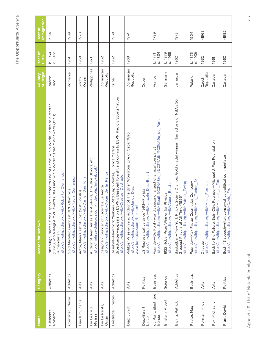| Name                         | Category  | <b>Reason for Renown</b>                                                                                                                                                                                                                           | of Origin<br>Country  | Year of<br><b>Birth</b> | mmigration<br>Year of |
|------------------------------|-----------|----------------------------------------------------------------------------------------------------------------------------------------------------------------------------------------------------------------------------------------------------|-----------------------|-------------------------|-----------------------|
| Clemente,<br>Roberto         | Athletics | spanic elected to Hall of Fame, win a World Series as a starter<br>(1960), win a league MVP award (1966) and win a World Series MVP award (1971);<br>http://en.wikipedia.org/wiki/Roberto_Clemente<br>Pittsburgh Pirates, first Hi<br>Humanitarian | Puerto<br>Rico        | b. 1934<br>4. 1972      | 1954                  |
| Comaneci, Nadia              | Athletics | http://en.wikipedia.org/wiki/Nadia_Comaneci<br>Gold Medalist Gymnast 1976 Olympics                                                                                                                                                                 | Romania               | 1961                    | 1989                  |
| Dae Kim, Daniel              | Arts      | http://en.wikipedia.org/wiki/Daniel_Dae_Kim<br>Actor, Main Cast of Lost (2005-2010)                                                                                                                                                                | South<br>Korea        | 1968                    | 1970                  |
| De La Cruz,<br>Melissa       | Arts      | Au-Pairs, The Blue Bloods, etc.<br>http://melissa-delacruz.com/index.php/info/about/<br>Author of Teen series The                                                                                                                                  | Philippines           | 1971                    |                       |
| De La Renta,<br>Oscar        | Arts      | http://en.wikipedia.org/wiki/Oscar_de_la_Renta<br>Designer/Founder of Oscar De La Renta                                                                                                                                                            | Dominican<br>Republic | 1932                    |                       |
| Destrada, Orestes            | Athletics | Broadcaster-appears on ESPN's Baseball Tonight and co-hosts ESPN Radio's SportsNation<br>Baseball-New York Yankees, Pittsburgh Pirates, Florida Marlins<br>http://en.wikipedia.org/wiki/Orestes_Destrade                                           | Cuba                  | 1962                    | 1968                  |
| Diaz, Junot                  | Arts      | Pulitzer Prize-winning author of The Brief Wondrous Life of Oscar Wao<br>http://en.wikipedia.org/wiki/Junot_Diaz<br>www.junotdiaz.com/bio.html                                                                                                     | Dominican<br>Republic | 1968                    | 1974                  |
| Diaz-Balart,<br>Lincoln      | Politics  | http://en.wikipedia.org/wiki/Lincoln_Diaz-Balart<br>US Representative since 1993-Florida                                                                                                                                                           | Cuba                  |                         |                       |
| du Pont, Eleuthère<br>Irénée | Business  | http://en.wikipedia.org/wiki/Eleuth%C3%A8re_Ir%C3%A9n%C3%A9e_du_Pont<br>Founder-Du Pont (world's second largest chemical company)                                                                                                                  | France                | d. 1834<br>b. 1771      | 1799                  |
| Einstein, Albert             | Science   | http://en.wikipedia.org/wiki/Albert_Einstein<br>1922 Nobel Prize Winner for Physics                                                                                                                                                                | Germany               | d. 1955<br>b. 1879      |                       |
| Ewing, Patrick               | Athletics | Basketball-New York Knicks; 2-time Olympic Gold medal winner; Named one of NBA's 50<br>http://en.wikipedia.org/wiki/Patrick_Ewing<br>Greatest Players of All Time (1996)                                                                           | Jamaica               | 1962                    | 1973                  |
| Factor, Max                  | Business  | http://en.wikipedia.org/wiki/Max_Factor,_Sr.<br>Founder-Max Factor Cosmetics Company                                                                                                                                                               | Poland                | d. 1938<br>b. 1875      | 1904                  |
| Forman, Milos                | Arts      | http://en.wikipedia.org/wiki/Milos_Forman<br>Director                                                                                                                                                                                              | Republic<br>Czech     | 1932                    | -1968                 |
| Fox, Michael J.              | Arts      | Back to the Future, Spin City; Founder-Michael J. Fox Foundation<br>http://en.wikipedia.org/wiki/Michael_J._Fox                                                                                                                                    | Canada                | 1961                    |                       |
| Frum, David                  | Politics  | Bush 43 speechwriter, conservative political commentator<br>http://en.wikipedia.org/wiki/David_Frum                                                                                                                                                | Canada                | 1960                    | -1982                 |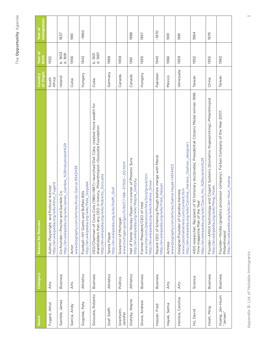| I        |
|----------|
| 'n.<br>l |
| ı        |

| Name                        | Category        | <b>Reason for Renown</b>                                                                                                                                                                                           | of Origin<br>Country | Year of<br>Birth   | Immigration<br>Year of |
|-----------------------------|-----------------|--------------------------------------------------------------------------------------------------------------------------------------------------------------------------------------------------------------------|----------------------|--------------------|------------------------|
| Fugard, Athol               | Arts            | http://en.wikipedia.org/wiki/Athol_Fugard<br>Author, Playwright, and Political Activist                                                                                                                            | South<br>Africa      | 1932               |                        |
| Gamble, James               | <b>Business</b> | http://en.wikipedia.org/wiki/James_Gamble_%28industrialist%29<br>Gamble Co.<br>Co-founder-Procter and                                                                                                              | Ireland              | b. 1803<br>d. 1891 | 1837                   |
| Garcia, Andy                | Arts            | www.biography.com/articles/Andy-Garcia-9542439<br>Actor                                                                                                                                                            | Cuba                 | 1956               | 1961                   |
| Gogolak, Pete               | Athletics       | http://en.wikipedia.org/wiki/Pete_Gogolak<br>Football-NY Giants and Buffalo Bills                                                                                                                                  | Hungary              | 1942               | $-1960$                |
| Goizueta, Roberto           | <b>Business</b> | CEO/Chairman of Coca-Cola (1980-1997) $-$ launched Diet Coke, created more wealth for<br>shareholders than any CEO in history; Philanthropist-Goizueta Foundation<br>http://en.wikipedia.org/wiki/Roberto_Goizueta | Cuba                 | b. 1931<br>d. 1997 |                        |
| Graf, Steffi                | Athletics       | http://en.wikipedia.org/wiki/Steffi_Graf<br>Tennis Player                                                                                                                                                          | Germany              | 1969               |                        |
| Granholm,<br>Jennifer       | Politics        | www.michigan.gov/gov/0,1607,7-168--57920--,00.html<br>Governor of Michigan                                                                                                                                         | Canada               | 1959               |                        |
| Gretzky, Wayne              | Athletics       | Hall of Famer Hockey Player-co-owner of Phoenix Suns<br>http://en.wikipedia.org/wiki/Wayne_Gretzky                                                                                                                 | Canada               | 1961               | 1988                   |
| Grove, Andrew               | <b>Business</b> | www.intel.com/pressroom/kits/bios/grove.htm<br>http://en.wikipedia.org/wiki/Andrew_Grove<br>Former President/CEO of Intel                                                                                          | Hungary              | 1936               | 1957                   |
| Hassan, Fred                | Business        | Recent CEO of Schering-Plough before merge with Merck<br>http://en.wikipedia.org/wiki/Fred_Hassan                                                                                                                  | Pakistan             | 1945               | $-1970$                |
| Hayek, Selma                | Arts            | www.biography.com/articles/Salma-Hayek-14514423<br>Actress                                                                                                                                                         | Mexico               | 1966               | 1991                   |
| Herrera, Carolina           | Arts            | http://en.wikipedia.org/wiki/Carolina_Herrera_(fashion_designer)<br>www.carolinaherrera.com/content.htm<br>Designer/Founder of Carolina Herrera                                                                    | Venezuela            | 1939               | 1981                   |
| Ho, David                   | Science         | AIDS researcher; Recipient of 10 honorary doctorates; Presidential Citizens Medal winner, 1996<br>http://en.wikipedia.org/wiki/David_Ho_%28scientist%29<br>Time magazine Man of the Year                           | Taiwan               | 1952               | 1964                   |
| Hsieh, Ming                 | Business        | Founder-AMAX technology and Cogent Systems (biometric fingerprinting); Philanthropist<br>http://en.wikipedia.org/wiki/Ming_Hsieh                                                                                   | China                | 1955               | 1979                   |
| Huang, Jen-Hsum<br>"Jensen" | <b>Business</b> | Founder—Nvidia (graphics processor company), Forbes Company of the Year 2007;<br>http://en.wikipedia.org/wiki/Jen-Hsun_Huang<br>Philanthropist                                                                     | Taiwan               | 1963               |                        |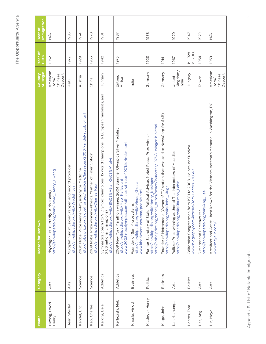| Name                  | Category        | Reason for Renown                                                                                                                                                                                    | of Origin<br>Country                    | Year of<br>Birth   | Immigration<br>Year of |
|-----------------------|-----------------|------------------------------------------------------------------------------------------------------------------------------------------------------------------------------------------------------|-----------------------------------------|--------------------|------------------------|
| Hwang, David<br>Henry | Arts            | http://en.wikipedia.org/wiki/David_Henry_Hwang<br>Playwright—M. Butterfly, Aida (Book)                                                                                                               | American<br>Descent<br>Chinese<br>Born/ | 1952               | $\frac{4}{2}$          |
| Jean, Wyclef          | Arts            | Multiplatinum musician, rapper, and record producer<br>http://en.wikipedia.org/wiki/Wyclef_Jean                                                                                                      | Haiti                                   | 1972               | 1985                   |
| Kandel, Eric          | Science         | http://nobelprize.org/nobel_prizes/medicine/laureates/2000/kandel-autobio.html<br>2000 Nobel Prize winner-Physiology or Medicine                                                                     | Austria                                 | 1929               | 1974                   |
| Kao, Charles          | Science         | 2009 Nobel Prize winner-Physics, "Father of Fiber Optics"<br>http://en.wikipedia.org/wiki/Charles_Kao                                                                                                | China                                   | 1933               | 1970                   |
| Karolyi, Bela         | Athletics       | lympic champions, 15 world champions, 16 European medalists, and<br>http://en.wikipedia.org/wiki/B%C3%A9la_K%C3%A1rolyi<br>Gymnastics coach (to 9 O<br>6 US national champions)                      | Hungary                                 | 1942               | 1981                   |
| Keflezighi, Meb       | Athletics       | winner, 2004 Summer Olympics Silver Medalist<br>www.2008.nbcolympics.com/athletes/athlete=197/bio/index.html<br>http://en.wikipedia.org/wiki/Meb_Keflezighi<br>2009 New York Marathon                | Eritrea,<br>Africa                      | 1975               | 1987                   |
| Khosla, Vinod         | <b>Business</b> | http://en.wikipedia.org/wiki/Vinod_Khosla<br>www.khoslaventures.com/people.html<br>Founder of Sun Microsystems                                                                                       | India                                   |                    |                        |
| Kissinger, Henry      | Politics        | http://en.wikipedia.org/wiki/Henry_Kissinger<br>http://nobelprize.org/nobel_prizes/peace/laureates/1973/kissinger-bio.html<br>Former Secretary of State, Political Advisor, Nobel Peace Prize winner | Germany                                 | 1923               | 1938                   |
| Kluge, John           | <b>Business</b> | Founder of Metromedia (Owner of TV station that was sold to NewsCorp for \$4B)<br>http://en.wikipedia.org/wiki/John_Kluge                                                                            | Germany                                 | 1914               |                        |
| Lahiri, Jhumpa        | Arts            | Pulitzer Prize-winning author of The Interpreters of Maladies<br>http://en.wikipedia.org/wiki/Jhumpa_Lahiri                                                                                          | Kingdom/<br>United<br>India             | 1967               | 1970                   |
| Lantos, Tom           | Politics        | from 1981 to 2008, Holocaust Survivor<br>www.biography.com/articles/Tom-Lantos-270367<br>Californian Congressman f                                                                                   | Hungary                                 | d. 2008<br>b. 1928 | 1947                   |
| Lee, Ang              | Arts            | http://en.wikipedia.org/wiki/Ang_Lee<br>Director and Screenwriter                                                                                                                                    | Taiwan                                  | 1954               | 1979                   |
| Lin, Maya             | Arts            | known for the Vietnam Veteran's Memorial in Washington, DC<br>Architect and Artist-best<br>www.mayalin.com/                                                                                          | American<br>Descent<br>Chinese<br>Born/ | 1959               | $\frac{4}{2}$          |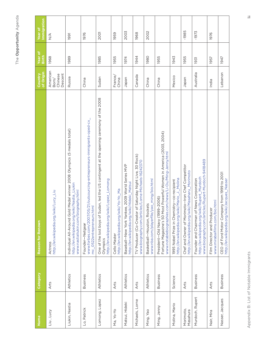| Name                  | Category        | <b>Reason for Renown</b>                                                                                                                                     | of Origin<br>Country                    | Year of<br>Birth | Immigration<br>Year of |
|-----------------------|-----------------|--------------------------------------------------------------------------------------------------------------------------------------------------------------|-----------------------------------------|------------------|------------------------|
| Liu, Lucy             | Arts            | http://en.wikipedia.org/wiki/Lucy_Liu<br>Actress                                                                                                             | American<br>Descent<br>Chinese<br>Born/ | 1968             | $\frac{4}{2}$          |
| Liukin, Nastia        | Athletics       | Individual All-Around Gold Medal winner 2008 Olympics (5 medals total)<br>http://en.wikipedia.org/wiki/Nastia_Liukin<br>www.nastialiukin.com/biography.html  | Russia                                  | 1989             | 1991                   |
| Lo, Patrick           | Business        | www.forbes.com/2007/05/21/outsourcing-entrepreneurs-immigrants-oped-cx_<br>mc_0522entrepreneurs.html<br>Founder-Netgear                                      | China                                   |                  | 1976                   |
| Lomong, Lopez         | Athletics       | One of the lost boys of Sudan, led the US contingent at the opening ceremony of the 2008<br>http://en.wikipedia.org/wiki/Lopez_Lomong<br>Olympics            | Sudan                                   | 1985             | <b>2001</b>            |
| Ma, Yo-Yo             | Arts            | http://en.wikipedia.org/wiki/Yo-Yo_Ma<br>Cello Master                                                                                                        | France/<br>China                        | 1955             | 1959                   |
| Matsui, Hideki        | Athletics       | Baseball-New York Yankee, 2009 World Series MVP<br>http://en.wikipedia.org/wiki/Hideki_Matsui                                                                | Japan                                   | 1974             | 2003                   |
| Michaels, Lorne       | Arts            | of Saturday Night Live, 30 Rock)<br>www.biography.com/articles/Lorne-Michaels-16242370<br>TV Producer (Co-Creator                                            | Canada                                  | 1944             | 1968                   |
| Ming, Yao             | Athletics       | www.nba.com/playerfile/yao_ming/bio.html<br>Basketball-Houston, Rockets                                                                                      | China                                   | <b>1980</b>      | 2002                   |
| Ming, Jenny           | <b>Business</b> | Fortune Magazine's 50 Most Powerful Women in America (2003, 2004)<br>www.notablebiographies.com/news/Li-Ou/Ming-Jenny.html<br>President—Old Navy (1999-2006) | China                                   | 1955             |                        |
| Molina, Mario         | Science         | http://en.wikipedia.org/wiki/Mario_J._Molina<br>1995 Nobel Prize in Chemistry-co-recipient                                                                   | Mexico                                  | 1943             |                        |
| Morimoto,<br>Masahura | Arts            | Chef and Owner of Morimoto-Iron Chef Competitor<br>http://en.wikipedia.org/wiki/Masaharu_Morimoto                                                            | Japan                                   | 1955             | -1985                  |
| Murdoch, Rupert       | <b>Business</b> | www.biography.com/articles/Rupert-Murdoch-9418489<br>http://en.wikipedia.org/wiki/Rupert_Murdoch<br>News Corporation<br>Founder and Chairman of              | Australia                               | 1931             | -1973                  |
| Nair, Mira            | Arts            | www.mirabaifilms.com/bio.html<br>Film Director and Producer                                                                                                  | India                                   | 1957             | 1976                   |
| Nasser, Jacques       | Business        | CEO of Ford Motor Company from 1999 to 2001<br>http://en.wikipedia.org/wiki/Jacques_Nasser                                                                   | Lebanon                                 | 1947             |                        |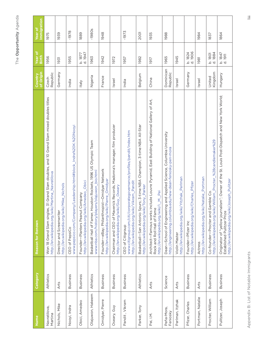| Name                    | Category        | Reason for Renown                                                                                                                                                         | of Origin<br>Country  | Year of<br>Birth   | Immigration<br>Year of |
|-------------------------|-----------------|---------------------------------------------------------------------------------------------------------------------------------------------------------------------------|-----------------------|--------------------|------------------------|
| Navratilova,<br>Martina | Athletics       | Won 18 Grand Slam singles, 31 Grand Slam doubles, and 10 Grand Slam mixed doubles titles<br>http://en.wikipedia.org/wiki/Martina_Navratilova                              | Republic<br>Czech     | 1956               | 1975                   |
| Nichols, Mike           | Arts            | http://en.wikipedia.org/wiki/Mike_Nichols<br>Director and Screenwriter                                                                                                    | Germany               | 1931               | 1939                   |
| Nooyi, Indra            | <b>Business</b> | www.pepsico.com/Company/Leadership.html#block_Indra%20K.%20Nooyi<br>CEO of PepsiCo                                                                                        | India                 | 1955               | -1978                  |
| Obici, Amedeo           | Business        | Obici<br>http://en.wikipedia.org/wiki/Amedeo_<br>Founder-Planters Peanut Company                                                                                          | Italy                 | d. 1947<br>b. 1877 | 1889                   |
| Olajuwon, Hakeem        | Athletics       | Houston Rockets, 1996 US Olympic Team<br>www.nba.com/history/players/olajuwon_bio.html<br>Basketball Hall of Famer,                                                       | Nigeria               | 1963               | $-1980s$               |
| Omidyar, Pierre         | Business        | Founder-eBay; Philanthropist-Omidyar Network<br>http://en.wikipedia.org/wiki/Pierre_Omidyar                                                                               | France                | 1942               | 1948                   |
| Oseary, Guy             | <b>Business</b> | Chairman and CEO of Maverick Records, Madonna's manager, film producer<br>http://en.wikipedia.org/wiki/Guy_Oseary                                                         | Israel                | 1972               |                        |
| Pandit, Vikram          | Business        | www.citigroup.com/citi/corporategovernance/profiles/pandit/index.htm<br>http://en.wikipedia.org/wiki/Vikram_Pandit<br>CEO of Citigroup                                    | India                 | 1957               | -1973                  |
| Parker, Tony            | Athletics       | Basketball—San Antonio Spurs; 3-time NBA Champion, 3-time NBA All-Star<br>http://en.wikipedia.org/wiki/Tony_Parker                                                        | Belgium               | 1982               | <b>2001</b>            |
| Pei, I.M.               | Arts            | Architect-Famous works include Louvre Pyramid, East Building of National Gallery of Art,<br>http://en.wikipedia.org/wiki/l._M._Pei<br>Rock and Roll Hall of Fam           | China                 | 1917               | 1935                   |
| Peña-Mora,<br>Feniosky  | Science         | Dean-School of Engineering and Applied Science, Columbia University<br>http://engineering.columbia.edu/new-dean-feniosky-pen-mora                                         | Dominican<br>Republic | 1965               | 1988                   |
| Perlman, Itzhak         | Arts            | http://en.wikipedia.org/wiki/Yitzhak_Perlman<br>Violin Master                                                                                                             | Israel                | 1945               |                        |
| Pfizer, Charles         | <b>Business</b> | http://en.wikipedia.org/wiki/Charles_Pfizer<br>Founder-Pfizer Inc                                                                                                         | Germany               | d. 1906<br>b. 1824 |                        |
| Portman, Natalie        | Arts            | http://en.wikipedia.org/wiki/Natalie_Portman<br>Actress                                                                                                                   | Israel                | 1981               | 1984                   |
| Procter, William        | Business        | http://en.wikipedia.org/wiki/William_Procter_%28candlemaker%29<br>Gamble Co.<br>Co-founder-Procter and                                                                    | Kingdom<br>United     | d. 1884<br>b. 1801 | 1837                   |
| Pulitzer, Joseph        | <b>Business</b> | Originator of "yellow journalism"; Owner of the St. Louis Post-Dispatch and New York World;<br>http://en.wikipedia.org/wiki/Joseph_Pulitzer<br>Established Pulitzer Prize | Hungary               | b. 1847<br>d. 1911 | 1864                   |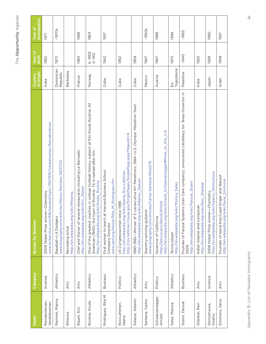| Name                          | Category        | <b>Reason for Renown</b>                                                                                                                                                                              | of Origin<br>Country  | Year of<br>Birth   | Immigration<br>Year of |
|-------------------------------|-----------------|-------------------------------------------------------------------------------------------------------------------------------------------------------------------------------------------------------|-----------------------|--------------------|------------------------|
| Ramakrishnan,<br>Venktatraman | Science         | www.britannica.com/EBchecked/topic/1567976/Venkatraman-Ramakrishnan<br>2009 Nobel Prize winner-Chemistry                                                                                              | India                 | 1952               | 1971                   |
| Ramirez, Manny                | Athletics       | www.biography.com/articles/Manny-Ramirez-16257123<br>Baseball-LA Dodgers                                                                                                                              | Dominican<br>Republic | 1972               | $-1970s$               |
| Rihanna                       | Arts            | http://en.wikipedia.org/wiki/Rhianna<br>Recording Artist                                                                                                                                              | <b>Barbados</b>       |                    |                        |
| Ripert, Eric                  | Arts            | Chef and Owner of several restaurants including Le Bernadin<br>http://en.wikipedia.org/wiki/Eric_Ripert                                                                                               | France                | 1965               | 1989                   |
| Rockne, Knute                 | Athletics       | One of the greatest coaches in college football history, subject of film Knute Rockne, All<br>American (1940); the town of Rockne, TX is named after him<br>http://en.wikipedia.org/wiki/Knute_Rockne | Norway                | b. 1858<br>d. 1912 | 1863                   |
| Rodriguez, Rita M             | Business        | First woman to teach at Harvard Business School<br>M_Rodriguez.cfm<br>www.aed.org/About/Rita_<br>Company Director                                                                                     | Cuba                  | 1942               | 1957                   |
| Ros-Lehtinen,<br>lleana       | Politics        | http://ros-lehtinen.house.gov/SinglePages/SinglePage.aspx?NewsID=6<br>http://en.wikipedia.org/wiki/lleana_Ros-Lehtinen<br>US Congresswoman since 1989                                                 | Cuba                  | 1952               |                        |
| Salazar, Alberto              | Athletics       | 1980-1982-Winner of 3 consecutive NY Marathons; 1984-U.S. Olympic Marathon Team<br>http://en.wikipedia.org/wiki/Alberto_Salazar                                                                       | Cuba                  | 1958               |                        |
| Santana, Carlos               | Arts            | www.biography.com/articles/Carlos-Santana-9542276<br>Grammy-winning guitarist                                                                                                                         | Mexico                | 1947               | $-1960s$               |
| Schwarzenegger,<br>Arnold     | Politics        | http://en.wikipedia.org/wiki/Arnold_Schwarzenegger#Move_to_the_U.S.<br>http://gov.ca.gov/about/arnold<br>Governor of California                                                                       | Austria               | 1947               | 1968                   |
| Seles, Monica                 | Athletics       | http://en.wikipedia.org/wiki/Monica_Seles<br>Tennis player                                                                                                                                            | Yugoslavia<br>Εx-     | 1973               | 1994                   |
| Shami, Farouk                 | <b>Business</b> | Founder of Farouk Systems (Hair Care company), announced candidacy for Texas Governor in<br>http://en.wikipedia.org/wiki/Farouk_Shami<br>2009                                                         | Palestine             | -1943              | -1965                  |
| Shankar, Ravi                 | Arts            | http://en.wikipedia.org/wiki/Ravi_Shankar<br>Indian Sitarist and composer                                                                                                                             | India                 | 1920               |                        |
| Shimomoura,<br>Osamu          | Science         | http://en.wikipedia.org/wiki/Osamu_Shimomura<br>2008 Nobel Prize winner-Chemistry                                                                                                                     | Japan                 | 1928               | 1960                   |
| Simmons, Gene                 | Arts            | Founder of band Kiss/Lead Singer and Bassist<br>http://en.wikipedia.org/wiki/Gene_Simmons                                                                                                             | Israel                | 1949               | 1957                   |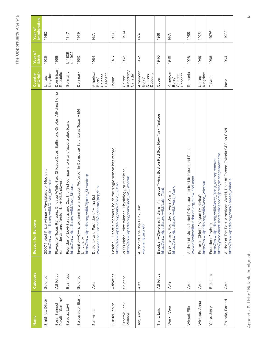| Name                            | Category  | Reason for Renown                                                                                                                             | of Origin<br>Country                    | Year of<br><b>Birth</b> | Immigration<br><b>Year of</b>    |
|---------------------------------|-----------|-----------------------------------------------------------------------------------------------------------------------------------------------|-----------------------------------------|-------------------------|----------------------------------|
| Smithies, Oliver                | Science   | 2007 Nobel Prize winner-Physiology or Medicine<br>http://en.wikipedia.org/wiki/Oliver_Smithies                                                | Kingdom<br>United                       | 1925                    | 1960                             |
| Peralta "Sammy"<br>Sosa, Samuel | Athletics | Chicago White Sox, Chicago Cubs, Baltimore Orioles; All-time home<br>run leader among foreign-born MLB players<br>Played for Texas Rangers,   | Dominican<br>Republic                   | 1968                    |                                  |
| Strauss, Levi                   | Business  | Founder of Levi-Strauss and Co., the first company to manufacture blue jeans<br>http://en.wikipedia.org/wiki/Levi_Strauss                     | Germany                                 | b. 1829<br>d. 1902      | 1847                             |
| Stroustrup, Bjarne              | Science   | Inventor-C++ programming language; Professor in Computer Science at Texas A&M<br>http://en.wikipedia.org/wiki/Bjarne_Stroustrup<br>University | Denmark                                 | <b>1950</b>             | 1979                             |
| Sui, Anna                       | Arts      | www.annasui.com/#/en/home/pop/bio<br>Designer and Founder of Anna Sui                                                                         | American<br>Descent<br>Chinese<br>Born/ | 1964                    | $\frac{4}{2}$                    |
| Suzuki, Ichiro                  | Athletics | Baseball—Seattle Mariners, holds the single season hits record<br>http://en.wikipedia.org/wiki/Ichiro_Suzuki                                  | Japan                                   | 1973                    | <b>2001</b>                      |
| Szostak, Jack<br>William        | Science   | 2009 Nobel Prize winner-Physiology or Medicine<br>http://en.wikipedia.org/wiki/Jack_W._Szostak                                                | Kingdom/<br>Canada<br>United            | 1952                    | -1974                            |
| Tan, Amy                        | Arts      | Author of The Joy Luck Club<br>www.amytan.net/                                                                                                | American<br>Descent<br>Chinese<br>Born/ | 1952                    | $\frac{4}{2}$                    |
| Tiant, Luis                     | Athletics | Baseball-Cleveland Indians, Minnesota Twins, Boston Red Sox, New York Yankees<br>http://en.wikipedia.org/wiki/Luis_Tiant                      | Cuba                                    | 1940                    | 1961                             |
| Wang, Vera                      | Arts      | http://en.wikipedia.org/wiki/Vera_Wang<br>Designer and Founder of Vera Wang                                                                   | American<br>Descent<br>Chinese<br>Born/ | 1949                    | $\stackrel{\triangleleft}{\geq}$ |
| Wiesel, Elie                    | Arts      | Author of Night, Nobel Prize Laureate for Literature and Peace<br>www.eliewieselfoundation.org/eliewiesel.aspx                                | Romania                                 | 1928                    | 1955                             |
| Wintour, Anna                   | Arts      | http://en.wikipedia.org/wiki/Anna_Wintour<br>Editor in Chief of Vogue (America)                                                               | Kingdom<br>United                       | 1949                    | 1975                             |
| Yang, Jerry                     | Business  | http://yhoo.client.shareholder.com/press/management.cfm<br>http://en.wikipedia.org/wiki/Jerry_Yang_(entrepreneur)<br>Founder of Yahoo!        | Taiwan                                  | 1968                    | -1976                            |
| Zakaria, Fareed                 | Arts      | Author of The Post-American World, Host of Fareed Zakaria GPS on CNN<br>http://en.wikipedia.org/wiki/Fareed_Zakaria                           | India                                   | 1964                    | -1982                            |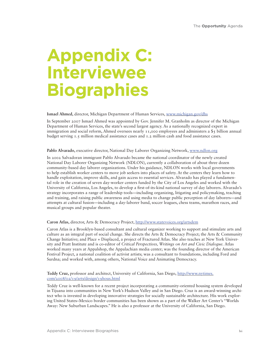# **Appendix C: Interviewee Biographies**

#### **Ismael Ahmed,** director, Michigan Department of Human Services, www.michigan.gov/dhs

In September 2007 Ismael Ahmed was appointed by Gov. Jennifer M. Granholm as director of the Michigan Department of Human Services, the state's second largest agency. As a nationally recognized expert in immigration and social reform, Ahmed oversees nearly 11,000 employees and administers a \$5 billion annual budget serving 1.5 million medical assistance cases and 1.2 million cash and food assistance cases.

# **Pablo Alvarado,** executive director, National Day Laborer Organizing Network, www.ndlon.org

In 2002 Salvadoran immigrant Pablo Alvarado became the national coordinator of the newly created National Day Laborer Organizing Network (NDLON), currently a collaboration of about three dozen community-based day laborer organizations. Under his guidance, NDLON works with local governments to help establish worker centers to move job seekers into places of safety. At the centers they learn how to handle exploitation, improve skills, and gain access to essential services. Alvarado has played a fundamental role in the creation of seven day-worker centers funded by the City of Los Angeles and worked with the University of California, Los Angeles, to develop a first-of-its-kind national survey of day laborers. Alvarado's strategy incorporates a range of leadership tools—including organizing, litigating and policymaking, teaching and training, and raising public awareness and using media to change public perception of day laborers—and attempts at cultural fusion—including a day-laborer band, soccer leagues, chess teams, marathon races, and musical groups and popular theater.

# **Caron Atlas,** director, Arts & Democracy Project, http://www.statevoices.org/artsdem

Caron Atlas is a Brooklyn-based consultant and cultural organizer working to support and stimulate arts and culture as an integral part of social change. She directs the Arts & Democracy Project; the Arts & Community Change Initiative; and Place + Displaced, a project of Fractured Atlas. She also teaches at New York University and Pratt Institute and is co-editor of *Critical Perspectives, Writings on Art and Civic Dialogue.* Atlas worked many years at Appalshop, the Appalachian media center; was the founding director of the American Festival Project, a national coalition of activist artists; was a consultant to foundations, including Ford and Surdna; and worked with, among others, National Voice and Animating Democracy.

# **Teddy Cruz,** professor and architect, University of California, San Diego, http://www.nytimes. com/2008/02/19/arts/design/19hous.html

Teddy Cruz is well-known for a recent project incorporating a community-oriented housing system developed in Tijuana into communities in New York's Hudson Valley and in San Diego. Cruz is an award-winning architect who is invested in developing innovative strategies for socially sustainable architecture. His work exploring United States–Mexico border communities has been shown as a part of the Walker Art Center's "Worlds Away: New Suburban Landscapes." He is also a professor at the University of California, San Diego.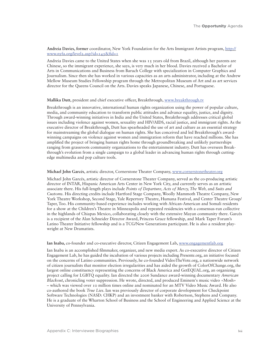#### **Andreia Davies, former** coordinator, New York Foundation for the Arts Immigrant Artists program, http:// www.nyfa.org/level2.asp?id=145&fid=1

Andreia Davies came to the United States when she was 15 years old from Brazil, although her parents are Chinese, so the immigrant experience, she says, is very much in her blood. Davies received a Bachelor of Arts in Communications and Business from Baruch College with specialization in Computer Graphics and Journalism. Since then she has worked in various capacities as an arts administrator, including at the Andrew Mellow Museum Studies Fellowship program through the Metropolitan Museum of Art and as art services director for the Queens Council on the Arts. Davies speaks Japanese, Chinese, and Portuguese.

#### **Mallika Dutt,** president and chief executive officer, Breakthrough, www.breakthrough.tv

Breakthrough is an innovative, international human rights organization using the power of popular culture, media, and community education to transform public attitudes and advance equality, justice, and dignity. Through award-winning initiatives in India and the United States, Breakthrough addresses critical global issues including violence against women, sexuality and HIV/AIDS, racial justice, and immigrant rights. As the executive director of Breakthrough, Dutt has spearheaded the use of art and culture as an essential strategy for mainstreaming the global dialogue on human rights. She has conceived and led Breakthrough's awardwinning campaigns on violence against women and immigration reform that have reached millions. She has amplified the project of bringing human rights home through groundbreaking and unlikely partnerships ranging from grassroots community organizations to the entertainment industry. Dutt has overseen Breakthrough's evolution from a single campaign to a global leader in advancing human rights through cuttingedge multimedia and pop culture tools.

#### **Michael John Garcés**, artistic director, Cornerstone Theater Company, www.cornerstonetheater.org

Michael John Garcés, artistic director of Cornerstone Theater Company, served as the co-producing artistic director of INTAR, Hispanic American Arts Center in New York City, and currently serves as an artistic associate there. His full-length plays include *Points of Departure, Acts of Mercy, The Web,* and *Suits and Customs.* His directing credits include Hartford Stage Company, Woolly Mammoth Theatre Company, New York Theatre Workshop, Second Stage, Yale Repertory Theatre, Humana Festival, and Center Theatre Group/ Taper, Too. His community-based experience includes working with African-American and Somali residents for a show at the Children's Theatre in Minneapolis and repeated residencies with a consensus-run collective in the highlands of Chiapas Mexico, collaborating closely with the extensive Mayan community there. Garcés is a recipient of the Alan Schneider Director Award, Princess Grace fellowship, and Mark Taper Forum's Latino Theater Initiative fellowship and is a TCG/New Generations participant. He is also a resident playwright at New Dramatists.

#### **Ian Inaba,** co-founder and co-executive director, Citizen Engagement Lab**,** www.engagementlab.org

Ian Inaba is an accomplished filmmaker, organizer, and new media expert. As co-executive director of Citizen Engagement Lab, he has guided the incubation of various projects including Presente.org, an initiative focused on the concerns of Latino communities. Previously, he co-founded VideoTheVote.org, a nationwide network of citizen journalists that monitor election irregularities and has aided the growth of ColorOfChange.org, the largest online constituency representing the concerns of Black America and GetEQUAL.org, an organizing project calling for LGBTQ equality. Ian directed the 2006 Sundance award-winning documentary *American Blackout*, chronicling voter suppression. He wrote, directed, and produced Eminem's music video «Mosh» – which was viewed over 10 million times online and nominated for an MTV Video Music Award. He also co-authored the book *True Lies*. Ian was previously director of corporate development for Checkpoint Software Technologies (NASD: CHKP) and an investment banker with Robertson, Stephens and Company. He is a graduate of the Wharton School of Business and the School of Engineering and Applied Science at the University of Pennsylvania.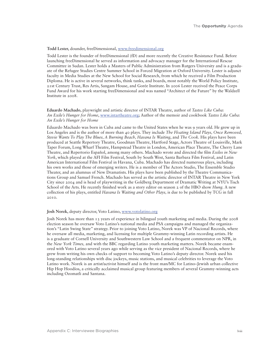#### **Todd Lester,** dounder, freeDimensional, www.freedimensional.org

Todd Lester is the founder of freeDimensional (fD) and more recently the Creative Resistance Fund. Before launching freeDimensional he served as information and advocacy manager for the International Rescue Committee in Sudan. Lester holds a Masters of Public Administration from Rutgers University and is a graduate of the Refugee Studies Centre Summer School in Forced Migration at Oxford University. Lester is adjunct faculty in Media Studies at the New School for Social Research, from which he received a Film Production Diploma. He is active in several networks, think tanks, and boards, most notably the World Policy Institute, 21st Century Trust, Res Artis, Sangam House, and Gorée Institute. In 2006 Lester received the Peace Corps Fund Award for his work starting freeDimensional and was named "Architect of the Future" by the Waldzell Institute in 2008.

**Eduardo Machado,** playwright and artistic director of INTAR Theatre, author of *Tastes Like Cuba: An Exile's Hunger for Home*, www.intartheatre.org; Author of the memoir and cookbook *Tastes Like Cuba: An Exile's Hunger for Home*

Eduardo Machado was born in Cuba and came to the United States when he was 9 years old. He grew up in Los Angeles and is the author of more than 40 plays. They include *The Floating Island Plays, Once Removed, Stevie Wants To Play The Blues, A Burning Beach, Havana Is Waiting*, and *The Cook.* His plays have been produced at Seattle Repertory Theatre, Goodman Theatre, Hartford Stage, Actors Theatre of Louisville, Mark Taper Forum, Long Wharf Theatre, Hampstead Theatre in London, American Place Theatre, The Cherry Lane Theatre, and Repertorio Español, among many others. Machado wrote and directed the film *Exiles in New York*, which played at the AFI Film Festival, South by South West, Santa Barbara Film Festival, and Latin American International Film Festival in Havana, Cuba. Machado has directed numerous plays, including his own works and those of emerging writers. He is a member of The Actors Studio, The Ensemble Studio Theater, and an alumnus of New Dramatists. His plays have been published by the Theatre Communications Group and Samuel French. Machado has served as the artistic director of INTAR Theatre in New York City since 2004 and is head of playwriting in the Goldberg Department of Dramatic Writing at NYU's Tisch School of the Arts. He recently finished work as a story editor on season 2 of the HBO show *Hung.* A new collection of his plays, entitled *Havana Is Waiting and Other Plays,* is due to be published by TCG in fall 2010.

# **Josh Norek,** deputy director, Voto Latino, www.votolatino.org

Josh Norek has more than 13 years of experience in bilingual youth marketing and media. During the 2008 election season he oversaw Voto Latino's national media and PSA campaigns and managed the organization's "Latin Swing State" strategy. Prior to joining Voto Latino, Norek was VP of Nacional Records, where he oversaw all media, marketing, and licensing for multiple Grammy-winning Latin recording artists. He is a graduate of Cornell University and Southwestern Law School and a frequent commentator on NPR, in the *New York Times,* and with the BBC regarding Latino youth marketing matters. Norek became enamored with Voto Latino several years ago while serving as the vice president of Nacional Records, where he grew from writing his own checks of support to becoming Voto Latino's deputy director. Norek used his long-standing relationships with disc jockeys, music stations, and musical celebrities to leverage the Voto Latino work. Norek is an artist/activist himself and is the front man/MC for Latino–Jewish urban collective Hip Hop Hoodíos, a critically acclaimed musical group featuring members of several Grammy-winning acts including Ozomatli and Santana.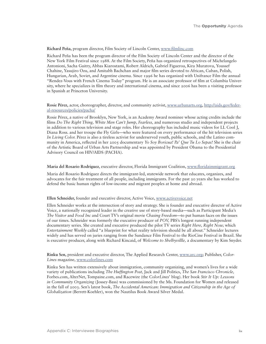# **Richard Peña,** program director, Film Society of Lincoln Center, www.filmlinc.com

Richard Peña has been the program director of the Film Society of Lincoln Center and the director of the New York Film Festival since 1988. At the Film Society, Peña has organized retrospectives of Michelangelo Antonioni, Sacha Guitry, Abbas Kiarostami, Robert Aldrich, Gabriel Figueroa, Kira Muratova, Youssef Chahine, Yasujiro Ozu, and Amitabh Bachchan and major film series devoted to African, Cuban, Polish, Hungarian, Arab, Soviet, and Argentine cinema. Since 1996 he has organized with Unifrance Film the annual "Rendez-Vous with French Cinema Today" program. He is an associate professor of film at Columbia University, where he specializes in film theory and international cinema, and since 2006 has been a visiting professor in Spanish at Princeton University.

# **Rosie Pérez,** actor, choreographer, director, and community activist, www.urbanarts.org, http://aids.gov/federal-resources/policies/pacha/

Rosie Pérez, a native of Brooklyn, New York, is an Academy Award nominee whose acting credits include the films *Do The Right Thing, White Men Can't Jump, Fearless,* and numerous studio and independent projects in addition to various television and stage roles. Her choreography has included music videos for LL Cool J, Diana Ross. and her troupe the Fly Girls—who were featured on every performance of the hit television series *In Living Color.* Pérez is also a tireless activist for underserved youth, public schools, and the Latino community in America, reflected in her 2005 documentary *Yo Soy Boricua! Pa' Que Tu Lo Sepas!* She is the chair of the Artistic Board of Urban Arts Partnership and was appointed by President Obama to the Presidential Advisory Council on HIV/AIDS (PACHA).

# **Maria del Rosario Rodriguez**, executive director, Florida Immigrant Coalition, www.floridaimmigrant.org

Maria del Rosario Rodriguez directs the immigrant-led, statewide network that educates, organizes, and advocates for the fair treatment of all people, including immigrants. For the past 20 years she has worked to defend the basic human rights of low-income and migrant peoples at home and abroad.

#### **Ellen Schneider,** founder and executive director, Active Voice, www.activevoice.net

Ellen Schneider works at the intersection of story and strategy. She is founder and executive director of Active Voice, a nationally recognized leader in the creative use of story-based media—such as Participant Media's *The Visitor* and *Food Inc* and Court TV's original movie *Chasing Freedom—*to put human faces on the issues of our times. Schneider was formerly the executive producer of *POV,* PBS's longest running independent documentary series. She created and executive produced the pilot TV series *Right Here, Right Now,* which *Entertainment Weekly* called "a blueprint for what reality television should be all about." Schneider lectures widely and has served on juries ranging from the Sundance Film Festival to the RioCine Festival in Brazil. She is executive producer, along with Richard Kincaid, of *Welcome to Shelbyvillle,* a documentary by Kim Snyder.

# **Rinku Sen,** president and executive director, The Applied Research Center, www.arc.org; Publisher, *Color-Lines* magazine, www.colorlines.com

Rinku Sen has written extensively about immigration, community organizing, and women's lives for a wide variety of publications including *The Huffington Post,* Jack and Jill Politics, *The San Francisco Chronicle,* Forbes.com, AlterNet, Tompaine.com, and Racewire (the *ColorLines*' blog). Her book *Stir It Up: Lessons in Community Organizing* (Jossey-Bass) was commissioned by the Ms. Foundation for Women and released in the fall of 2003. Sen's latest book, *The Accidental American: Immigration and Citizenship in the Age of Globalization* (Berrett-Koehler), won the Nautilus Book Award Silver Medal.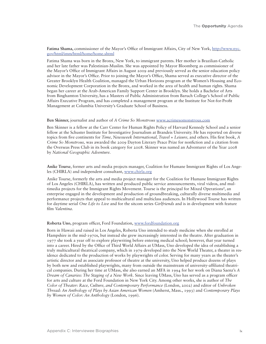**Fatima Shama,** commissioner of the Mayor's Office of Immigrant Affairs, City of New York, http://www.nyc. gov/html/imm/html/home/home.shtml

Fatima Shama was born in the Bronx, New York, to immigrant parents. Her mother is Brazilian-Catholic and her late father was Palestinian-Muslim. She was appointed by Mayor Bloomberg as commissioner of the Mayor's Office of Immigrant Affairs in August 2009 and previously served as the senior education policy advisor in the Mayor's Office. Prior to joining the Mayor's Office, Shama served as executive director of the Greater Brooklyn Health Coalition, managed the Urban Horizons program at the Women's Housing and Economic Development Corporation in the Bronx, and worked in the area of health and human rights. Shama began her career at the Arab-American Family Support Center in Brooklyn. She holds a Bachelor of Arts from Binghamton University, has a Masters of Public Administration from Baruch College's School of Public Affairs Executive Program, and has completed a management program at the Institute for Not-for-Profit Management at Columbia University's Graduate School of Business.

#### **Ben Skinner,** journalist and author of *A Crime So Monstrous* www.acrimesomonstrous.com

Ben Skinner is a fellow at the Carr Center for Human Rights Policy of Harvard Kennedy School and a senior fellow at the Schuster Institute for Investigative Journalism at Brandeis University. He has reported on diverse topics from five continents for *Time, Newsweek International, Travel + Leisure,* and others. His first book, *A Crime So Monstrous,* was awarded the 2009 Dayton Literary Peace Prize for nonfiction and a citation from the Overseas Press Club in its book category for 2008. Skinner was named an Adventurer of the Year 2008 by *National Geographic Adventure.*

**Anike Tourse**, former arts and media projects manager, Coalition for Humane Immigrant Rights of Los Angeles (CHIRLA) and independent consultant, www.chirla.org

Anike Tourse, formerly the arts and media project manager for the Coalition for Humane Immigrant Rights of Los Angeles (CHIRLA), has written and produced public service announcements, viral videos, and multimedia projects for the Immigrant Rights Movement. Tourse is the principal for Mixed Operations², an enterprise engaged in the development and production of groundbreaking, culturally diverse multimedia and performance projects that appeal to multicultural and multiclass audiences. In Hollywood Tourse has written for daytime serial *One Life to Live* and for the sitcom series *Girlfriends* and is in development with feature film *Valentina.*

#### **Roberta Uno,** program officer, Ford Foundation, www.fordfoundation.org

Born in Hawaii and raised in Los Angeles, Roberta Uno intended to study medicine when she enrolled at Hampshire in the mid-1970s, but instead she grew increasingly interested in the theatre. After graduation in 1977 she took a year off to explore playwriting before entering medical school; however, that year turned into a career. Hired by the Office of Third World Affairs at UMass, Uno developed the idea of establishing a truly multicultural theatrical company, which in 1979 developed into the New World Theater, a theater in residence dedicated to the production of works by playwrights of color. Serving for many years as the theater's artistic director and as associate professor of theatre at the university, Uno helped produce dozens of plays by both new and established playwrights, many from outside the mainstream of university-affiliated theatrical companies. During her time at UMass, she also earned an MFA in 1994 for her work on Diana Saenz's *A Dream of Canaries: The Staging of a New Work.* Since leaving UMass, Uno has served as a program officer for arts and culture at the Ford Foundation in New York City. Among other works, she is author of *The Color of Theater: Race, Culture, and Contemporary Performance* (London, 2002) and editor of *Unbroken Thread: An Anthology of Plays by Asian American Women* (Amherst, Mass., 1993) and *Contemporary Plays by Women of Color: An Anthology* (London, 1996).